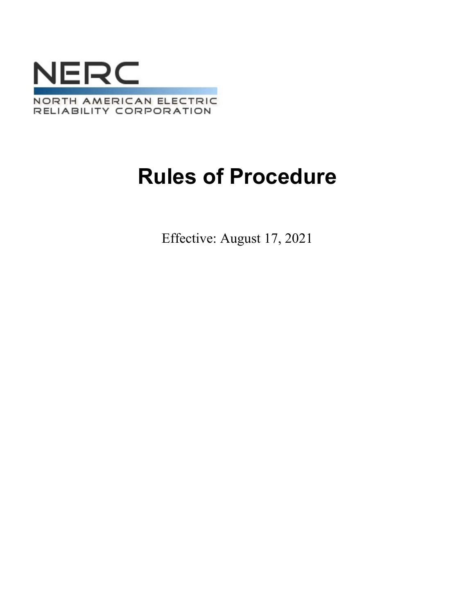

# **Rules of Procedure**

Effective: August 17, 2021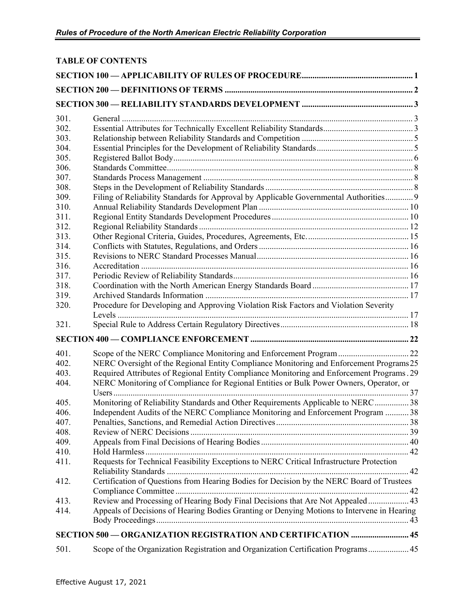|      | <b>TABLE OF CONTENTS</b>                                                                   |  |
|------|--------------------------------------------------------------------------------------------|--|
|      |                                                                                            |  |
|      |                                                                                            |  |
|      |                                                                                            |  |
| 301. |                                                                                            |  |
| 302. |                                                                                            |  |
| 303. |                                                                                            |  |
| 304. |                                                                                            |  |
| 305. |                                                                                            |  |
| 306. |                                                                                            |  |
| 307. |                                                                                            |  |
| 308. |                                                                                            |  |
| 309. | Filing of Reliability Standards for Approval by Applicable Governmental Authorities 9      |  |
| 310. |                                                                                            |  |
| 311. |                                                                                            |  |
| 312. |                                                                                            |  |
| 313. |                                                                                            |  |
| 314. |                                                                                            |  |
| 315. |                                                                                            |  |
| 316. |                                                                                            |  |
| 317. |                                                                                            |  |
| 318. |                                                                                            |  |
| 319. |                                                                                            |  |
| 320. | Procedure for Developing and Approving Violation Risk Factors and Violation Severity       |  |
|      |                                                                                            |  |
| 321. |                                                                                            |  |
|      |                                                                                            |  |
| 401. | Scope of the NERC Compliance Monitoring and Enforcement Program  22                        |  |
| 402. | NERC Oversight of the Regional Entity Compliance Monitoring and Enforcement Programs 25    |  |
| 403. | Required Attributes of Regional Entity Compliance Monitoring and Enforcement Programs. 29  |  |
| 404. | NERC Monitoring of Compliance for Regional Entities or Bulk Power Owners, Operator, or     |  |
|      |                                                                                            |  |
| 405. | Monitoring of Reliability Standards and Other Requirements Applicable to NERC 38           |  |
| 406. | Independent Audits of the NERC Compliance Monitoring and Enforcement Program  38           |  |
| 407. |                                                                                            |  |
| 408. |                                                                                            |  |
| 409. |                                                                                            |  |
| 410. |                                                                                            |  |
| 411. | Requests for Technical Feasibility Exceptions to NERC Critical Infrastructure Protection   |  |
| 412. | Certification of Questions from Hearing Bodies for Decision by the NERC Board of Trustees  |  |
|      |                                                                                            |  |
| 413. | Review and Processing of Hearing Body Final Decisions that Are Not Appealed 43             |  |
| 414. | Appeals of Decisions of Hearing Bodies Granting or Denying Motions to Intervene in Hearing |  |
|      |                                                                                            |  |
|      | <b>SECTION 500 — ORGANIZATION REGISTRATION AND CERTIFICATION  45</b>                       |  |
|      |                                                                                            |  |
| 501. | Scope of the Organization Registration and Organization Certification Programs 45          |  |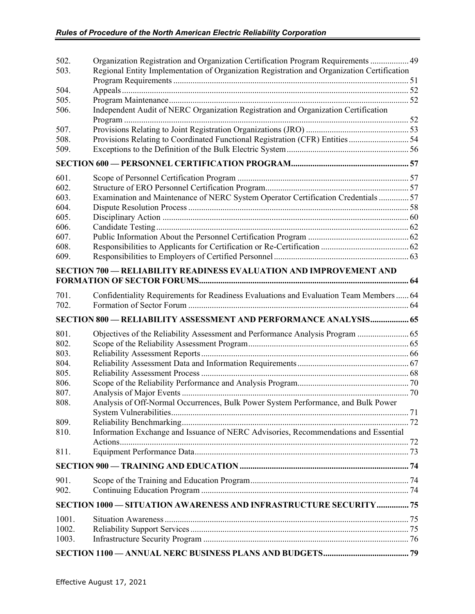| 502.  | Organization Registration and Organization Certification Program Requirements  49          |  |
|-------|--------------------------------------------------------------------------------------------|--|
| 503.  | Regional Entity Implementation of Organization Registration and Organization Certification |  |
|       |                                                                                            |  |
| 504.  |                                                                                            |  |
| 505.  |                                                                                            |  |
| 506.  | Independent Audit of NERC Organization Registration and Organization Certification         |  |
| 507.  |                                                                                            |  |
| 508.  | Provisions Relating to Coordinated Functional Registration (CFR) Entities  54              |  |
| 509.  |                                                                                            |  |
|       |                                                                                            |  |
| 601.  |                                                                                            |  |
| 602.  |                                                                                            |  |
| 603.  | Examination and Maintenance of NERC System Operator Certification Credentials  57          |  |
| 604.  |                                                                                            |  |
| 605.  |                                                                                            |  |
| 606.  |                                                                                            |  |
| 607.  |                                                                                            |  |
| 608.  |                                                                                            |  |
| 609.  |                                                                                            |  |
|       |                                                                                            |  |
|       | <b>SECTION 700 — RELIABILITY READINESS EVALUATION AND IMPROVEMENT AND</b>                  |  |
| 701.  | Confidentiality Requirements for Readiness Evaluations and Evaluation Team Members  64     |  |
| 702.  |                                                                                            |  |
|       | SECTION 800 - RELIABILITY ASSESSMENT AND PERFORMANCE ANALYSIS 65                           |  |
| 801.  | Objectives of the Reliability Assessment and Performance Analysis Program  65              |  |
| 802.  |                                                                                            |  |
| 803.  |                                                                                            |  |
| 804.  |                                                                                            |  |
| 805.  |                                                                                            |  |
| 806.  |                                                                                            |  |
| 807.  |                                                                                            |  |
| 808.  | Analysis of Off-Normal Occurrences, Bulk Power System Performance, and Bulk Power          |  |
|       |                                                                                            |  |
| 809.  |                                                                                            |  |
| 810.  | Information Exchange and Issuance of NERC Advisories, Recommendations and Essential        |  |
| 811.  |                                                                                            |  |
|       |                                                                                            |  |
|       |                                                                                            |  |
| 901.  |                                                                                            |  |
| 902.  |                                                                                            |  |
|       | SECTION 1000 - SITUATION AWARENESS AND INFRASTRUCTURE SECURITY  75                         |  |
| 1001. |                                                                                            |  |
| 1002. |                                                                                            |  |
| 1003. |                                                                                            |  |
|       |                                                                                            |  |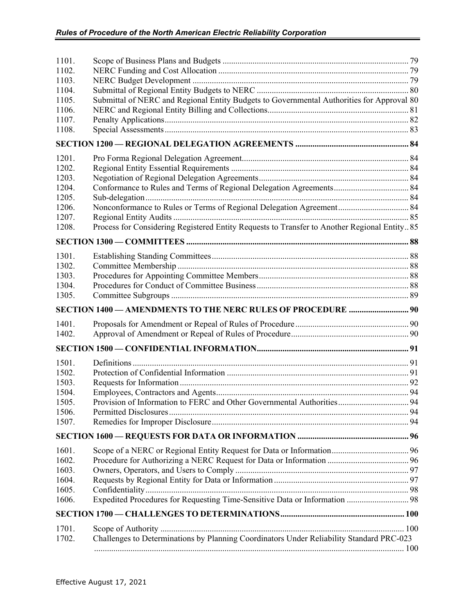| 1101.          |                                                                                             |  |
|----------------|---------------------------------------------------------------------------------------------|--|
| 1102.          |                                                                                             |  |
| 1103.          |                                                                                             |  |
| 1104.          |                                                                                             |  |
| 1105.          | Submittal of NERC and Regional Entity Budgets to Governmental Authorities for Approval 80   |  |
| 1106.<br>1107. |                                                                                             |  |
| 1108.          |                                                                                             |  |
|                |                                                                                             |  |
|                |                                                                                             |  |
| 1201.<br>1202. |                                                                                             |  |
| 1203.          |                                                                                             |  |
| 1204.          |                                                                                             |  |
| 1205.          |                                                                                             |  |
| 1206.          |                                                                                             |  |
| 1207.          |                                                                                             |  |
| 1208.          | Process for Considering Registered Entity Requests to Transfer to Another Regional Entity85 |  |
|                |                                                                                             |  |
| 1301.          |                                                                                             |  |
| 1302.          |                                                                                             |  |
| 1303.          |                                                                                             |  |
| 1304.          |                                                                                             |  |
| 1305.          |                                                                                             |  |
|                | <b>SECTION 1400 — AMENDMENTS TO THE NERC RULES OF PROCEDURE  90</b>                         |  |
| 1401.          |                                                                                             |  |
| 1402.          |                                                                                             |  |
|                |                                                                                             |  |
| 1501.          |                                                                                             |  |
| 1502.          |                                                                                             |  |
| 1503.          |                                                                                             |  |
| 1504.          |                                                                                             |  |
| 1505           | Provision of Information to FERC and Other Governmental Authorities 94                      |  |
| 1506.          |                                                                                             |  |
| 1507.          |                                                                                             |  |
|                |                                                                                             |  |
| 1601.          |                                                                                             |  |
| 1602.          |                                                                                             |  |
| 1603.<br>1604. |                                                                                             |  |
| 1605.          |                                                                                             |  |
| 1606.          | Expedited Procedures for Requesting Time-Sensitive Data or Information  98                  |  |
|                |                                                                                             |  |
| 1701.          |                                                                                             |  |
| 1702.          | Challenges to Determinations by Planning Coordinators Under Reliability Standard PRC-023    |  |
|                |                                                                                             |  |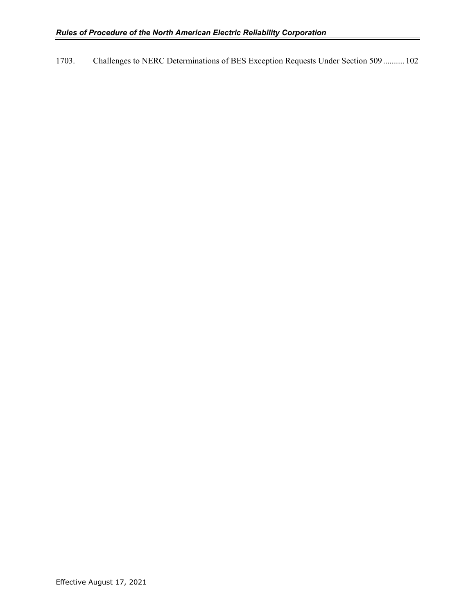1703. [Challenges to NERC Determinations of BES Exception Requests Under Section 509..........](#page-106-0) 102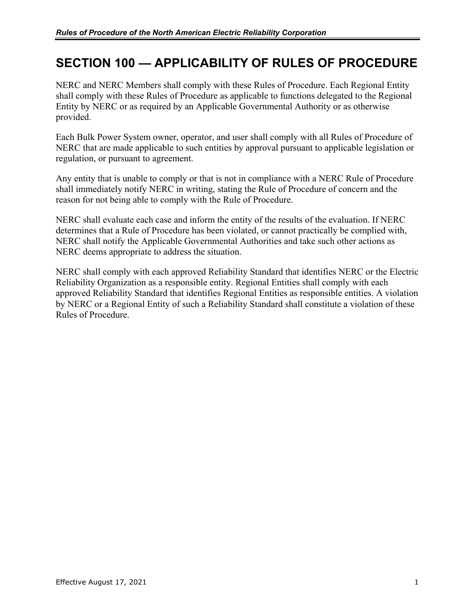# <span id="page-5-0"></span>**SECTION 100 — APPLICABILITY OF RULES OF PROCEDURE**

NERC and NERC Members shall comply with these Rules of Procedure. Each Regional Entity shall comply with these Rules of Procedure as applicable to functions delegated to the Regional Entity by NERC or as required by an Applicable Governmental Authority or as otherwise provided.

Each Bulk Power System owner, operator, and user shall comply with all Rules of Procedure of NERC that are made applicable to such entities by approval pursuant to applicable legislation or regulation, or pursuant to agreement.

Any entity that is unable to comply or that is not in compliance with a NERC Rule of Procedure shall immediately notify NERC in writing, stating the Rule of Procedure of concern and the reason for not being able to comply with the Rule of Procedure.

NERC shall evaluate each case and inform the entity of the results of the evaluation. If NERC determines that a Rule of Procedure has been violated, or cannot practically be complied with, NERC shall notify the Applicable Governmental Authorities and take such other actions as NERC deems appropriate to address the situation.

NERC shall comply with each approved Reliability Standard that identifies NERC or the Electric Reliability Organization as a responsible entity. Regional Entities shall comply with each approved Reliability Standard that identifies Regional Entities as responsible entities. A violation by NERC or a Regional Entity of such a Reliability Standard shall constitute a violation of these Rules of Procedure.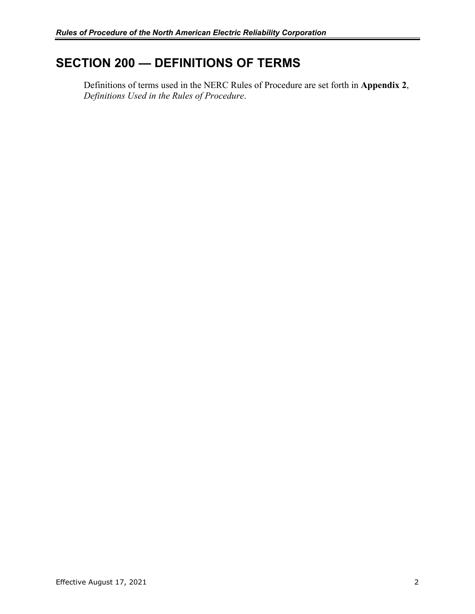# <span id="page-6-0"></span>**SECTION 200 — DEFINITIONS OF TERMS**

Definitions of terms used in the NERC Rules of Procedure are set forth in **Appendix 2**, *Definitions Used in the Rules of Procedure*.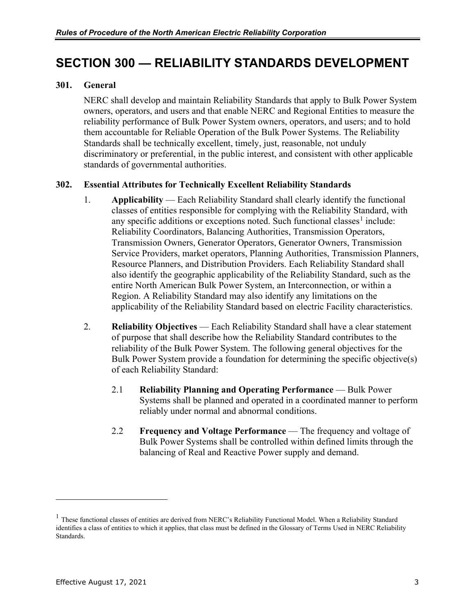# <span id="page-7-0"></span>**SECTION 300 — RELIABILITY STANDARDS DEVELOPMENT**

#### <span id="page-7-1"></span>**301. General**

NERC shall develop and maintain Reliability Standards that apply to Bulk Power System owners, operators, and users and that enable NERC and Regional Entities to measure the reliability performance of Bulk Power System owners, operators, and users; and to hold them accountable for Reliable Operation of the Bulk Power Systems. The Reliability Standards shall be technically excellent, timely, just, reasonable, not unduly discriminatory or preferential, in the public interest, and consistent with other applicable standards of governmental authorities.

#### <span id="page-7-2"></span>**302. Essential Attributes for Technically Excellent Reliability Standards**

- 1. **Applicability**  Each Reliability Standard shall clearly identify the functional classes of entities responsible for complying with the Reliability Standard, with any specific additions or exceptions noted. Such functional classes<sup>[1](#page-7-3)</sup> include: Reliability Coordinators, Balancing Authorities, Transmission Operators, Transmission Owners, Generator Operators, Generator Owners, Transmission Service Providers, market operators, Planning Authorities, Transmission Planners, Resource Planners, and Distribution Providers. Each Reliability Standard shall also identify the geographic applicability of the Reliability Standard, such as the entire North American Bulk Power System, an Interconnection, or within a Region. A Reliability Standard may also identify any limitations on the applicability of the Reliability Standard based on electric Facility characteristics.
- 2. **Reliability Objectives**  Each Reliability Standard shall have a clear statement of purpose that shall describe how the Reliability Standard contributes to the reliability of the Bulk Power System. The following general objectives for the Bulk Power System provide a foundation for determining the specific objective(s) of each Reliability Standard:
	- 2.1 **Reliability Planning and Operating Performance** Bulk Power Systems shall be planned and operated in a coordinated manner to perform reliably under normal and abnormal conditions.
	- 2.2 **Frequency and Voltage Performance** The frequency and voltage of Bulk Power Systems shall be controlled within defined limits through the balancing of Real and Reactive Power supply and demand.

 $\overline{a}$ 

<span id="page-7-3"></span><sup>&</sup>lt;sup>1</sup> These functional classes of entities are derived from NERC's Reliability Functional Model. When a Reliability Standard identifies a class of entities to which it applies, that class must be defined in the Glossary of Terms Used in NERC Reliability Standards.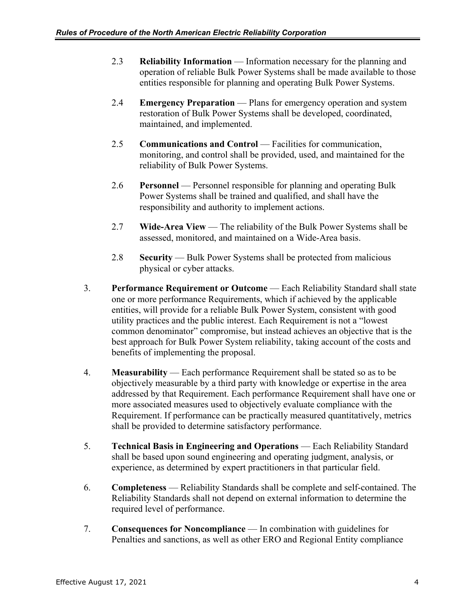- 2.3 **Reliability Information**  Information necessary for the planning and operation of reliable Bulk Power Systems shall be made available to those entities responsible for planning and operating Bulk Power Systems.
- 2.4 **Emergency Preparation** Plans for emergency operation and system restoration of Bulk Power Systems shall be developed, coordinated, maintained, and implemented.
- 2.5 **Communications and Control** Facilities for communication, monitoring, and control shall be provided, used, and maintained for the reliability of Bulk Power Systems.
- 2.6 **Personnel** Personnel responsible for planning and operating Bulk Power Systems shall be trained and qualified, and shall have the responsibility and authority to implement actions.
- 2.7 **Wide-Area View**  The reliability of the Bulk Power Systems shall be assessed, monitored, and maintained on a Wide-Area basis.
- 2.8 **Security**  Bulk Power Systems shall be protected from malicious physical or cyber attacks.
- 3. **Performance Requirement or Outcome** Each Reliability Standard shall state one or more performance Requirements, which if achieved by the applicable entities, will provide for a reliable Bulk Power System, consistent with good utility practices and the public interest. Each Requirement is not a "lowest common denominator" compromise, but instead achieves an objective that is the best approach for Bulk Power System reliability, taking account of the costs and benefits of implementing the proposal.
- 4. **Measurability**  Each performance Requirement shall be stated so as to be objectively measurable by a third party with knowledge or expertise in the area addressed by that Requirement. Each performance Requirement shall have one or more associated measures used to objectively evaluate compliance with the Requirement. If performance can be practically measured quantitatively, metrics shall be provided to determine satisfactory performance.
- 5. **Technical Basis in Engineering and Operations** Each Reliability Standard shall be based upon sound engineering and operating judgment, analysis, or experience, as determined by expert practitioners in that particular field.
- 6. **Completeness**  Reliability Standards shall be complete and self-contained. The Reliability Standards shall not depend on external information to determine the required level of performance.
- 7. **Consequences for Noncompliance**  In combination with guidelines for Penalties and sanctions, as well as other ERO and Regional Entity compliance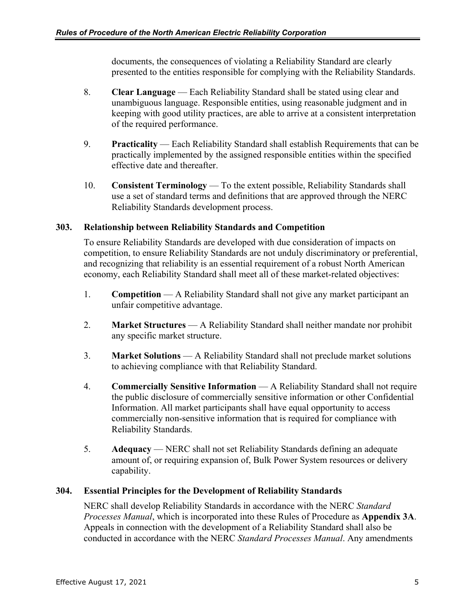documents, the consequences of violating a Reliability Standard are clearly presented to the entities responsible for complying with the Reliability Standards.

- 8. **Clear Language**  Each Reliability Standard shall be stated using clear and unambiguous language. Responsible entities, using reasonable judgment and in keeping with good utility practices, are able to arrive at a consistent interpretation of the required performance.
- 9. **Practicality** Each Reliability Standard shall establish Requirements that can be practically implemented by the assigned responsible entities within the specified effective date and thereafter.
- 10. **Consistent Terminology**  To the extent possible, Reliability Standards shall use a set of standard terms and definitions that are approved through the NERC Reliability Standards development process.

# <span id="page-9-0"></span>**303. Relationship between Reliability Standards and Competition**

To ensure Reliability Standards are developed with due consideration of impacts on competition, to ensure Reliability Standards are not unduly discriminatory or preferential, and recognizing that reliability is an essential requirement of a robust North American economy, each Reliability Standard shall meet all of these market-related objectives:

- 1. **Competition** A Reliability Standard shall not give any market participant an unfair competitive advantage.
- 2. **Market Structures**  A Reliability Standard shall neither mandate nor prohibit any specific market structure.
- 3. **Market Solutions**  A Reliability Standard shall not preclude market solutions to achieving compliance with that Reliability Standard.
- 4. **Commercially Sensitive Information**  A Reliability Standard shall not require the public disclosure of commercially sensitive information or other Confidential Information. All market participants shall have equal opportunity to access commercially non-sensitive information that is required for compliance with Reliability Standards.
- 5. **Adequacy**  NERC shall not set Reliability Standards defining an adequate amount of, or requiring expansion of, Bulk Power System resources or delivery capability.

# <span id="page-9-1"></span>**304. Essential Principles for the Development of Reliability Standards**

NERC shall develop Reliability Standards in accordance with the NERC *Standard Processes Manual*, which is incorporated into these Rules of Procedure as **Appendix 3A**. Appeals in connection with the development of a Reliability Standard shall also be conducted in accordance with the NERC *Standard Processes Manual*. Any amendments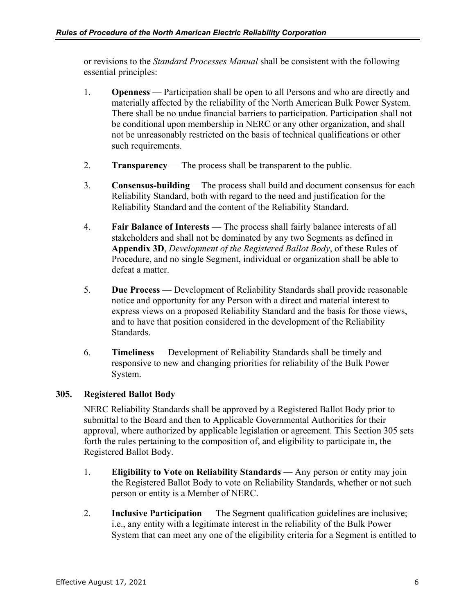or revisions to the *Standard Processes Manual* shall be consistent with the following essential principles:

- 1. **Openness** Participation shall be open to all Persons and who are directly and materially affected by the reliability of the North American Bulk Power System. There shall be no undue financial barriers to participation. Participation shall not be conditional upon membership in NERC or any other organization, and shall not be unreasonably restricted on the basis of technical qualifications or other such requirements.
- 2. **Transparency** The process shall be transparent to the public.
- 3. **Consensus-building** —The process shall build and document consensus for each Reliability Standard, both with regard to the need and justification for the Reliability Standard and the content of the Reliability Standard.
- 4. **Fair Balance of Interests**  The process shall fairly balance interests of all stakeholders and shall not be dominated by any two Segments as defined in **Appendix 3D**, *Development of the Registered Ballot Body*, of these Rules of Procedure, and no single Segment, individual or organization shall be able to defeat a matter.
- 5. **Due Process**  Development of Reliability Standards shall provide reasonable notice and opportunity for any Person with a direct and material interest to express views on a proposed Reliability Standard and the basis for those views, and to have that position considered in the development of the Reliability Standards.
- 6. **Timeliness**  Development of Reliability Standards shall be timely and responsive to new and changing priorities for reliability of the Bulk Power System.

# <span id="page-10-0"></span>**305. Registered Ballot Body**

NERC Reliability Standards shall be approved by a Registered Ballot Body prior to submittal to the Board and then to Applicable Governmental Authorities for their approval, where authorized by applicable legislation or agreement. This Section 305 sets forth the rules pertaining to the composition of, and eligibility to participate in, the Registered Ballot Body.

- 1. **Eligibility to Vote on Reliability Standards**  Any person or entity may join the Registered Ballot Body to vote on Reliability Standards, whether or not such person or entity is a Member of NERC.
- 2. **Inclusive Participation** The Segment qualification guidelines are inclusive; i.e., any entity with a legitimate interest in the reliability of the Bulk Power System that can meet any one of the eligibility criteria for a Segment is entitled to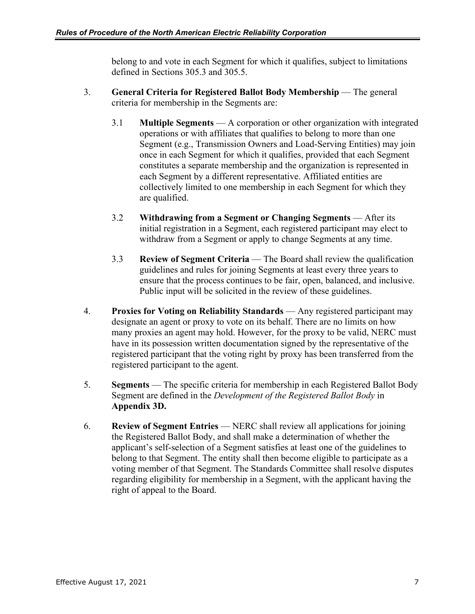belong to and vote in each Segment for which it qualifies, subject to limitations defined in Sections 305.3 and 305.5.

- 3. **General Criteria for Registered Ballot Body Membership** The general criteria for membership in the Segments are:
	- 3.1 **Multiple Segments**  A corporation or other organization with integrated operations or with affiliates that qualifies to belong to more than one Segment (e.g., Transmission Owners and Load-Serving Entities) may join once in each Segment for which it qualifies, provided that each Segment constitutes a separate membership and the organization is represented in each Segment by a different representative. Affiliated entities are collectively limited to one membership in each Segment for which they are qualified.
	- 3.2 **Withdrawing from a Segment or Changing Segments**  After its initial registration in a Segment, each registered participant may elect to withdraw from a Segment or apply to change Segments at any time.
	- 3.3 **Review of Segment Criteria**  The Board shall review the qualification guidelines and rules for joining Segments at least every three years to ensure that the process continues to be fair, open, balanced, and inclusive. Public input will be solicited in the review of these guidelines.
- 4. **Proxies for Voting on Reliability Standards**  Any registered participant may designate an agent or proxy to vote on its behalf. There are no limits on how many proxies an agent may hold. However, for the proxy to be valid, NERC must have in its possession written documentation signed by the representative of the registered participant that the voting right by proxy has been transferred from the registered participant to the agent.
- 5. **Segments**  The specific criteria for membership in each Registered Ballot Body Segment are defined in the *Development of the Registered Ballot Body* in **Appendix 3D.**
- 6. **Review of Segment Entries**  NERC shall review all applications for joining the Registered Ballot Body, and shall make a determination of whether the applicant's self-selection of a Segment satisfies at least one of the guidelines to belong to that Segment. The entity shall then become eligible to participate as a voting member of that Segment. The Standards Committee shall resolve disputes regarding eligibility for membership in a Segment, with the applicant having the right of appeal to the Board.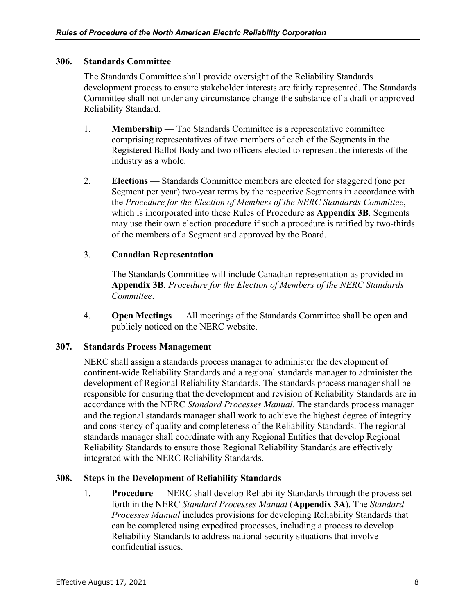#### <span id="page-12-0"></span>**306. Standards Committee**

The Standards Committee shall provide oversight of the Reliability Standards development process to ensure stakeholder interests are fairly represented. The Standards Committee shall not under any circumstance change the substance of a draft or approved Reliability Standard.

- 1. **Membership** The Standards Committee is a representative committee comprising representatives of two members of each of the Segments in the Registered Ballot Body and two officers elected to represent the interests of the industry as a whole.
- 2. **Elections**  Standards Committee members are elected for staggered (one per Segment per year) two-year terms by the respective Segments in accordance with the *Procedure for the Election of Members of the NERC Standards Committee*, which is incorporated into these Rules of Procedure as **Appendix 3B**. Segments may use their own election procedure if such a procedure is ratified by two-thirds of the members of a Segment and approved by the Board.

# 3. **Canadian Representation**

The Standards Committee will include Canadian representation as provided in **Appendix 3B**, *Procedure for the Election of Members of the NERC Standards Committee*.

4. **Open Meetings** — All meetings of the Standards Committee shall be open and publicly noticed on the NERC website.

# <span id="page-12-1"></span>**307. Standards Process Management**

NERC shall assign a standards process manager to administer the development of continent-wide Reliability Standards and a regional standards manager to administer the development of Regional Reliability Standards. The standards process manager shall be responsible for ensuring that the development and revision of Reliability Standards are in accordance with the NERC *Standard Processes Manual*. The standards process manager and the regional standards manager shall work to achieve the highest degree of integrity and consistency of quality and completeness of the Reliability Standards. The regional standards manager shall coordinate with any Regional Entities that develop Regional Reliability Standards to ensure those Regional Reliability Standards are effectively integrated with the NERC Reliability Standards.

# <span id="page-12-2"></span>**308. Steps in the Development of Reliability Standards**

1. **Procedure** — NERC shall develop Reliability Standards through the process set forth in the NERC *Standard Processes Manual* (**Appendix 3A**). The *Standard Processes Manual* includes provisions for developing Reliability Standards that can be completed using expedited processes, including a process to develop Reliability Standards to address national security situations that involve confidential issues.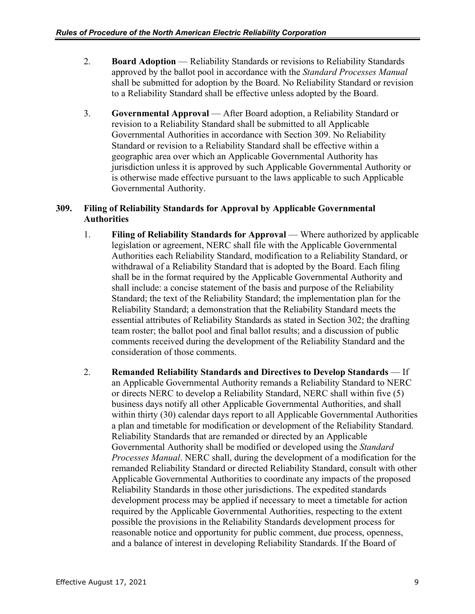- 2. **Board Adoption** Reliability Standards or revisions to Reliability Standards approved by the ballot pool in accordance with the *Standard Processes Manual*  shall be submitted for adoption by the Board. No Reliability Standard or revision to a Reliability Standard shall be effective unless adopted by the Board.
- 3. **Governmental Approval**  After Board adoption, a Reliability Standard or revision to a Reliability Standard shall be submitted to all Applicable Governmental Authorities in accordance with Section 309. No Reliability Standard or revision to a Reliability Standard shall be effective within a geographic area over which an Applicable Governmental Authority has jurisdiction unless it is approved by such Applicable Governmental Authority or is otherwise made effective pursuant to the laws applicable to such Applicable Governmental Authority.

# <span id="page-13-0"></span>**309. Filing of Reliability Standards for Approval by Applicable Governmental Authorities**

- 1. **Filing of Reliability Standards for Approval** Where authorized by applicable legislation or agreement, NERC shall file with the Applicable Governmental Authorities each Reliability Standard, modification to a Reliability Standard, or withdrawal of a Reliability Standard that is adopted by the Board. Each filing shall be in the format required by the Applicable Governmental Authority and shall include: a concise statement of the basis and purpose of the Reliability Standard; the text of the Reliability Standard; the implementation plan for the Reliability Standard; a demonstration that the Reliability Standard meets the essential attributes of Reliability Standards as stated in Section 302; the drafting team roster; the ballot pool and final ballot results; and a discussion of public comments received during the development of the Reliability Standard and the consideration of those comments.
- 2. **Remanded Reliability Standards and Directives to Develop Standards**  If an Applicable Governmental Authority remands a Reliability Standard to NERC or directs NERC to develop a Reliability Standard, NERC shall within five (5) business days notify all other Applicable Governmental Authorities, and shall within thirty (30) calendar days report to all Applicable Governmental Authorities a plan and timetable for modification or development of the Reliability Standard. Reliability Standards that are remanded or directed by an Applicable Governmental Authority shall be modified or developed using the *Standard Processes Manual*. NERC shall, during the development of a modification for the remanded Reliability Standard or directed Reliability Standard, consult with other Applicable Governmental Authorities to coordinate any impacts of the proposed Reliability Standards in those other jurisdictions. The expedited standards development process may be applied if necessary to meet a timetable for action required by the Applicable Governmental Authorities, respecting to the extent possible the provisions in the Reliability Standards development process for reasonable notice and opportunity for public comment, due process, openness, and a balance of interest in developing Reliability Standards. If the Board of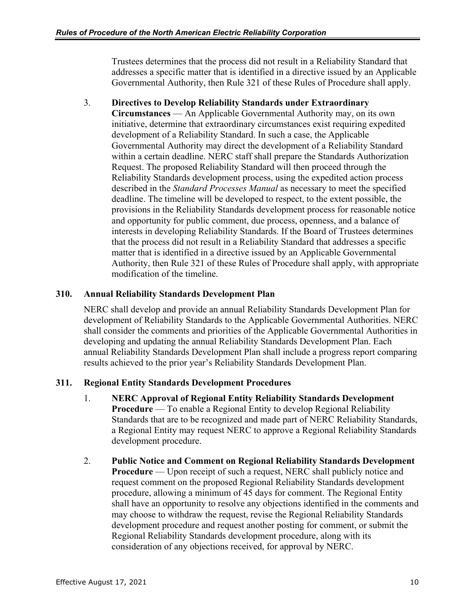Trustees determines that the process did not result in a Reliability Standard that addresses a specific matter that is identified in a directive issued by an Applicable Governmental Authority, then Rule 321 of these Rules of Procedure shall apply.

3. **Directives to Develop Reliability Standards under Extraordinary Circumstances** — An Applicable Governmental Authority may, on its own initiative, determine that extraordinary circumstances exist requiring expedited development of a Reliability Standard. In such a case, the Applicable Governmental Authority may direct the development of a Reliability Standard within a certain deadline. NERC staff shall prepare the Standards Authorization Request. The proposed Reliability Standard will then proceed through the Reliability Standards development process, using the expedited action process described in the *Standard Processes Manual* as necessary to meet the specified deadline. The timeline will be developed to respect, to the extent possible, the provisions in the Reliability Standards development process for reasonable notice and opportunity for public comment, due process, openness, and a balance of interests in developing Reliability Standards. If the Board of Trustees determines that the process did not result in a Reliability Standard that addresses a specific matter that is identified in a directive issued by an Applicable Governmental Authority, then Rule 321 of these Rules of Procedure shall apply, with appropriate modification of the timeline.

# <span id="page-14-0"></span>**310. Annual Reliability Standards Development Plan**

NERC shall develop and provide an annual Reliability Standards Development Plan for development of Reliability Standards to the Applicable Governmental Authorities. NERC shall consider the comments and priorities of the Applicable Governmental Authorities in developing and updating the annual Reliability Standards Development Plan. Each annual Reliability Standards Development Plan shall include a progress report comparing results achieved to the prior year's Reliability Standards Development Plan.

# <span id="page-14-1"></span>**311. Regional Entity Standards Development Procedures**

- 1. **NERC Approval of Regional Entity Reliability Standards Development Procedure** — To enable a Regional Entity to develop Regional Reliability Standards that are to be recognized and made part of NERC Reliability Standards, a Regional Entity may request NERC to approve a Regional Reliability Standards development procedure.
- 2. **Public Notice and Comment on Regional Reliability Standards Development Procedure** — Upon receipt of such a request, NERC shall publicly notice and request comment on the proposed Regional Reliability Standards development procedure, allowing a minimum of 45 days for comment. The Regional Entity shall have an opportunity to resolve any objections identified in the comments and may choose to withdraw the request, revise the Regional Reliability Standards development procedure and request another posting for comment, or submit the Regional Reliability Standards development procedure, along with its consideration of any objections received, for approval by NERC.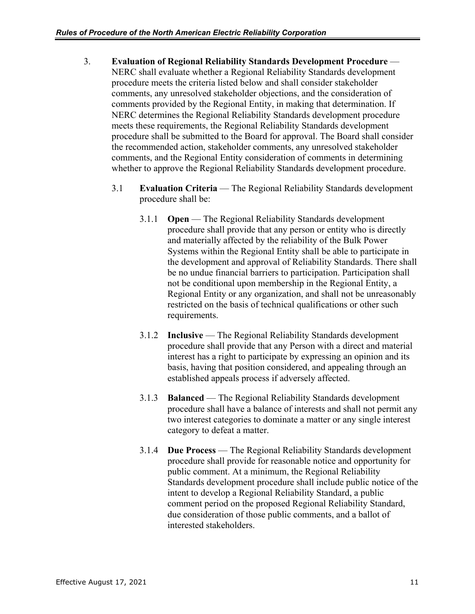- 3. **Evaluation of Regional Reliability Standards Development Procedure**  NERC shall evaluate whether a Regional Reliability Standards development procedure meets the criteria listed below and shall consider stakeholder comments, any unresolved stakeholder objections, and the consideration of comments provided by the Regional Entity, in making that determination. If NERC determines the Regional Reliability Standards development procedure meets these requirements, the Regional Reliability Standards development procedure shall be submitted to the Board for approval. The Board shall consider the recommended action, stakeholder comments, any unresolved stakeholder comments, and the Regional Entity consideration of comments in determining whether to approve the Regional Reliability Standards development procedure.
	- 3.1 **Evaluation Criteria**  The Regional Reliability Standards development procedure shall be:
		- 3.1.1 **Open**  The Regional Reliability Standards development procedure shall provide that any person or entity who is directly and materially affected by the reliability of the Bulk Power Systems within the Regional Entity shall be able to participate in the development and approval of Reliability Standards. There shall be no undue financial barriers to participation. Participation shall not be conditional upon membership in the Regional Entity, a Regional Entity or any organization, and shall not be unreasonably restricted on the basis of technical qualifications or other such requirements.
		- 3.1.2 **Inclusive**  The Regional Reliability Standards development procedure shall provide that any Person with a direct and material interest has a right to participate by expressing an opinion and its basis, having that position considered, and appealing through an established appeals process if adversely affected.
		- 3.1.3 **Balanced** The Regional Reliability Standards development procedure shall have a balance of interests and shall not permit any two interest categories to dominate a matter or any single interest category to defeat a matter.
		- 3.1.4 **Due Process**  The Regional Reliability Standards development procedure shall provide for reasonable notice and opportunity for public comment. At a minimum, the Regional Reliability Standards development procedure shall include public notice of the intent to develop a Regional Reliability Standard, a public comment period on the proposed Regional Reliability Standard, due consideration of those public comments, and a ballot of interested stakeholders.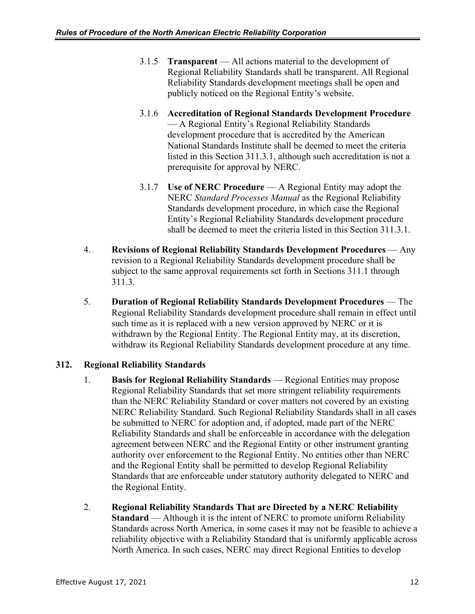- 3.1.5 **Transparent**  All actions material to the development of Regional Reliability Standards shall be transparent. All Regional Reliability Standards development meetings shall be open and publicly noticed on the Regional Entity's website.
- 3.1.6 **Accreditation of Regional Standards Development Procedure**  — A Regional Entity's Regional Reliability Standards development procedure that is accredited by the American National Standards Institute shall be deemed to meet the criteria listed in this Section 311.3.1, although such accreditation is not a prerequisite for approval by NERC.
- 3.1.7 **Use of NERC Procedure**  A Regional Entity may adopt the NERC *Standard Processes Manual* as the Regional Reliability Standards development procedure, in which case the Regional Entity's Regional Reliability Standards development procedure shall be deemed to meet the criteria listed in this Section 311.3.1.
- 4. **Revisions of Regional Reliability Standards Development Procedures**  Any revision to a Regional Reliability Standards development procedure shall be subject to the same approval requirements set forth in Sections 311.1 through 311.3.
- 5. **Duration of Regional Reliability Standards Development Procedures**  The Regional Reliability Standards development procedure shall remain in effect until such time as it is replaced with a new version approved by NERC or it is withdrawn by the Regional Entity. The Regional Entity may, at its discretion, withdraw its Regional Reliability Standards development procedure at any time.

# <span id="page-16-0"></span>**312. Regional Reliability Standards**

- 1. **Basis for Regional Reliability Standards**  Regional Entities may propose Regional Reliability Standards that set more stringent reliability requirements than the NERC Reliability Standard or cover matters not covered by an existing NERC Reliability Standard. Such Regional Reliability Standards shall in all cases be submitted to NERC for adoption and, if adopted, made part of the NERC Reliability Standards and shall be enforceable in accordance with the delegation agreement between NERC and the Regional Entity or other instrument granting authority over enforcement to the Regional Entity. No entities other than NERC and the Regional Entity shall be permitted to develop Regional Reliability Standards that are enforceable under statutory authority delegated to NERC and the Regional Entity.
- 2. **Regional Reliability Standards That are Directed by a NERC Reliability Standard** — Although it is the intent of NERC to promote uniform Reliability Standards across North America, in some cases it may not be feasible to achieve a reliability objective with a Reliability Standard that is uniformly applicable across North America. In such cases, NERC may direct Regional Entities to develop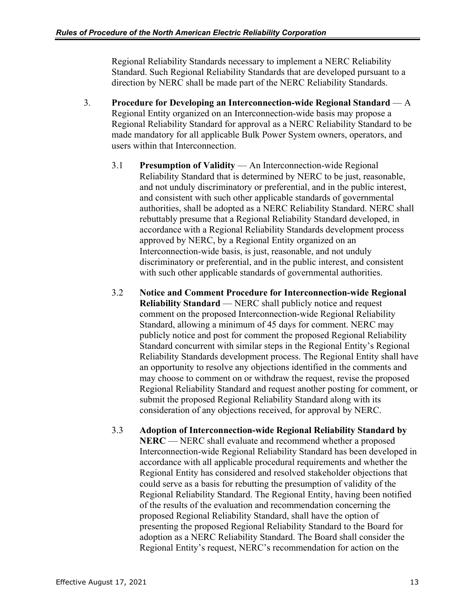Regional Reliability Standards necessary to implement a NERC Reliability Standard. Such Regional Reliability Standards that are developed pursuant to a direction by NERC shall be made part of the NERC Reliability Standards.

- 3. **Procedure for Developing an Interconnection-wide Regional Standard**  A Regional Entity organized on an Interconnection-wide basis may propose a Regional Reliability Standard for approval as a NERC Reliability Standard to be made mandatory for all applicable Bulk Power System owners, operators, and users within that Interconnection.
	- 3.1 **Presumption of Validity**  An Interconnection-wide Regional Reliability Standard that is determined by NERC to be just, reasonable, and not unduly discriminatory or preferential, and in the public interest, and consistent with such other applicable standards of governmental authorities, shall be adopted as a NERC Reliability Standard. NERC shall rebuttably presume that a Regional Reliability Standard developed, in accordance with a Regional Reliability Standards development process approved by NERC, by a Regional Entity organized on an Interconnection-wide basis, is just, reasonable, and not unduly discriminatory or preferential, and in the public interest, and consistent with such other applicable standards of governmental authorities.
	- 3.2 **Notice and Comment Procedure for Interconnection-wide Regional Reliability Standard** — NERC shall publicly notice and request comment on the proposed Interconnection-wide Regional Reliability Standard, allowing a minimum of 45 days for comment. NERC may publicly notice and post for comment the proposed Regional Reliability Standard concurrent with similar steps in the Regional Entity's Regional Reliability Standards development process. The Regional Entity shall have an opportunity to resolve any objections identified in the comments and may choose to comment on or withdraw the request, revise the proposed Regional Reliability Standard and request another posting for comment, or submit the proposed Regional Reliability Standard along with its consideration of any objections received, for approval by NERC.
	- 3.3 **Adoption of Interconnection-wide Regional Reliability Standard by NERC** — NERC shall evaluate and recommend whether a proposed Interconnection-wide Regional Reliability Standard has been developed in accordance with all applicable procedural requirements and whether the Regional Entity has considered and resolved stakeholder objections that could serve as a basis for rebutting the presumption of validity of the Regional Reliability Standard. The Regional Entity, having been notified of the results of the evaluation and recommendation concerning the proposed Regional Reliability Standard, shall have the option of presenting the proposed Regional Reliability Standard to the Board for adoption as a NERC Reliability Standard. The Board shall consider the Regional Entity's request, NERC's recommendation for action on the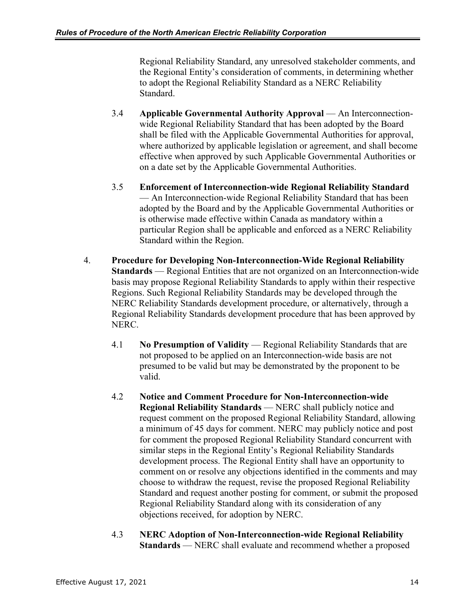Regional Reliability Standard, any unresolved stakeholder comments, and the Regional Entity's consideration of comments, in determining whether to adopt the Regional Reliability Standard as a NERC Reliability Standard.

- 3.4 **Applicable Governmental Authority Approval** An Interconnectionwide Regional Reliability Standard that has been adopted by the Board shall be filed with the Applicable Governmental Authorities for approval, where authorized by applicable legislation or agreement, and shall become effective when approved by such Applicable Governmental Authorities or on a date set by the Applicable Governmental Authorities.
- 3.5 **Enforcement of Interconnection-wide Regional Reliability Standard**  — An Interconnection-wide Regional Reliability Standard that has been adopted by the Board and by the Applicable Governmental Authorities or is otherwise made effective within Canada as mandatory within a particular Region shall be applicable and enforced as a NERC Reliability Standard within the Region.
- 4. **Procedure for Developing Non-Interconnection-Wide Regional Reliability Standards** — Regional Entities that are not organized on an Interconnection-wide basis may propose Regional Reliability Standards to apply within their respective Regions. Such Regional Reliability Standards may be developed through the NERC Reliability Standards development procedure, or alternatively, through a Regional Reliability Standards development procedure that has been approved by NERC.
	- 4.1 **No Presumption of Validity**  Regional Reliability Standards that are not proposed to be applied on an Interconnection-wide basis are not presumed to be valid but may be demonstrated by the proponent to be valid.
	- 4.2 **Notice and Comment Procedure for Non-Interconnection-wide Regional Reliability Standards** — NERC shall publicly notice and request comment on the proposed Regional Reliability Standard, allowing a minimum of 45 days for comment. NERC may publicly notice and post for comment the proposed Regional Reliability Standard concurrent with similar steps in the Regional Entity's Regional Reliability Standards development process. The Regional Entity shall have an opportunity to comment on or resolve any objections identified in the comments and may choose to withdraw the request, revise the proposed Regional Reliability Standard and request another posting for comment, or submit the proposed Regional Reliability Standard along with its consideration of any objections received, for adoption by NERC.
	- 4.3 **NERC Adoption of Non-Interconnection-wide Regional Reliability Standards** — NERC shall evaluate and recommend whether a proposed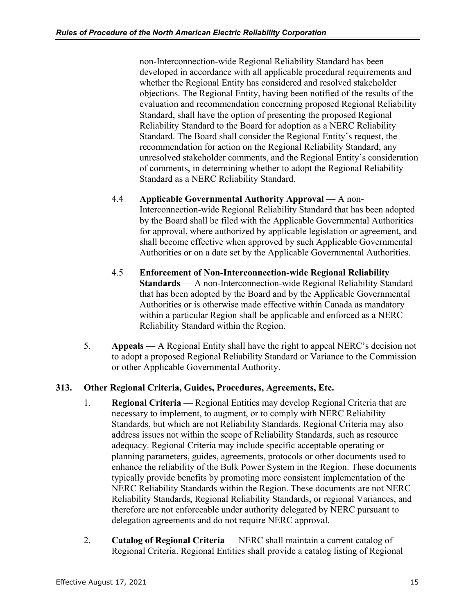non-Interconnection-wide Regional Reliability Standard has been developed in accordance with all applicable procedural requirements and whether the Regional Entity has considered and resolved stakeholder objections. The Regional Entity, having been notified of the results of the evaluation and recommendation concerning proposed Regional Reliability Standard, shall have the option of presenting the proposed Regional Reliability Standard to the Board for adoption as a NERC Reliability Standard. The Board shall consider the Regional Entity's request, the recommendation for action on the Regional Reliability Standard, any unresolved stakeholder comments, and the Regional Entity's consideration of comments, in determining whether to adopt the Regional Reliability Standard as a NERC Reliability Standard.

- 4.4 **Applicable Governmental Authority Approval**  A non-Interconnection-wide Regional Reliability Standard that has been adopted by the Board shall be filed with the Applicable Governmental Authorities for approval, where authorized by applicable legislation or agreement, and shall become effective when approved by such Applicable Governmental Authorities or on a date set by the Applicable Governmental Authorities.
- 4.5 **Enforcement of Non-Interconnection-wide Regional Reliability Standards** — A non-Interconnection-wide Regional Reliability Standard that has been adopted by the Board and by the Applicable Governmental Authorities or is otherwise made effective within Canada as mandatory within a particular Region shall be applicable and enforced as a NERC Reliability Standard within the Region.
- 5. **Appeals** A Regional Entity shall have the right to appeal NERC's decision not to adopt a proposed Regional Reliability Standard or Variance to the Commission or other Applicable Governmental Authority.

# <span id="page-19-0"></span>**313. Other Regional Criteria, Guides, Procedures, Agreements, Etc.**

- 1. **Regional Criteria**  Regional Entities may develop Regional Criteria that are necessary to implement, to augment, or to comply with NERC Reliability Standards, but which are not Reliability Standards. Regional Criteria may also address issues not within the scope of Reliability Standards, such as resource adequacy. Regional Criteria may include specific acceptable operating or planning parameters, guides, agreements, protocols or other documents used to enhance the reliability of the Bulk Power System in the Region. These documents typically provide benefits by promoting more consistent implementation of the NERC Reliability Standards within the Region. These documents are not NERC Reliability Standards, Regional Reliability Standards, or regional Variances, and therefore are not enforceable under authority delegated by NERC pursuant to delegation agreements and do not require NERC approval.
- 2. **Catalog of Regional Criteria**  NERC shall maintain a current catalog of Regional Criteria. Regional Entities shall provide a catalog listing of Regional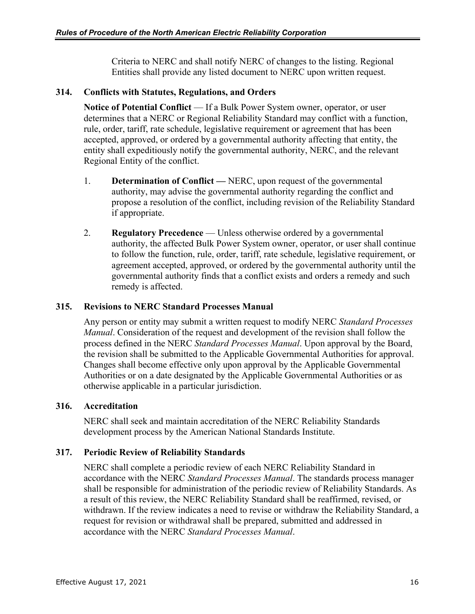Criteria to NERC and shall notify NERC of changes to the listing. Regional Entities shall provide any listed document to NERC upon written request.

# <span id="page-20-0"></span>**314. Conflicts with Statutes, Regulations, and Orders**

**Notice of Potential Conflict** — If a Bulk Power System owner, operator, or user determines that a NERC or Regional Reliability Standard may conflict with a function, rule, order, tariff, rate schedule, legislative requirement or agreement that has been accepted, approved, or ordered by a governmental authority affecting that entity, the entity shall expeditiously notify the governmental authority, NERC, and the relevant Regional Entity of the conflict.

- 1. **Determination of Conflict —** NERC, upon request of the governmental authority, may advise the governmental authority regarding the conflict and propose a resolution of the conflict, including revision of the Reliability Standard if appropriate.
- 2. **Regulatory Precedence**  Unless otherwise ordered by a governmental authority, the affected Bulk Power System owner, operator, or user shall continue to follow the function, rule, order, tariff, rate schedule, legislative requirement, or agreement accepted, approved, or ordered by the governmental authority until the governmental authority finds that a conflict exists and orders a remedy and such remedy is affected.

# <span id="page-20-1"></span>**315. Revisions to NERC Standard Processes Manual**

Any person or entity may submit a written request to modify NERC *Standard Processes Manual*. Consideration of the request and development of the revision shall follow the process defined in the NERC *Standard Processes Manual*. Upon approval by the Board, the revision shall be submitted to the Applicable Governmental Authorities for approval. Changes shall become effective only upon approval by the Applicable Governmental Authorities or on a date designated by the Applicable Governmental Authorities or as otherwise applicable in a particular jurisdiction.

# <span id="page-20-2"></span>**316. Accreditation**

NERC shall seek and maintain accreditation of the NERC Reliability Standards development process by the American National Standards Institute.

# <span id="page-20-3"></span>**317. Periodic Review of Reliability Standards**

NERC shall complete a periodic review of each NERC Reliability Standard in accordance with the NERC *Standard Processes Manual*. The standards process manager shall be responsible for administration of the periodic review of Reliability Standards. As a result of this review, the NERC Reliability Standard shall be reaffirmed, revised, or withdrawn. If the review indicates a need to revise or withdraw the Reliability Standard, a request for revision or withdrawal shall be prepared, submitted and addressed in accordance with the NERC *Standard Processes Manual*.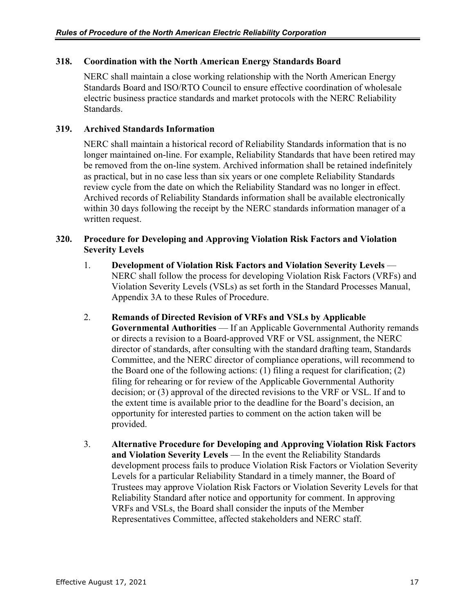# <span id="page-21-0"></span>**318. Coordination with the North American Energy Standards Board**

NERC shall maintain a close working relationship with the North American Energy Standards Board and ISO/RTO Council to ensure effective coordination of wholesale electric business practice standards and market protocols with the NERC Reliability Standards.

#### <span id="page-21-1"></span>**319. Archived Standards Information**

NERC shall maintain a historical record of Reliability Standards information that is no longer maintained on-line. For example, Reliability Standards that have been retired may be removed from the on-line system. Archived information shall be retained indefinitely as practical, but in no case less than six years or one complete Reliability Standards review cycle from the date on which the Reliability Standard was no longer in effect. Archived records of Reliability Standards information shall be available electronically within 30 days following the receipt by the NERC standards information manager of a written request.

#### <span id="page-21-2"></span>**320. Procedure for Developing and Approving Violation Risk Factors and Violation Severity Levels**

- 1. **Development of Violation Risk Factors and Violation Severity Levels** NERC shall follow the process for developing Violation Risk Factors (VRFs) and Violation Severity Levels (VSLs) as set forth in the Standard Processes Manual, Appendix 3A to these Rules of Procedure.
- 2. **Remands of Directed Revision of VRFs and VSLs by Applicable Governmental Authorities** — If an Applicable Governmental Authority remands or directs a revision to a Board-approved VRF or VSL assignment, the NERC director of standards, after consulting with the standard drafting team, Standards Committee, and the NERC director of compliance operations, will recommend to the Board one of the following actions: (1) filing a request for clarification; (2) filing for rehearing or for review of the Applicable Governmental Authority decision; or (3) approval of the directed revisions to the VRF or VSL. If and to the extent time is available prior to the deadline for the Board's decision, an opportunity for interested parties to comment on the action taken will be provided.
- 3. **Alternative Procedure for Developing and Approving Violation Risk Factors and Violation Severity Levels** — In the event the Reliability Standards development process fails to produce Violation Risk Factors or Violation Severity Levels for a particular Reliability Standard in a timely manner, the Board of Trustees may approve Violation Risk Factors or Violation Severity Levels for that Reliability Standard after notice and opportunity for comment. In approving VRFs and VSLs, the Board shall consider the inputs of the Member Representatives Committee, affected stakeholders and NERC staff.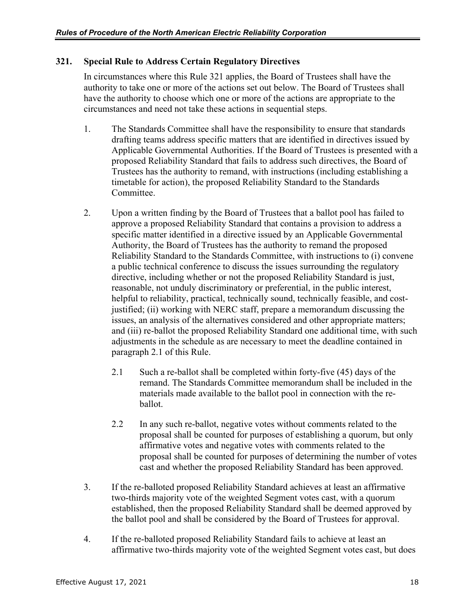#### <span id="page-22-0"></span>**321. Special Rule to Address Certain Regulatory Directives**

In circumstances where this Rule 321 applies, the Board of Trustees shall have the authority to take one or more of the actions set out below. The Board of Trustees shall have the authority to choose which one or more of the actions are appropriate to the circumstances and need not take these actions in sequential steps.

- 1. The Standards Committee shall have the responsibility to ensure that standards drafting teams address specific matters that are identified in directives issued by Applicable Governmental Authorities. If the Board of Trustees is presented with a proposed Reliability Standard that fails to address such directives, the Board of Trustees has the authority to remand, with instructions (including establishing a timetable for action), the proposed Reliability Standard to the Standards Committee.
- 2. Upon a written finding by the Board of Trustees that a ballot pool has failed to approve a proposed Reliability Standard that contains a provision to address a specific matter identified in a directive issued by an Applicable Governmental Authority, the Board of Trustees has the authority to remand the proposed Reliability Standard to the Standards Committee, with instructions to (i) convene a public technical conference to discuss the issues surrounding the regulatory directive, including whether or not the proposed Reliability Standard is just, reasonable, not unduly discriminatory or preferential, in the public interest, helpful to reliability, practical, technically sound, technically feasible, and costjustified; (ii) working with NERC staff, prepare a memorandum discussing the issues, an analysis of the alternatives considered and other appropriate matters; and (iii) re-ballot the proposed Reliability Standard one additional time, with such adjustments in the schedule as are necessary to meet the deadline contained in paragraph 2.1 of this Rule.
	- 2.1 Such a re-ballot shall be completed within forty-five (45) days of the remand. The Standards Committee memorandum shall be included in the materials made available to the ballot pool in connection with the reballot.
	- 2.2 In any such re-ballot, negative votes without comments related to the proposal shall be counted for purposes of establishing a quorum, but only affirmative votes and negative votes with comments related to the proposal shall be counted for purposes of determining the number of votes cast and whether the proposed Reliability Standard has been approved.
- 3. If the re-balloted proposed Reliability Standard achieves at least an affirmative two-thirds majority vote of the weighted Segment votes cast, with a quorum established, then the proposed Reliability Standard shall be deemed approved by the ballot pool and shall be considered by the Board of Trustees for approval.
- 4. If the re-balloted proposed Reliability Standard fails to achieve at least an affirmative two-thirds majority vote of the weighted Segment votes cast, but does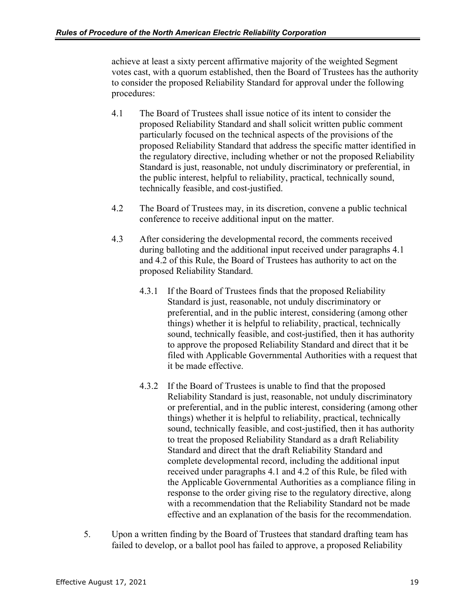achieve at least a sixty percent affirmative majority of the weighted Segment votes cast, with a quorum established, then the Board of Trustees has the authority to consider the proposed Reliability Standard for approval under the following procedures:

- 4.1 The Board of Trustees shall issue notice of its intent to consider the proposed Reliability Standard and shall solicit written public comment particularly focused on the technical aspects of the provisions of the proposed Reliability Standard that address the specific matter identified in the regulatory directive, including whether or not the proposed Reliability Standard is just, reasonable, not unduly discriminatory or preferential, in the public interest, helpful to reliability, practical, technically sound, technically feasible, and cost-justified.
- 4.2 The Board of Trustees may, in its discretion, convene a public technical conference to receive additional input on the matter.
- 4.3 After considering the developmental record, the comments received during balloting and the additional input received under paragraphs 4.1 and 4.2 of this Rule, the Board of Trustees has authority to act on the proposed Reliability Standard.
	- 4.3.1 If the Board of Trustees finds that the proposed Reliability Standard is just, reasonable, not unduly discriminatory or preferential, and in the public interest, considering (among other things) whether it is helpful to reliability, practical, technically sound, technically feasible, and cost-justified, then it has authority to approve the proposed Reliability Standard and direct that it be filed with Applicable Governmental Authorities with a request that it be made effective.
	- 4.3.2 If the Board of Trustees is unable to find that the proposed Reliability Standard is just, reasonable, not unduly discriminatory or preferential, and in the public interest, considering (among other things) whether it is helpful to reliability, practical, technically sound, technically feasible, and cost-justified, then it has authority to treat the proposed Reliability Standard as a draft Reliability Standard and direct that the draft Reliability Standard and complete developmental record, including the additional input received under paragraphs 4.1 and 4.2 of this Rule, be filed with the Applicable Governmental Authorities as a compliance filing in response to the order giving rise to the regulatory directive, along with a recommendation that the Reliability Standard not be made effective and an explanation of the basis for the recommendation.
- 5. Upon a written finding by the Board of Trustees that standard drafting team has failed to develop, or a ballot pool has failed to approve, a proposed Reliability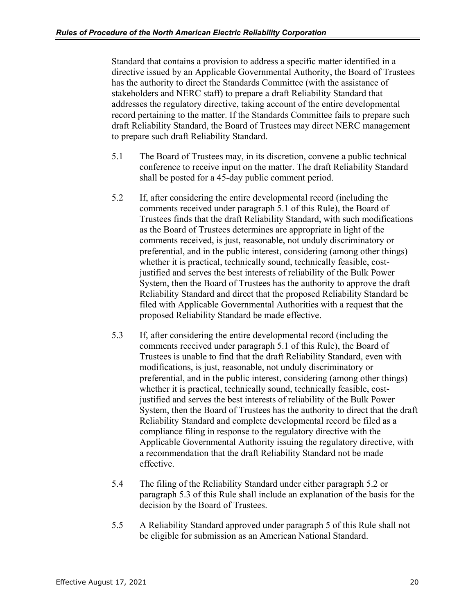Standard that contains a provision to address a specific matter identified in a directive issued by an Applicable Governmental Authority, the Board of Trustees has the authority to direct the Standards Committee (with the assistance of stakeholders and NERC staff) to prepare a draft Reliability Standard that addresses the regulatory directive, taking account of the entire developmental record pertaining to the matter. If the Standards Committee fails to prepare such draft Reliability Standard, the Board of Trustees may direct NERC management to prepare such draft Reliability Standard.

- 5.1 The Board of Trustees may, in its discretion, convene a public technical conference to receive input on the matter. The draft Reliability Standard shall be posted for a 45-day public comment period.
- 5.2 If, after considering the entire developmental record (including the comments received under paragraph 5.1 of this Rule), the Board of Trustees finds that the draft Reliability Standard, with such modifications as the Board of Trustees determines are appropriate in light of the comments received, is just, reasonable, not unduly discriminatory or preferential, and in the public interest, considering (among other things) whether it is practical, technically sound, technically feasible, costjustified and serves the best interests of reliability of the Bulk Power System, then the Board of Trustees has the authority to approve the draft Reliability Standard and direct that the proposed Reliability Standard be filed with Applicable Governmental Authorities with a request that the proposed Reliability Standard be made effective.
- 5.3 If, after considering the entire developmental record (including the comments received under paragraph 5.1 of this Rule), the Board of Trustees is unable to find that the draft Reliability Standard, even with modifications, is just, reasonable, not unduly discriminatory or preferential, and in the public interest, considering (among other things) whether it is practical, technically sound, technically feasible, costjustified and serves the best interests of reliability of the Bulk Power System, then the Board of Trustees has the authority to direct that the draft Reliability Standard and complete developmental record be filed as a compliance filing in response to the regulatory directive with the Applicable Governmental Authority issuing the regulatory directive, with a recommendation that the draft Reliability Standard not be made effective.
- 5.4 The filing of the Reliability Standard under either paragraph 5.2 or paragraph 5.3 of this Rule shall include an explanation of the basis for the decision by the Board of Trustees.
- 5.5 A Reliability Standard approved under paragraph 5 of this Rule shall not be eligible for submission as an American National Standard.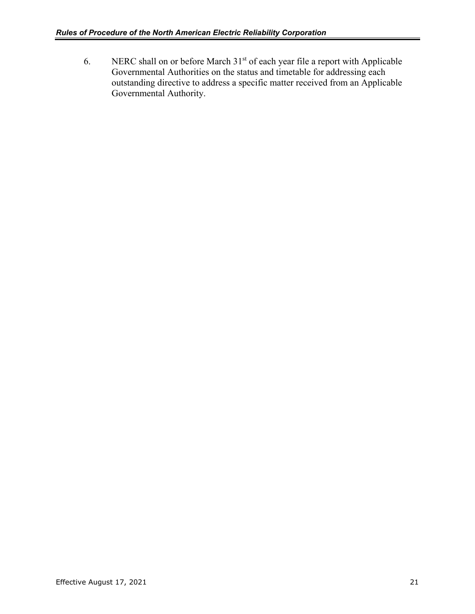6. NERC shall on or before March 31<sup>st</sup> of each year file a report with Applicable Governmental Authorities on the status and timetable for addressing each outstanding directive to address a specific matter received from an Applicable Governmental Authority.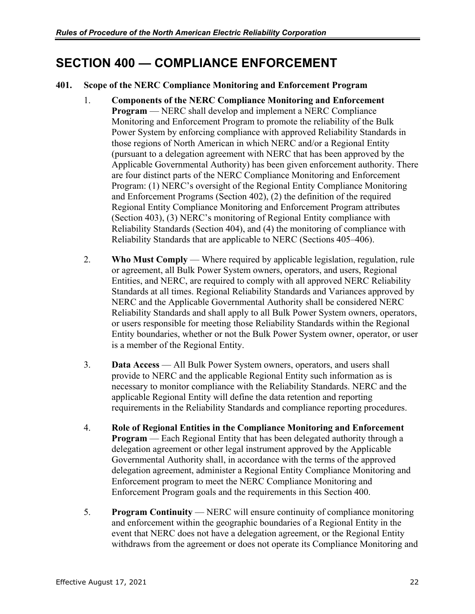# <span id="page-26-0"></span>**SECTION 400 — COMPLIANCE ENFORCEMENT**

# <span id="page-26-1"></span>**401. Scope of the NERC Compliance Monitoring and Enforcement Program**

- 1. **Components of the NERC Compliance Monitoring and Enforcement Program** — NERC shall develop and implement a NERC Compliance Monitoring and Enforcement Program to promote the reliability of the Bulk Power System by enforcing compliance with approved Reliability Standards in those regions of North American in which NERC and/or a Regional Entity (pursuant to a delegation agreement with NERC that has been approved by the Applicable Governmental Authority) has been given enforcement authority. There are four distinct parts of the NERC Compliance Monitoring and Enforcement Program: (1) NERC's oversight of the Regional Entity Compliance Monitoring and Enforcement Programs (Section 402), (2) the definition of the required Regional Entity Compliance Monitoring and Enforcement Program attributes (Section 403), (3) NERC's monitoring of Regional Entity compliance with Reliability Standards (Section 404), and (4) the monitoring of compliance with Reliability Standards that are applicable to NERC (Sections 405–406).
- 2. **Who Must Comply** Where required by applicable legislation, regulation, rule or agreement, all Bulk Power System owners, operators, and users, Regional Entities, and NERC, are required to comply with all approved NERC Reliability Standards at all times. Regional Reliability Standards and Variances approved by NERC and the Applicable Governmental Authority shall be considered NERC Reliability Standards and shall apply to all Bulk Power System owners, operators, or users responsible for meeting those Reliability Standards within the Regional Entity boundaries, whether or not the Bulk Power System owner, operator, or user is a member of the Regional Entity.
- 3. **Data Access** All Bulk Power System owners, operators, and users shall provide to NERC and the applicable Regional Entity such information as is necessary to monitor compliance with the Reliability Standards. NERC and the applicable Regional Entity will define the data retention and reporting requirements in the Reliability Standards and compliance reporting procedures.
- 4. **Role of Regional Entities in the Compliance Monitoring and Enforcement Program** — Each Regional Entity that has been delegated authority through a delegation agreement or other legal instrument approved by the Applicable Governmental Authority shall, in accordance with the terms of the approved delegation agreement, administer a Regional Entity Compliance Monitoring and Enforcement program to meet the NERC Compliance Monitoring and Enforcement Program goals and the requirements in this Section 400.
- 5. **Program Continuity** NERC will ensure continuity of compliance monitoring and enforcement within the geographic boundaries of a Regional Entity in the event that NERC does not have a delegation agreement, or the Regional Entity withdraws from the agreement or does not operate its Compliance Monitoring and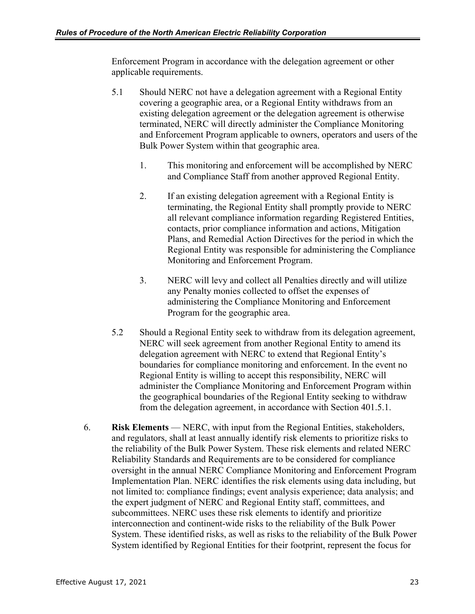Enforcement Program in accordance with the delegation agreement or other applicable requirements.

- 5.1 Should NERC not have a delegation agreement with a Regional Entity covering a geographic area, or a Regional Entity withdraws from an existing delegation agreement or the delegation agreement is otherwise terminated, NERC will directly administer the Compliance Monitoring and Enforcement Program applicable to owners, operators and users of the Bulk Power System within that geographic area.
	- 1. This monitoring and enforcement will be accomplished by NERC and Compliance Staff from another approved Regional Entity.
	- 2. If an existing delegation agreement with a Regional Entity is terminating, the Regional Entity shall promptly provide to NERC all relevant compliance information regarding Registered Entities, contacts, prior compliance information and actions, Mitigation Plans, and Remedial Action Directives for the period in which the Regional Entity was responsible for administering the Compliance Monitoring and Enforcement Program.
	- 3. NERC will levy and collect all Penalties directly and will utilize any Penalty monies collected to offset the expenses of administering the Compliance Monitoring and Enforcement Program for the geographic area.
- 5.2 Should a Regional Entity seek to withdraw from its delegation agreement, NERC will seek agreement from another Regional Entity to amend its delegation agreement with NERC to extend that Regional Entity's boundaries for compliance monitoring and enforcement. In the event no Regional Entity is willing to accept this responsibility, NERC will administer the Compliance Monitoring and Enforcement Program within the geographical boundaries of the Regional Entity seeking to withdraw from the delegation agreement, in accordance with Section 401.5.1.
- 6. **Risk Elements** NERC, with input from the Regional Entities, stakeholders, and regulators, shall at least annually identify risk elements to prioritize risks to the reliability of the Bulk Power System. These risk elements and related NERC Reliability Standards and Requirements are to be considered for compliance oversight in the annual NERC Compliance Monitoring and Enforcement Program Implementation Plan. NERC identifies the risk elements using data including, but not limited to: compliance findings; event analysis experience; data analysis; and the expert judgment of NERC and Regional Entity staff, committees, and subcommittees. NERC uses these risk elements to identify and prioritize interconnection and continent-wide risks to the reliability of the Bulk Power System. These identified risks, as well as risks to the reliability of the Bulk Power System identified by Regional Entities for their footprint, represent the focus for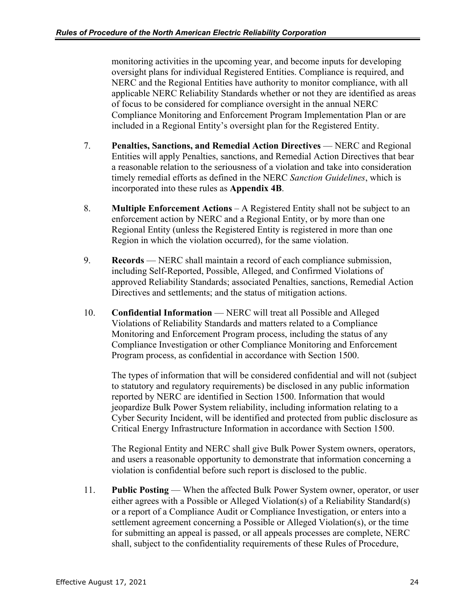monitoring activities in the upcoming year, and become inputs for developing oversight plans for individual Registered Entities. Compliance is required, and NERC and the Regional Entities have authority to monitor compliance, with all applicable NERC Reliability Standards whether or not they are identified as areas of focus to be considered for compliance oversight in the annual NERC Compliance Monitoring and Enforcement Program Implementation Plan or are included in a Regional Entity's oversight plan for the Registered Entity.

- 7. **Penalties, Sanctions, and Remedial Action Directives**  NERC and Regional Entities will apply Penalties, sanctions, and Remedial Action Directives that bear a reasonable relation to the seriousness of a violation and take into consideration timely remedial efforts as defined in the NERC *Sanction Guidelines*, which is incorporated into these rules as **Appendix 4B**.
- 8. **Multiple Enforcement Actions** A Registered Entity shall not be subject to an enforcement action by NERC and a Regional Entity, or by more than one Regional Entity (unless the Registered Entity is registered in more than one Region in which the violation occurred), for the same violation.
- 9. **Records**  NERC shall maintain a record of each compliance submission, including Self-Reported, Possible, Alleged, and Confirmed Violations of approved Reliability Standards; associated Penalties, sanctions, Remedial Action Directives and settlements; and the status of mitigation actions.
- 10. **Confidential Information** NERC will treat all Possible and Alleged Violations of Reliability Standards and matters related to a Compliance Monitoring and Enforcement Program process, including the status of any Compliance Investigation or other Compliance Monitoring and Enforcement Program process, as confidential in accordance with Section 1500.

The types of information that will be considered confidential and will not (subject to statutory and regulatory requirements) be disclosed in any public information reported by NERC are identified in Section 1500. Information that would jeopardize Bulk Power System reliability, including information relating to a Cyber Security Incident, will be identified and protected from public disclosure as Critical Energy Infrastructure Information in accordance with Section 1500.

The Regional Entity and NERC shall give Bulk Power System owners, operators, and users a reasonable opportunity to demonstrate that information concerning a violation is confidential before such report is disclosed to the public.

11. **Public Posting** — When the affected Bulk Power System owner, operator, or user either agrees with a Possible or Alleged Violation(s) of a Reliability Standard(s) or a report of a Compliance Audit or Compliance Investigation, or enters into a settlement agreement concerning a Possible or Alleged Violation(s), or the time for submitting an appeal is passed, or all appeals processes are complete, NERC shall, subject to the confidentiality requirements of these Rules of Procedure,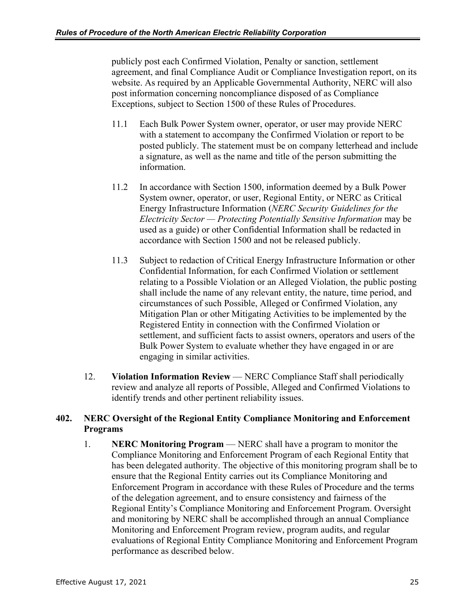publicly post each Confirmed Violation, Penalty or sanction, settlement agreement, and final Compliance Audit or Compliance Investigation report, on its website. As required by an Applicable Governmental Authority, NERC will also post information concerning noncompliance disposed of as Compliance Exceptions, subject to Section 1500 of these Rules of Procedures.

- 11.1 Each Bulk Power System owner, operator, or user may provide NERC with a statement to accompany the Confirmed Violation or report to be posted publicly. The statement must be on company letterhead and include a signature, as well as the name and title of the person submitting the information.
- 11.2 In accordance with Section 1500, information deemed by a Bulk Power System owner, operator, or user, Regional Entity, or NERC as Critical Energy Infrastructure Information (*NERC Security Guidelines for the Electricity Sector — Protecting Potentially Sensitive Information* may be used as a guide) or other Confidential Information shall be redacted in accordance with Section 1500 and not be released publicly.
- 11.3 Subject to redaction of Critical Energy Infrastructure Information or other Confidential Information, for each Confirmed Violation or settlement relating to a Possible Violation or an Alleged Violation, the public posting shall include the name of any relevant entity, the nature, time period, and circumstances of such Possible, Alleged or Confirmed Violation, any Mitigation Plan or other Mitigating Activities to be implemented by the Registered Entity in connection with the Confirmed Violation or settlement, and sufficient facts to assist owners, operators and users of the Bulk Power System to evaluate whether they have engaged in or are engaging in similar activities.
- 12. **Violation Information Review** NERC Compliance Staff shall periodically review and analyze all reports of Possible, Alleged and Confirmed Violations to identify trends and other pertinent reliability issues.

# <span id="page-29-0"></span>**402. NERC Oversight of the Regional Entity Compliance Monitoring and Enforcement Programs**

1. **NERC Monitoring Program** — NERC shall have a program to monitor the Compliance Monitoring and Enforcement Program of each Regional Entity that has been delegated authority. The objective of this monitoring program shall be to ensure that the Regional Entity carries out its Compliance Monitoring and Enforcement Program in accordance with these Rules of Procedure and the terms of the delegation agreement, and to ensure consistency and fairness of the Regional Entity's Compliance Monitoring and Enforcement Program. Oversight and monitoring by NERC shall be accomplished through an annual Compliance Monitoring and Enforcement Program review, program audits, and regular evaluations of Regional Entity Compliance Monitoring and Enforcement Program performance as described below.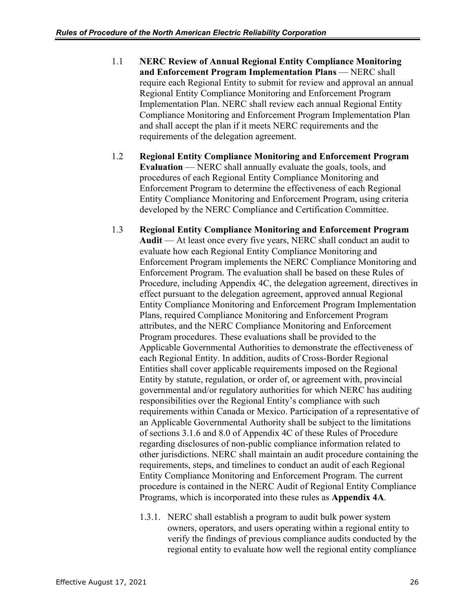- 1.1 **NERC Review of Annual Regional Entity Compliance Monitoring and Enforcement Program Implementation Plans** — NERC shall require each Regional Entity to submit for review and approval an annual Regional Entity Compliance Monitoring and Enforcement Program Implementation Plan. NERC shall review each annual Regional Entity Compliance Monitoring and Enforcement Program Implementation Plan and shall accept the plan if it meets NERC requirements and the requirements of the delegation agreement.
- 1.2 **Regional Entity Compliance Monitoring and Enforcement Program Evaluation** — NERC shall annually evaluate the goals, tools, and procedures of each Regional Entity Compliance Monitoring and Enforcement Program to determine the effectiveness of each Regional Entity Compliance Monitoring and Enforcement Program, using criteria developed by the NERC Compliance and Certification Committee.
- 1.3 **Regional Entity Compliance Monitoring and Enforcement Program Audit** — At least once every five years, NERC shall conduct an audit to evaluate how each Regional Entity Compliance Monitoring and Enforcement Program implements the NERC Compliance Monitoring and Enforcement Program. The evaluation shall be based on these Rules of Procedure, including Appendix 4C, the delegation agreement, directives in effect pursuant to the delegation agreement, approved annual Regional Entity Compliance Monitoring and Enforcement Program Implementation Plans, required Compliance Monitoring and Enforcement Program attributes, and the NERC Compliance Monitoring and Enforcement Program procedures. These evaluations shall be provided to the Applicable Governmental Authorities to demonstrate the effectiveness of each Regional Entity. In addition, audits of Cross-Border Regional Entities shall cover applicable requirements imposed on the Regional Entity by statute, regulation, or order of, or agreement with, provincial governmental and/or regulatory authorities for which NERC has auditing responsibilities over the Regional Entity's compliance with such requirements within Canada or Mexico. Participation of a representative of an Applicable Governmental Authority shall be subject to the limitations of sections 3.1.6 and 8.0 of Appendix 4C of these Rules of Procedure regarding disclosures of non-public compliance information related to other jurisdictions. NERC shall maintain an audit procedure containing the requirements, steps, and timelines to conduct an audit of each Regional Entity Compliance Monitoring and Enforcement Program. The current procedure is contained in the NERC Audit of Regional Entity Compliance Programs, which is incorporated into these rules as **Appendix 4A**.
	- 1.3.1. NERC shall establish a program to audit bulk power system owners, operators, and users operating within a regional entity to verify the findings of previous compliance audits conducted by the regional entity to evaluate how well the regional entity compliance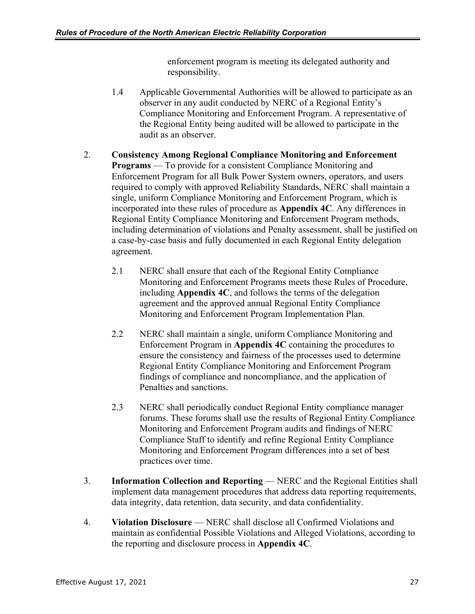enforcement program is meeting its delegated authority and responsibility.

- 1.4 Applicable Governmental Authorities will be allowed to participate as an observer in any audit conducted by NERC of a Regional Entity's Compliance Monitoring and Enforcement Program. A representative of the Regional Entity being audited will be allowed to participate in the audit as an observer.
- 2. **Consistency Among Regional Compliance Monitoring and Enforcement Programs** — To provide for a consistent Compliance Monitoring and Enforcement Program for all Bulk Power System owners, operators, and users required to comply with approved Reliability Standards, NERC shall maintain a single, uniform Compliance Monitoring and Enforcement Program, which is incorporated into these rules of procedure as **Appendix 4C**. Any differences in Regional Entity Compliance Monitoring and Enforcement Program methods, including determination of violations and Penalty assessment, shall be justified on a case-by-case basis and fully documented in each Regional Entity delegation agreement.
	- 2.1 NERC shall ensure that each of the Regional Entity Compliance Monitoring and Enforcement Programs meets these Rules of Procedure, including **Appendix 4C**, and follows the terms of the delegation agreement and the approved annual Regional Entity Compliance Monitoring and Enforcement Program Implementation Plan.
	- 2.2 NERC shall maintain a single, uniform Compliance Monitoring and Enforcement Program in **Appendix 4C** containing the procedures to ensure the consistency and fairness of the processes used to determine Regional Entity Compliance Monitoring and Enforcement Program findings of compliance and noncompliance, and the application of Penalties and sanctions.
	- 2.3 NERC shall periodically conduct Regional Entity compliance manager forums. These forums shall use the results of Regional Entity Compliance Monitoring and Enforcement Program audits and findings of NERC Compliance Staff to identify and refine Regional Entity Compliance Monitoring and Enforcement Program differences into a set of best practices over time.
- 3. **Information Collection and Reporting** NERC and the Regional Entities shall implement data management procedures that address data reporting requirements, data integrity, data retention, data security, and data confidentiality.
- 4. **Violation Disclosure** NERC shall disclose all Confirmed Violations and maintain as confidential Possible Violations and Alleged Violations, according to the reporting and disclosure process in **Appendix 4C**.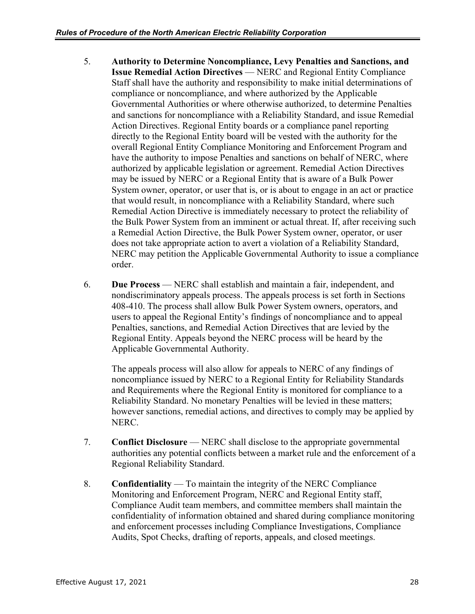- 5. **Authority to Determine Noncompliance, Levy Penalties and Sanctions, and Issue Remedial Action Directives** — NERC and Regional Entity Compliance Staff shall have the authority and responsibility to make initial determinations of compliance or noncompliance, and where authorized by the Applicable Governmental Authorities or where otherwise authorized, to determine Penalties and sanctions for noncompliance with a Reliability Standard, and issue Remedial Action Directives. Regional Entity boards or a compliance panel reporting directly to the Regional Entity board will be vested with the authority for the overall Regional Entity Compliance Monitoring and Enforcement Program and have the authority to impose Penalties and sanctions on behalf of NERC, where authorized by applicable legislation or agreement. Remedial Action Directives may be issued by NERC or a Regional Entity that is aware of a Bulk Power System owner, operator, or user that is, or is about to engage in an act or practice that would result, in noncompliance with a Reliability Standard, where such Remedial Action Directive is immediately necessary to protect the reliability of the Bulk Power System from an imminent or actual threat. If, after receiving such a Remedial Action Directive, the Bulk Power System owner, operator, or user does not take appropriate action to avert a violation of a Reliability Standard, NERC may petition the Applicable Governmental Authority to issue a compliance order.
- 6. **Due Process**  NERC shall establish and maintain a fair, independent, and nondiscriminatory appeals process. The appeals process is set forth in Sections 408-410. The process shall allow Bulk Power System owners, operators, and users to appeal the Regional Entity's findings of noncompliance and to appeal Penalties, sanctions, and Remedial Action Directives that are levied by the Regional Entity. Appeals beyond the NERC process will be heard by the Applicable Governmental Authority.

The appeals process will also allow for appeals to NERC of any findings of noncompliance issued by NERC to a Regional Entity for Reliability Standards and Requirements where the Regional Entity is monitored for compliance to a Reliability Standard. No monetary Penalties will be levied in these matters; however sanctions, remedial actions, and directives to comply may be applied by NERC.

- 7. **Conflict Disclosure** NERC shall disclose to the appropriate governmental authorities any potential conflicts between a market rule and the enforcement of a Regional Reliability Standard.
- 8. **Confidentiality** To maintain the integrity of the NERC Compliance Monitoring and Enforcement Program, NERC and Regional Entity staff, Compliance Audit team members, and committee members shall maintain the confidentiality of information obtained and shared during compliance monitoring and enforcement processes including Compliance Investigations, Compliance Audits, Spot Checks, drafting of reports, appeals, and closed meetings.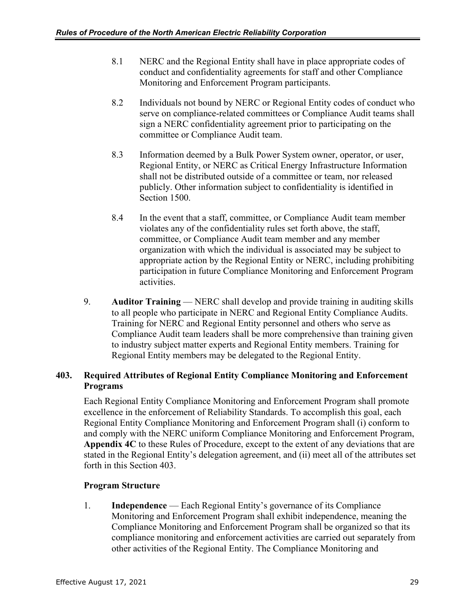- 8.1 NERC and the Regional Entity shall have in place appropriate codes of conduct and confidentiality agreements for staff and other Compliance Monitoring and Enforcement Program participants.
- 8.2 Individuals not bound by NERC or Regional Entity codes of conduct who serve on compliance-related committees or Compliance Audit teams shall sign a NERC confidentiality agreement prior to participating on the committee or Compliance Audit team.
- 8.3 Information deemed by a Bulk Power System owner, operator, or user, Regional Entity, or NERC as Critical Energy Infrastructure Information shall not be distributed outside of a committee or team, nor released publicly. Other information subject to confidentiality is identified in Section 1500.
- 8.4 In the event that a staff, committee, or Compliance Audit team member violates any of the confidentiality rules set forth above, the staff, committee, or Compliance Audit team member and any member organization with which the individual is associated may be subject to appropriate action by the Regional Entity or NERC, including prohibiting participation in future Compliance Monitoring and Enforcement Program activities.
- 9. **Auditor Training** NERC shall develop and provide training in auditing skills to all people who participate in NERC and Regional Entity Compliance Audits. Training for NERC and Regional Entity personnel and others who serve as Compliance Audit team leaders shall be more comprehensive than training given to industry subject matter experts and Regional Entity members. Training for Regional Entity members may be delegated to the Regional Entity.

# <span id="page-33-0"></span>**403. Required Attributes of Regional Entity Compliance Monitoring and Enforcement Programs**

Each Regional Entity Compliance Monitoring and Enforcement Program shall promote excellence in the enforcement of Reliability Standards. To accomplish this goal, each Regional Entity Compliance Monitoring and Enforcement Program shall (i) conform to and comply with the NERC uniform Compliance Monitoring and Enforcement Program, **Appendix 4C** to these Rules of Procedure, except to the extent of any deviations that are stated in the Regional Entity's delegation agreement, and (ii) meet all of the attributes set forth in this Section 403.

# **Program Structure**

1. **Independence** — Each Regional Entity's governance of its Compliance Monitoring and Enforcement Program shall exhibit independence, meaning the Compliance Monitoring and Enforcement Program shall be organized so that its compliance monitoring and enforcement activities are carried out separately from other activities of the Regional Entity. The Compliance Monitoring and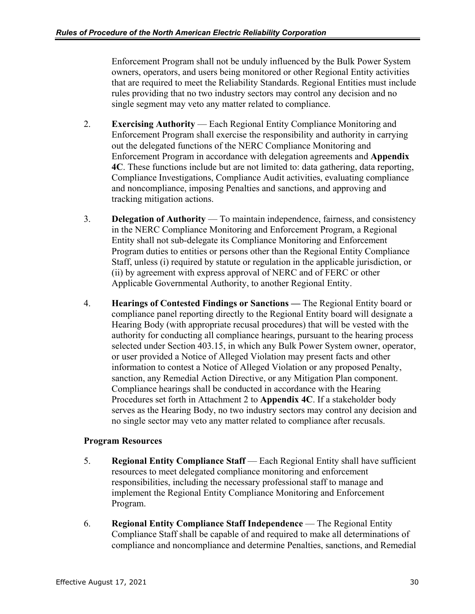Enforcement Program shall not be unduly influenced by the Bulk Power System owners, operators, and users being monitored or other Regional Entity activities that are required to meet the Reliability Standards. Regional Entities must include rules providing that no two industry sectors may control any decision and no single segment may veto any matter related to compliance.

- 2. **Exercising Authority** Each Regional Entity Compliance Monitoring and Enforcement Program shall exercise the responsibility and authority in carrying out the delegated functions of the NERC Compliance Monitoring and Enforcement Program in accordance with delegation agreements and **Appendix 4C**. These functions include but are not limited to: data gathering, data reporting, Compliance Investigations, Compliance Audit activities, evaluating compliance and noncompliance, imposing Penalties and sanctions, and approving and tracking mitigation actions.
- 3. **Delegation of Authority** To maintain independence, fairness, and consistency in the NERC Compliance Monitoring and Enforcement Program, a Regional Entity shall not sub-delegate its Compliance Monitoring and Enforcement Program duties to entities or persons other than the Regional Entity Compliance Staff, unless (i) required by statute or regulation in the applicable jurisdiction, or (ii) by agreement with express approval of NERC and of FERC or other Applicable Governmental Authority, to another Regional Entity.
- 4. **Hearings of Contested Findings or Sanctions —** The Regional Entity board or compliance panel reporting directly to the Regional Entity board will designate a Hearing Body (with appropriate recusal procedures) that will be vested with the authority for conducting all compliance hearings, pursuant to the hearing process selected under Section 403.15, in which any Bulk Power System owner, operator, or user provided a Notice of Alleged Violation may present facts and other information to contest a Notice of Alleged Violation or any proposed Penalty, sanction, any Remedial Action Directive, or any Mitigation Plan component. Compliance hearings shall be conducted in accordance with the Hearing Procedures set forth in Attachment 2 to **Appendix 4C**. If a stakeholder body serves as the Hearing Body, no two industry sectors may control any decision and no single sector may veto any matter related to compliance after recusals.

# **Program Resources**

- 5. **Regional Entity Compliance Staff** Each Regional Entity shall have sufficient resources to meet delegated compliance monitoring and enforcement responsibilities, including the necessary professional staff to manage and implement the Regional Entity Compliance Monitoring and Enforcement Program.
- 6. **Regional Entity Compliance Staff Independence** The Regional Entity Compliance Staff shall be capable of and required to make all determinations of compliance and noncompliance and determine Penalties, sanctions, and Remedial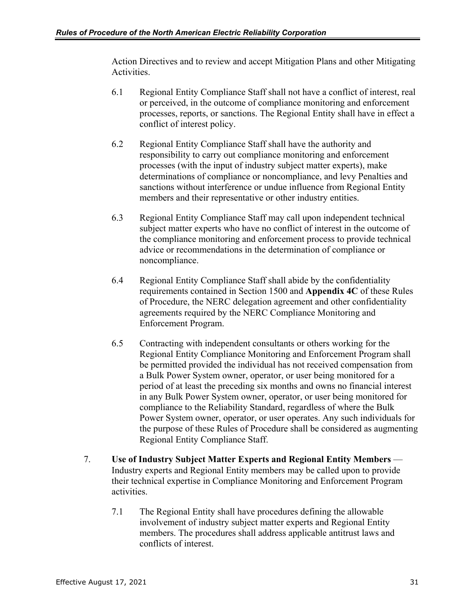Action Directives and to review and accept Mitigation Plans and other Mitigating Activities.

- 6.1 Regional Entity Compliance Staff shall not have a conflict of interest, real or perceived, in the outcome of compliance monitoring and enforcement processes, reports, or sanctions. The Regional Entity shall have in effect a conflict of interest policy.
- 6.2 Regional Entity Compliance Staff shall have the authority and responsibility to carry out compliance monitoring and enforcement processes (with the input of industry subject matter experts), make determinations of compliance or noncompliance, and levy Penalties and sanctions without interference or undue influence from Regional Entity members and their representative or other industry entities.
- 6.3 Regional Entity Compliance Staff may call upon independent technical subject matter experts who have no conflict of interest in the outcome of the compliance monitoring and enforcement process to provide technical advice or recommendations in the determination of compliance or noncompliance.
- 6.4 Regional Entity Compliance Staff shall abide by the confidentiality requirements contained in Section 1500 and **Appendix 4C** of these Rules of Procedure, the NERC delegation agreement and other confidentiality agreements required by the NERC Compliance Monitoring and Enforcement Program.
- 6.5 Contracting with independent consultants or others working for the Regional Entity Compliance Monitoring and Enforcement Program shall be permitted provided the individual has not received compensation from a Bulk Power System owner, operator, or user being monitored for a period of at least the preceding six months and owns no financial interest in any Bulk Power System owner, operator, or user being monitored for compliance to the Reliability Standard, regardless of where the Bulk Power System owner, operator, or user operates. Any such individuals for the purpose of these Rules of Procedure shall be considered as augmenting Regional Entity Compliance Staff.
- 7. **Use of Industry Subject Matter Experts and Regional Entity Members** Industry experts and Regional Entity members may be called upon to provide their technical expertise in Compliance Monitoring and Enforcement Program activities.
	- 7.1 The Regional Entity shall have procedures defining the allowable involvement of industry subject matter experts and Regional Entity members. The procedures shall address applicable antitrust laws and conflicts of interest.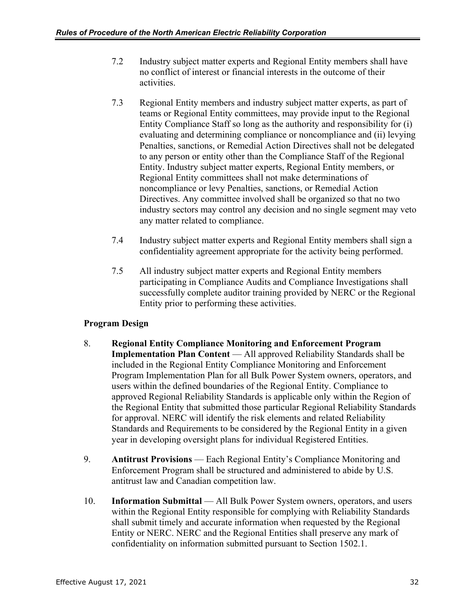- 7.2 Industry subject matter experts and Regional Entity members shall have no conflict of interest or financial interests in the outcome of their activities.
- 7.3 Regional Entity members and industry subject matter experts, as part of teams or Regional Entity committees, may provide input to the Regional Entity Compliance Staff so long as the authority and responsibility for (i) evaluating and determining compliance or noncompliance and (ii) levying Penalties, sanctions, or Remedial Action Directives shall not be delegated to any person or entity other than the Compliance Staff of the Regional Entity. Industry subject matter experts, Regional Entity members, or Regional Entity committees shall not make determinations of noncompliance or levy Penalties, sanctions, or Remedial Action Directives. Any committee involved shall be organized so that no two industry sectors may control any decision and no single segment may veto any matter related to compliance.
- 7.4 Industry subject matter experts and Regional Entity members shall sign a confidentiality agreement appropriate for the activity being performed.
- 7.5 All industry subject matter experts and Regional Entity members participating in Compliance Audits and Compliance Investigations shall successfully complete auditor training provided by NERC or the Regional Entity prior to performing these activities.

## **Program Design**

- 8. **Regional Entity Compliance Monitoring and Enforcement Program Implementation Plan Content** — All approved Reliability Standards shall be included in the Regional Entity Compliance Monitoring and Enforcement Program Implementation Plan for all Bulk Power System owners, operators, and users within the defined boundaries of the Regional Entity. Compliance to approved Regional Reliability Standards is applicable only within the Region of the Regional Entity that submitted those particular Regional Reliability Standards for approval. NERC will identify the risk elements and related Reliability Standards and Requirements to be considered by the Regional Entity in a given year in developing oversight plans for individual Registered Entities.
- 9. **Antitrust Provisions** Each Regional Entity's Compliance Monitoring and Enforcement Program shall be structured and administered to abide by U.S. antitrust law and Canadian competition law.
- 10. **Information Submittal** All Bulk Power System owners, operators, and users within the Regional Entity responsible for complying with Reliability Standards shall submit timely and accurate information when requested by the Regional Entity or NERC. NERC and the Regional Entities shall preserve any mark of confidentiality on information submitted pursuant to Section 1502.1.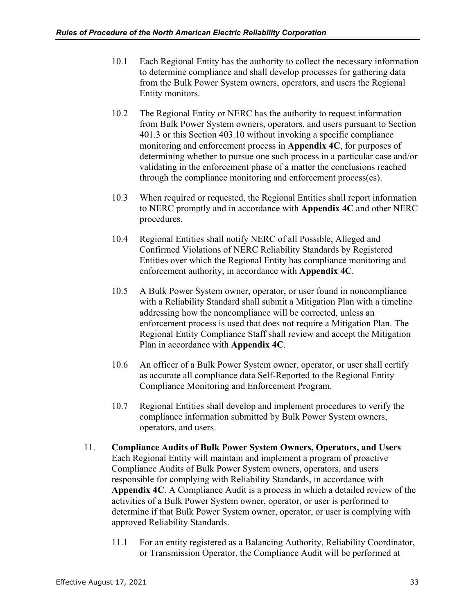- 10.1 Each Regional Entity has the authority to collect the necessary information to determine compliance and shall develop processes for gathering data from the Bulk Power System owners, operators, and users the Regional Entity monitors.
- 10.2 The Regional Entity or NERC has the authority to request information from Bulk Power System owners, operators, and users pursuant to Section 401.3 or this Section 403.10 without invoking a specific compliance monitoring and enforcement process in **Appendix 4C**, for purposes of determining whether to pursue one such process in a particular case and/or validating in the enforcement phase of a matter the conclusions reached through the compliance monitoring and enforcement process(es).
- 10.3 When required or requested, the Regional Entities shall report information to NERC promptly and in accordance with **Appendix 4C** and other NERC procedures.
- 10.4 Regional Entities shall notify NERC of all Possible, Alleged and Confirmed Violations of NERC Reliability Standards by Registered Entities over which the Regional Entity has compliance monitoring and enforcement authority, in accordance with **Appendix 4C**.
- 10.5 A Bulk Power System owner, operator, or user found in noncompliance with a Reliability Standard shall submit a Mitigation Plan with a timeline addressing how the noncompliance will be corrected, unless an enforcement process is used that does not require a Mitigation Plan. The Regional Entity Compliance Staff shall review and accept the Mitigation Plan in accordance with **Appendix 4C**.
- 10.6 An officer of a Bulk Power System owner, operator, or user shall certify as accurate all compliance data Self-Reported to the Regional Entity Compliance Monitoring and Enforcement Program.
- 10.7 Regional Entities shall develop and implement procedures to verify the compliance information submitted by Bulk Power System owners, operators, and users.
- 11. **Compliance Audits of Bulk Power System Owners, Operators, and Users** Each Regional Entity will maintain and implement a program of proactive Compliance Audits of Bulk Power System owners, operators, and users responsible for complying with Reliability Standards, in accordance with **Appendix 4C**. A Compliance Audit is a process in which a detailed review of the activities of a Bulk Power System owner, operator, or user is performed to determine if that Bulk Power System owner, operator, or user is complying with approved Reliability Standards.
	- 11.1 For an entity registered as a Balancing Authority, Reliability Coordinator, or Transmission Operator, the Compliance Audit will be performed at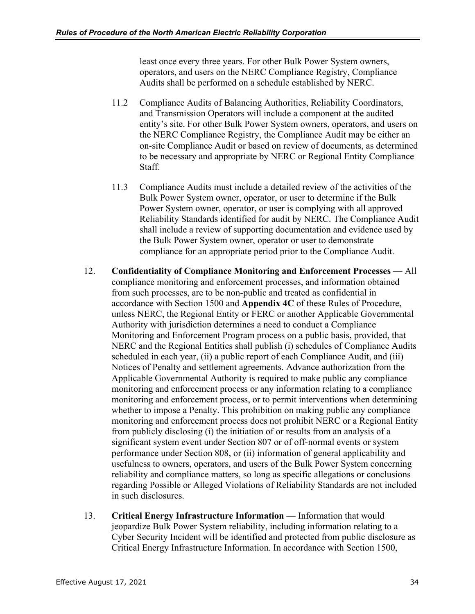least once every three years. For other Bulk Power System owners, operators, and users on the NERC Compliance Registry, Compliance Audits shall be performed on a schedule established by NERC.

- 11.2 Compliance Audits of Balancing Authorities, Reliability Coordinators, and Transmission Operators will include a component at the audited entity's site. For other Bulk Power System owners, operators, and users on the NERC Compliance Registry, the Compliance Audit may be either an on-site Compliance Audit or based on review of documents, as determined to be necessary and appropriate by NERC or Regional Entity Compliance Staff.
- 11.3 Compliance Audits must include a detailed review of the activities of the Bulk Power System owner, operator, or user to determine if the Bulk Power System owner, operator, or user is complying with all approved Reliability Standards identified for audit by NERC. The Compliance Audit shall include a review of supporting documentation and evidence used by the Bulk Power System owner, operator or user to demonstrate compliance for an appropriate period prior to the Compliance Audit.
- 12. **Confidentiality of Compliance Monitoring and Enforcement Processes** All compliance monitoring and enforcement processes, and information obtained from such processes, are to be non-public and treated as confidential in accordance with Section 1500 and **Appendix 4C** of these Rules of Procedure, unless NERC, the Regional Entity or FERC or another Applicable Governmental Authority with jurisdiction determines a need to conduct a Compliance Monitoring and Enforcement Program process on a public basis, provided, that NERC and the Regional Entities shall publish (i) schedules of Compliance Audits scheduled in each year, (ii) a public report of each Compliance Audit, and (iii) Notices of Penalty and settlement agreements. Advance authorization from the Applicable Governmental Authority is required to make public any compliance monitoring and enforcement process or any information relating to a compliance monitoring and enforcement process, or to permit interventions when determining whether to impose a Penalty. This prohibition on making public any compliance monitoring and enforcement process does not prohibit NERC or a Regional Entity from publicly disclosing (i) the initiation of or results from an analysis of a significant system event under Section 807 or of off-normal events or system performance under Section 808, or (ii) information of general applicability and usefulness to owners, operators, and users of the Bulk Power System concerning reliability and compliance matters, so long as specific allegations or conclusions regarding Possible or Alleged Violations of Reliability Standards are not included in such disclosures.
- 13. **Critical Energy Infrastructure Information** Information that would jeopardize Bulk Power System reliability, including information relating to a Cyber Security Incident will be identified and protected from public disclosure as Critical Energy Infrastructure Information. In accordance with Section 1500,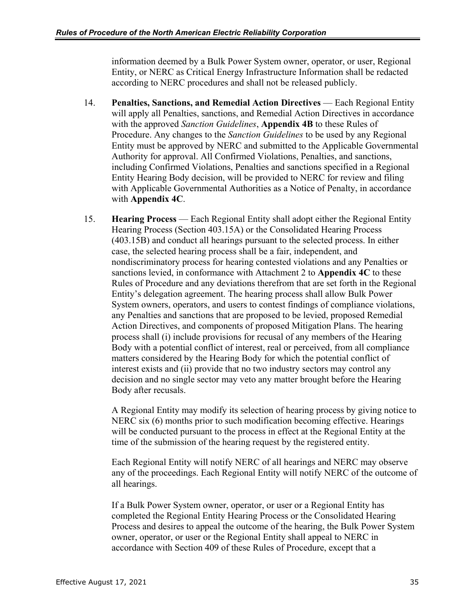information deemed by a Bulk Power System owner, operator, or user, Regional Entity, or NERC as Critical Energy Infrastructure Information shall be redacted according to NERC procedures and shall not be released publicly.

- 14. **Penalties, Sanctions, and Remedial Action Directives**  Each Regional Entity will apply all Penalties, sanctions, and Remedial Action Directives in accordance with the approved *Sanction Guidelines*, **Appendix 4B** to these Rules of Procedure. Any changes to the *Sanction Guidelines* to be used by any Regional Entity must be approved by NERC and submitted to the Applicable Governmental Authority for approval. All Confirmed Violations, Penalties, and sanctions, including Confirmed Violations, Penalties and sanctions specified in a Regional Entity Hearing Body decision, will be provided to NERC for review and filing with Applicable Governmental Authorities as a Notice of Penalty, in accordance with **Appendix 4C**.
- 15. **Hearing Process** Each Regional Entity shall adopt either the Regional Entity Hearing Process (Section 403.15A) or the Consolidated Hearing Process (403.15B) and conduct all hearings pursuant to the selected process. In either case, the selected hearing process shall be a fair, independent, and nondiscriminatory process for hearing contested violations and any Penalties or sanctions levied, in conformance with Attachment 2 to **Appendix 4C** to these Rules of Procedure and any deviations therefrom that are set forth in the Regional Entity's delegation agreement. The hearing process shall allow Bulk Power System owners, operators, and users to contest findings of compliance violations, any Penalties and sanctions that are proposed to be levied, proposed Remedial Action Directives, and components of proposed Mitigation Plans. The hearing process shall (i) include provisions for recusal of any members of the Hearing Body with a potential conflict of interest, real or perceived, from all compliance matters considered by the Hearing Body for which the potential conflict of interest exists and (ii) provide that no two industry sectors may control any decision and no single sector may veto any matter brought before the Hearing Body after recusals.

A Regional Entity may modify its selection of hearing process by giving notice to NERC six (6) months prior to such modification becoming effective. Hearings will be conducted pursuant to the process in effect at the Regional Entity at the time of the submission of the hearing request by the registered entity.

Each Regional Entity will notify NERC of all hearings and NERC may observe any of the proceedings. Each Regional Entity will notify NERC of the outcome of all hearings.

If a Bulk Power System owner, operator, or user or a Regional Entity has completed the Regional Entity Hearing Process or the Consolidated Hearing Process and desires to appeal the outcome of the hearing, the Bulk Power System owner, operator, or user or the Regional Entity shall appeal to NERC in accordance with Section 409 of these Rules of Procedure, except that a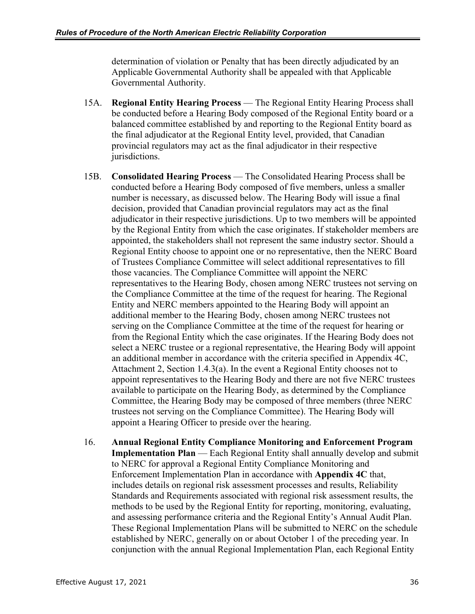determination of violation or Penalty that has been directly adjudicated by an Applicable Governmental Authority shall be appealed with that Applicable Governmental Authority.

- 15A. **Regional Entity Hearing Process** The Regional Entity Hearing Process shall be conducted before a Hearing Body composed of the Regional Entity board or a balanced committee established by and reporting to the Regional Entity board as the final adjudicator at the Regional Entity level, provided, that Canadian provincial regulators may act as the final adjudicator in their respective jurisdictions.
- 15B. **Consolidated Hearing Process** The Consolidated Hearing Process shall be conducted before a Hearing Body composed of five members, unless a smaller number is necessary, as discussed below. The Hearing Body will issue a final decision, provided that Canadian provincial regulators may act as the final adjudicator in their respective jurisdictions. Up to two members will be appointed by the Regional Entity from which the case originates. If stakeholder members are appointed, the stakeholders shall not represent the same industry sector. Should a Regional Entity choose to appoint one or no representative, then the NERC Board of Trustees Compliance Committee will select additional representatives to fill those vacancies. The Compliance Committee will appoint the NERC representatives to the Hearing Body, chosen among NERC trustees not serving on the Compliance Committee at the time of the request for hearing. The Regional Entity and NERC members appointed to the Hearing Body will appoint an additional member to the Hearing Body, chosen among NERC trustees not serving on the Compliance Committee at the time of the request for hearing or from the Regional Entity which the case originates. If the Hearing Body does not select a NERC trustee or a regional representative, the Hearing Body will appoint an additional member in accordance with the criteria specified in Appendix 4C, Attachment 2, Section 1.4.3(a). In the event a Regional Entity chooses not to appoint representatives to the Hearing Body and there are not five NERC trustees available to participate on the Hearing Body, as determined by the Compliance Committee, the Hearing Body may be composed of three members (three NERC trustees not serving on the Compliance Committee). The Hearing Body will appoint a Hearing Officer to preside over the hearing.
- 16. **Annual Regional Entity Compliance Monitoring and Enforcement Program Implementation Plan** — Each Regional Entity shall annually develop and submit to NERC for approval a Regional Entity Compliance Monitoring and Enforcement Implementation Plan in accordance with **Appendix 4C** that, includes details on regional risk assessment processes and results, Reliability Standards and Requirements associated with regional risk assessment results, the methods to be used by the Regional Entity for reporting, monitoring, evaluating, and assessing performance criteria and the Regional Entity's Annual Audit Plan. These Regional Implementation Plans will be submitted to NERC on the schedule established by NERC, generally on or about October 1 of the preceding year. In conjunction with the annual Regional Implementation Plan, each Regional Entity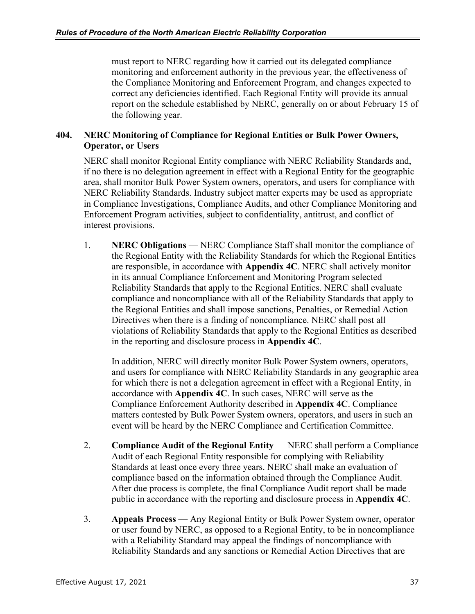must report to NERC regarding how it carried out its delegated compliance monitoring and enforcement authority in the previous year, the effectiveness of the Compliance Monitoring and Enforcement Program, and changes expected to correct any deficiencies identified. Each Regional Entity will provide its annual report on the schedule established by NERC, generally on or about February 15 of the following year.

## **404. NERC Monitoring of Compliance for Regional Entities or Bulk Power Owners, Operator, or Users**

NERC shall monitor Regional Entity compliance with NERC Reliability Standards and, if no there is no delegation agreement in effect with a Regional Entity for the geographic area, shall monitor Bulk Power System owners, operators, and users for compliance with NERC Reliability Standards. Industry subject matter experts may be used as appropriate in Compliance Investigations, Compliance Audits, and other Compliance Monitoring and Enforcement Program activities, subject to confidentiality, antitrust, and conflict of interest provisions.

1. **NERC Obligations** — NERC Compliance Staff shall monitor the compliance of the Regional Entity with the Reliability Standards for which the Regional Entities are responsible, in accordance with **Appendix 4C**. NERC shall actively monitor in its annual Compliance Enforcement and Monitoring Program selected Reliability Standards that apply to the Regional Entities. NERC shall evaluate compliance and noncompliance with all of the Reliability Standards that apply to the Regional Entities and shall impose sanctions, Penalties, or Remedial Action Directives when there is a finding of noncompliance. NERC shall post all violations of Reliability Standards that apply to the Regional Entities as described in the reporting and disclosure process in **Appendix 4C**.

In addition, NERC will directly monitor Bulk Power System owners, operators, and users for compliance with NERC Reliability Standards in any geographic area for which there is not a delegation agreement in effect with a Regional Entity, in accordance with **Appendix 4C**. In such cases, NERC will serve as the Compliance Enforcement Authority described in **Appendix 4C**. Compliance matters contested by Bulk Power System owners, operators, and users in such an event will be heard by the NERC Compliance and Certification Committee.

- 2. **Compliance Audit of the Regional Entity** NERC shall perform a Compliance Audit of each Regional Entity responsible for complying with Reliability Standards at least once every three years. NERC shall make an evaluation of compliance based on the information obtained through the Compliance Audit. After due process is complete, the final Compliance Audit report shall be made public in accordance with the reporting and disclosure process in **Appendix 4C**.
- 3. **Appeals Process** Any Regional Entity or Bulk Power System owner, operator or user found by NERC, as opposed to a Regional Entity, to be in noncompliance with a Reliability Standard may appeal the findings of noncompliance with Reliability Standards and any sanctions or Remedial Action Directives that are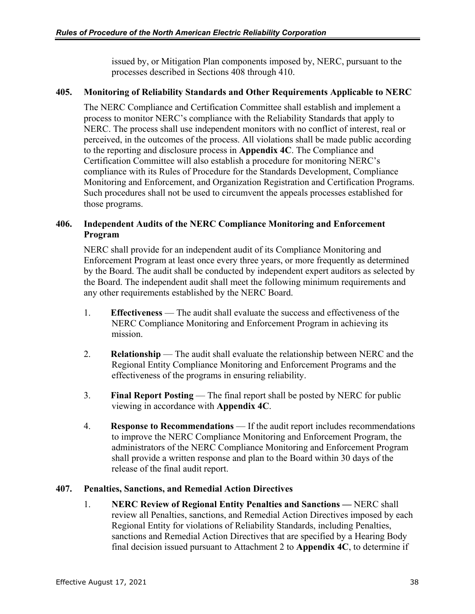issued by, or Mitigation Plan components imposed by, NERC, pursuant to the processes described in Sections 408 through 410.

### **405. Monitoring of Reliability Standards and Other Requirements Applicable to NERC**

The NERC Compliance and Certification Committee shall establish and implement a process to monitor NERC's compliance with the Reliability Standards that apply to NERC. The process shall use independent monitors with no conflict of interest, real or perceived, in the outcomes of the process. All violations shall be made public according to the reporting and disclosure process in **Appendix 4C**. The Compliance and Certification Committee will also establish a procedure for monitoring NERC's compliance with its Rules of Procedure for the Standards Development, Compliance Monitoring and Enforcement, and Organization Registration and Certification Programs. Such procedures shall not be used to circumvent the appeals processes established for those programs.

## **406. Independent Audits of the NERC Compliance Monitoring and Enforcement Program**

NERC shall provide for an independent audit of its Compliance Monitoring and Enforcement Program at least once every three years, or more frequently as determined by the Board. The audit shall be conducted by independent expert auditors as selected by the Board. The independent audit shall meet the following minimum requirements and any other requirements established by the NERC Board.

- 1. **Effectiveness**  The audit shall evaluate the success and effectiveness of the NERC Compliance Monitoring and Enforcement Program in achieving its mission.
- 2. **Relationship** The audit shall evaluate the relationship between NERC and the Regional Entity Compliance Monitoring and Enforcement Programs and the effectiveness of the programs in ensuring reliability.
- 3. **Final Report Posting** The final report shall be posted by NERC for public viewing in accordance with **Appendix 4C**.
- 4. **Response to Recommendations** If the audit report includes recommendations to improve the NERC Compliance Monitoring and Enforcement Program, the administrators of the NERC Compliance Monitoring and Enforcement Program shall provide a written response and plan to the Board within 30 days of the release of the final audit report.

#### **407. Penalties, Sanctions, and Remedial Action Directives**

1. **NERC Review of Regional Entity Penalties and Sanctions —** NERC shall review all Penalties, sanctions, and Remedial Action Directives imposed by each Regional Entity for violations of Reliability Standards, including Penalties, sanctions and Remedial Action Directives that are specified by a Hearing Body final decision issued pursuant to Attachment 2 to **Appendix 4C**, to determine if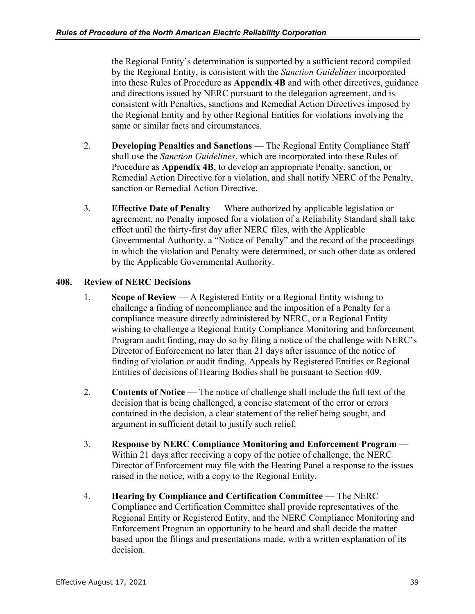the Regional Entity's determination is supported by a sufficient record compiled by the Regional Entity, is consistent with the *Sanction Guidelines* incorporated into these Rules of Procedure as **Appendix 4B** and with other directives, guidance and directions issued by NERC pursuant to the delegation agreement, and is consistent with Penalties, sanctions and Remedial Action Directives imposed by the Regional Entity and by other Regional Entities for violations involving the same or similar facts and circumstances.

- 2. **Developing Penalties and Sanctions** The Regional Entity Compliance Staff shall use the *Sanction Guidelines*, which are incorporated into these Rules of Procedure as **Appendix 4B**, to develop an appropriate Penalty, sanction, or Remedial Action Directive for a violation, and shall notify NERC of the Penalty, sanction or Remedial Action Directive.
- 3. **Effective Date of Penalty**  Where authorized by applicable legislation or agreement, no Penalty imposed for a violation of a Reliability Standard shall take effect until the thirty-first day after NERC files, with the Applicable Governmental Authority, a "Notice of Penalty" and the record of the proceedings in which the violation and Penalty were determined, or such other date as ordered by the Applicable Governmental Authority.

## **408. Review of NERC Decisions**

- 1. **Scope of Review**  A Registered Entity or a Regional Entity wishing to challenge a finding of noncompliance and the imposition of a Penalty for a compliance measure directly administered by NERC, or a Regional Entity wishing to challenge a Regional Entity Compliance Monitoring and Enforcement Program audit finding, may do so by filing a notice of the challenge with NERC's Director of Enforcement no later than 21 days after issuance of the notice of finding of violation or audit finding. Appeals by Registered Entities or Regional Entities of decisions of Hearing Bodies shall be pursuant to Section 409.
- 2. **Contents of Notice** The notice of challenge shall include the full text of the decision that is being challenged, a concise statement of the error or errors contained in the decision, a clear statement of the relief being sought, and argument in sufficient detail to justify such relief.
- 3. **Response by NERC Compliance Monitoring and Enforcement Program**  Within 21 days after receiving a copy of the notice of challenge, the NERC Director of Enforcement may file with the Hearing Panel a response to the issues raised in the notice, with a copy to the Regional Entity.
- 4. **Hearing by Compliance and Certification Committee**  The NERC Compliance and Certification Committee shall provide representatives of the Regional Entity or Registered Entity, and the NERC Compliance Monitoring and Enforcement Program an opportunity to be heard and shall decide the matter based upon the filings and presentations made, with a written explanation of its decision.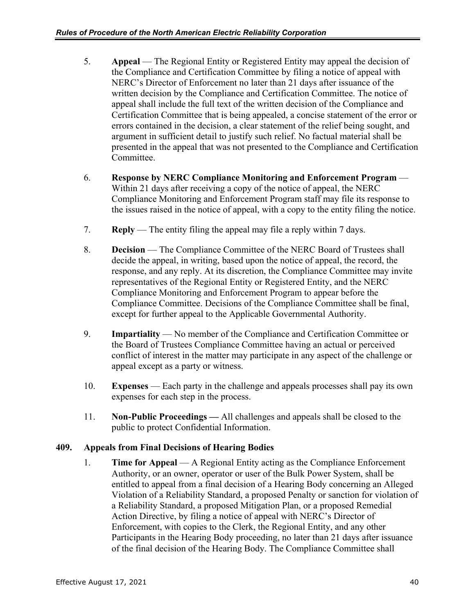- 5. **Appeal**  The Regional Entity or Registered Entity may appeal the decision of the Compliance and Certification Committee by filing a notice of appeal with NERC's Director of Enforcement no later than 21 days after issuance of the written decision by the Compliance and Certification Committee. The notice of appeal shall include the full text of the written decision of the Compliance and Certification Committee that is being appealed, a concise statement of the error or errors contained in the decision, a clear statement of the relief being sought, and argument in sufficient detail to justify such relief. No factual material shall be presented in the appeal that was not presented to the Compliance and Certification Committee.
- 6. **Response by NERC Compliance Monitoring and Enforcement Program**  Within 21 days after receiving a copy of the notice of appeal, the NERC Compliance Monitoring and Enforcement Program staff may file its response to the issues raised in the notice of appeal, with a copy to the entity filing the notice.
- 7. **Reply**  The entity filing the appeal may file a reply within 7 days.
- 8. **Decision** The Compliance Committee of the NERC Board of Trustees shall decide the appeal, in writing, based upon the notice of appeal, the record, the response, and any reply. At its discretion, the Compliance Committee may invite representatives of the Regional Entity or Registered Entity, and the NERC Compliance Monitoring and Enforcement Program to appear before the Compliance Committee. Decisions of the Compliance Committee shall be final, except for further appeal to the Applicable Governmental Authority.
- 9. **Impartiality** No member of the Compliance and Certification Committee or the Board of Trustees Compliance Committee having an actual or perceived conflict of interest in the matter may participate in any aspect of the challenge or appeal except as a party or witness.
- 10. **Expenses**  Each party in the challenge and appeals processes shall pay its own expenses for each step in the process.
- 11. **Non-Public Proceedings —** All challenges and appeals shall be closed to the public to protect Confidential Information.

## **409. Appeals from Final Decisions of Hearing Bodies**

1. **Time for Appeal** — A Regional Entity acting as the Compliance Enforcement Authority, or an owner, operator or user of the Bulk Power System, shall be entitled to appeal from a final decision of a Hearing Body concerning an Alleged Violation of a Reliability Standard, a proposed Penalty or sanction for violation of a Reliability Standard, a proposed Mitigation Plan, or a proposed Remedial Action Directive, by filing a notice of appeal with NERC's Director of Enforcement, with copies to the Clerk, the Regional Entity, and any other Participants in the Hearing Body proceeding, no later than 21 days after issuance of the final decision of the Hearing Body. The Compliance Committee shall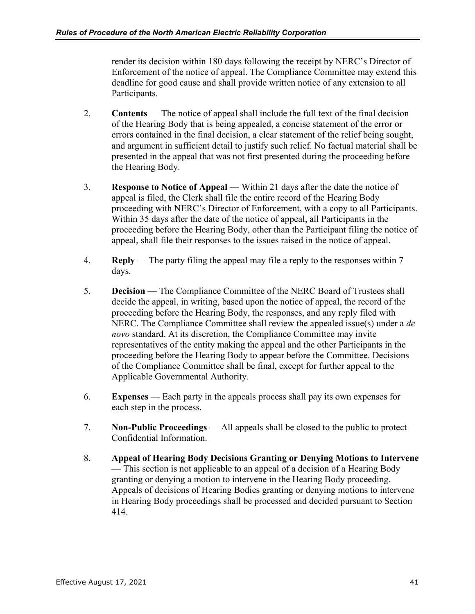render its decision within 180 days following the receipt by NERC's Director of Enforcement of the notice of appeal. The Compliance Committee may extend this deadline for good cause and shall provide written notice of any extension to all Participants.

- 2. **Contents**  The notice of appeal shall include the full text of the final decision of the Hearing Body that is being appealed, a concise statement of the error or errors contained in the final decision, a clear statement of the relief being sought, and argument in sufficient detail to justify such relief. No factual material shall be presented in the appeal that was not first presented during the proceeding before the Hearing Body.
- 3. **Response to Notice of Appeal** Within 21 days after the date the notice of appeal is filed, the Clerk shall file the entire record of the Hearing Body proceeding with NERC's Director of Enforcement, with a copy to all Participants. Within 35 days after the date of the notice of appeal, all Participants in the proceeding before the Hearing Body, other than the Participant filing the notice of appeal, shall file their responses to the issues raised in the notice of appeal.
- 4. **Reply**  The party filing the appeal may file a reply to the responses within 7 days.
- 5. **Decision**  The Compliance Committee of the NERC Board of Trustees shall decide the appeal, in writing, based upon the notice of appeal, the record of the proceeding before the Hearing Body, the responses, and any reply filed with NERC. The Compliance Committee shall review the appealed issue(s) under a *de novo* standard. At its discretion, the Compliance Committee may invite representatives of the entity making the appeal and the other Participants in the proceeding before the Hearing Body to appear before the Committee. Decisions of the Compliance Committee shall be final, except for further appeal to the Applicable Governmental Authority.
- 6. **Expenses**  Each party in the appeals process shall pay its own expenses for each step in the process.
- 7. **Non-Public Proceedings**  All appeals shall be closed to the public to protect Confidential Information.
- 8. **Appeal of Hearing Body Decisions Granting or Denying Motions to Intervene** — This section is not applicable to an appeal of a decision of a Hearing Body granting or denying a motion to intervene in the Hearing Body proceeding. Appeals of decisions of Hearing Bodies granting or denying motions to intervene in Hearing Body proceedings shall be processed and decided pursuant to Section 414.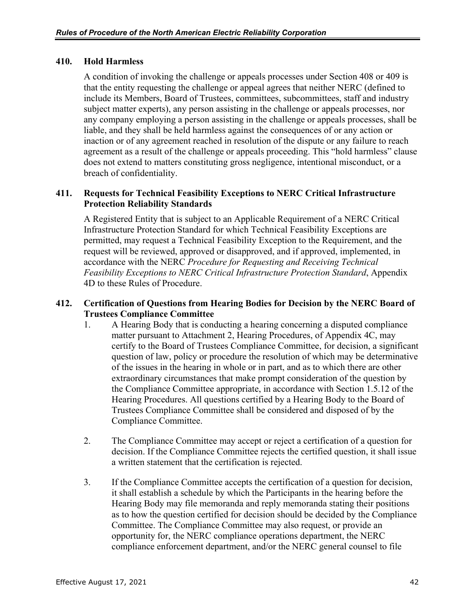## **410. Hold Harmless**

A condition of invoking the challenge or appeals processes under Section 408 or 409 is that the entity requesting the challenge or appeal agrees that neither NERC (defined to include its Members, Board of Trustees, committees, subcommittees, staff and industry subject matter experts), any person assisting in the challenge or appeals processes, nor any company employing a person assisting in the challenge or appeals processes, shall be liable, and they shall be held harmless against the consequences of or any action or inaction or of any agreement reached in resolution of the dispute or any failure to reach agreement as a result of the challenge or appeals proceeding. This "hold harmless" clause does not extend to matters constituting gross negligence, intentional misconduct, or a breach of confidentiality.

## **411. Requests for Technical Feasibility Exceptions to NERC Critical Infrastructure Protection Reliability Standards**

A Registered Entity that is subject to an Applicable Requirement of a NERC Critical Infrastructure Protection Standard for which Technical Feasibility Exceptions are permitted, may request a Technical Feasibility Exception to the Requirement, and the request will be reviewed, approved or disapproved, and if approved, implemented, in accordance with the NERC *Procedure for Requesting and Receiving Technical Feasibility Exceptions to NERC Critical Infrastructure Protection Standard*, Appendix 4D to these Rules of Procedure.

## **412. Certification of Questions from Hearing Bodies for Decision by the NERC Board of Trustees Compliance Committee**

- 1. A Hearing Body that is conducting a hearing concerning a disputed compliance matter pursuant to Attachment 2, Hearing Procedures, of Appendix 4C, may certify to the Board of Trustees Compliance Committee, for decision, a significant question of law, policy or procedure the resolution of which may be determinative of the issues in the hearing in whole or in part, and as to which there are other extraordinary circumstances that make prompt consideration of the question by the Compliance Committee appropriate, in accordance with Section 1.5.12 of the Hearing Procedures. All questions certified by a Hearing Body to the Board of Trustees Compliance Committee shall be considered and disposed of by the Compliance Committee.
- 2. The Compliance Committee may accept or reject a certification of a question for decision. If the Compliance Committee rejects the certified question, it shall issue a written statement that the certification is rejected.
- 3. If the Compliance Committee accepts the certification of a question for decision, it shall establish a schedule by which the Participants in the hearing before the Hearing Body may file memoranda and reply memoranda stating their positions as to how the question certified for decision should be decided by the Compliance Committee. The Compliance Committee may also request, or provide an opportunity for, the NERC compliance operations department, the NERC compliance enforcement department, and/or the NERC general counsel to file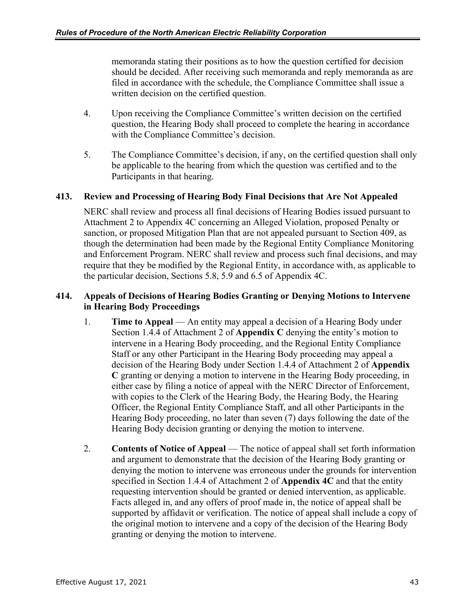memoranda stating their positions as to how the question certified for decision should be decided. After receiving such memoranda and reply memoranda as are filed in accordance with the schedule, the Compliance Committee shall issue a written decision on the certified question.

- 4. Upon receiving the Compliance Committee's written decision on the certified question, the Hearing Body shall proceed to complete the hearing in accordance with the Compliance Committee's decision.
- 5. The Compliance Committee's decision, if any, on the certified question shall only be applicable to the hearing from which the question was certified and to the Participants in that hearing.

## **413. Review and Processing of Hearing Body Final Decisions that Are Not Appealed**

NERC shall review and process all final decisions of Hearing Bodies issued pursuant to Attachment 2 to Appendix 4C concerning an Alleged Violation, proposed Penalty or sanction, or proposed Mitigation Plan that are not appealed pursuant to Section 409, as though the determination had been made by the Regional Entity Compliance Monitoring and Enforcement Program. NERC shall review and process such final decisions, and may require that they be modified by the Regional Entity, in accordance with, as applicable to the particular decision, Sections 5.8, 5.9 and 6.5 of Appendix 4C.

## **414. Appeals of Decisions of Hearing Bodies Granting or Denying Motions to Intervene in Hearing Body Proceedings**

- 1. **Time to Appeal** An entity may appeal a decision of a Hearing Body under Section 1.4.4 of Attachment 2 of **Appendix C** denying the entity's motion to intervene in a Hearing Body proceeding, and the Regional Entity Compliance Staff or any other Participant in the Hearing Body proceeding may appeal a decision of the Hearing Body under Section 1.4.4 of Attachment 2 of **Appendix C** granting or denying a motion to intervene in the Hearing Body proceeding, in either case by filing a notice of appeal with the NERC Director of Enforcement, with copies to the Clerk of the Hearing Body, the Hearing Body, the Hearing Officer, the Regional Entity Compliance Staff, and all other Participants in the Hearing Body proceeding, no later than seven (7) days following the date of the Hearing Body decision granting or denying the motion to intervene.
- 2. **Contents of Notice of Appeal** The notice of appeal shall set forth information and argument to demonstrate that the decision of the Hearing Body granting or denying the motion to intervene was erroneous under the grounds for intervention specified in Section 1.4.4 of Attachment 2 of **Appendix 4C** and that the entity requesting intervention should be granted or denied intervention, as applicable. Facts alleged in, and any offers of proof made in, the notice of appeal shall be supported by affidavit or verification. The notice of appeal shall include a copy of the original motion to intervene and a copy of the decision of the Hearing Body granting or denying the motion to intervene.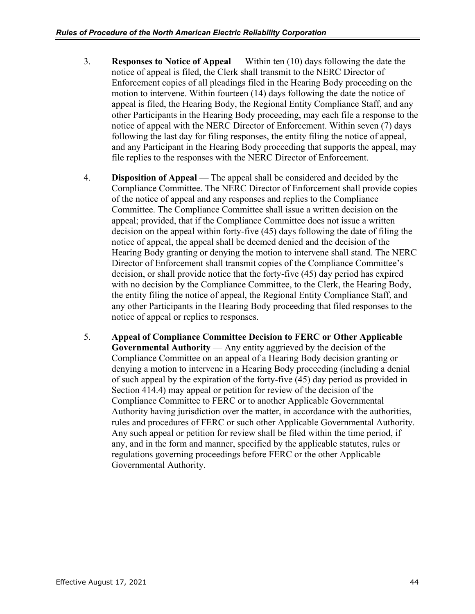- 3. **Responses to Notice of Appeal** Within ten (10) days following the date the notice of appeal is filed, the Clerk shall transmit to the NERC Director of Enforcement copies of all pleadings filed in the Hearing Body proceeding on the motion to intervene. Within fourteen (14) days following the date the notice of appeal is filed, the Hearing Body, the Regional Entity Compliance Staff, and any other Participants in the Hearing Body proceeding, may each file a response to the notice of appeal with the NERC Director of Enforcement. Within seven (7) days following the last day for filing responses, the entity filing the notice of appeal, and any Participant in the Hearing Body proceeding that supports the appeal, may file replies to the responses with the NERC Director of Enforcement.
- 4. **Disposition of Appeal** The appeal shall be considered and decided by the Compliance Committee. The NERC Director of Enforcement shall provide copies of the notice of appeal and any responses and replies to the Compliance Committee. The Compliance Committee shall issue a written decision on the appeal; provided, that if the Compliance Committee does not issue a written decision on the appeal within forty-five (45) days following the date of filing the notice of appeal, the appeal shall be deemed denied and the decision of the Hearing Body granting or denying the motion to intervene shall stand. The NERC Director of Enforcement shall transmit copies of the Compliance Committee's decision, or shall provide notice that the forty-five (45) day period has expired with no decision by the Compliance Committee, to the Clerk, the Hearing Body, the entity filing the notice of appeal, the Regional Entity Compliance Staff, and any other Participants in the Hearing Body proceeding that filed responses to the notice of appeal or replies to responses.
- 5. **Appeal of Compliance Committee Decision to FERC or Other Applicable Governmental Authority** — Any entity aggrieved by the decision of the Compliance Committee on an appeal of a Hearing Body decision granting or denying a motion to intervene in a Hearing Body proceeding (including a denial of such appeal by the expiration of the forty-five (45) day period as provided in Section 414.4) may appeal or petition for review of the decision of the Compliance Committee to FERC or to another Applicable Governmental Authority having jurisdiction over the matter, in accordance with the authorities, rules and procedures of FERC or such other Applicable Governmental Authority. Any such appeal or petition for review shall be filed within the time period, if any, and in the form and manner, specified by the applicable statutes, rules or regulations governing proceedings before FERC or the other Applicable Governmental Authority.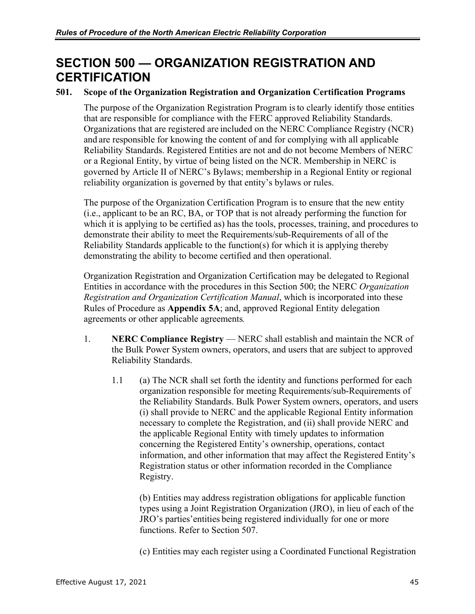# **SECTION 500 — ORGANIZATION REGISTRATION AND CERTIFICATION**

## **501. Scope of the Organization Registration and Organization Certification Programs**

The purpose of the Organization Registration Program isto clearly identify those entities that are responsible for compliance with the FERC approved Reliability Standards. Organizations that are registered are included on the NERC Compliance Registry (NCR) and are responsible for knowing the content of and for complying with all applicable Reliability Standards. Registered Entities are not and do not become Members of NERC or a Regional Entity, by virtue of being listed on the NCR. Membership in NERC is governed by Article II of NERC's Bylaws; membership in a Regional Entity or regional reliability organization is governed by that entity's bylaws or rules.

The purpose of the Organization Certification Program is to ensure that the new entity (i.e., applicant to be an RC, BA, or TOP that is not already performing the function for which it is applying to be certified as) has the tools, processes, training, and procedures to demonstrate their ability to meet the Requirements/sub-Requirements of all of the Reliability Standards applicable to the function(s) for which it is applying thereby demonstrating the ability to become certified and then operational.

Organization Registration and Organization Certification may be delegated to Regional Entities in accordance with the procedures in this Section 500; the NERC *Organization Registration and Organization Certification Manual*, which is incorporated into these Rules of Procedure as **Appendix 5A**; and, approved Regional Entity delegation agreements or other applicable agreements*.*

- 1. **NERC Compliance Registry** NERC shall establish and maintain the NCR of the Bulk Power System owners, operators, and users that are subject to approved Reliability Standards.
	- 1.1 (a) The NCR shall set forth the identity and functions performed for each organization responsible for meeting Requirements/sub-Requirements of the Reliability Standards. Bulk Power System owners, operators, and users (i) shall provide to NERC and the applicable Regional Entity information necessary to complete the Registration, and (ii) shall provide NERC and the applicable Regional Entity with timely updates to information concerning the Registered Entity's ownership, operations, contact information, and other information that may affect the Registered Entity's Registration status or other information recorded in the Compliance Registry.

(b) Entities may address registration obligations for applicable function types using a Joint Registration Organization (JRO), in lieu of each of the JRO's parties'entities being registered individually for one or more functions. Refer to Section 507.

(c) Entities may each register using a Coordinated Functional Registration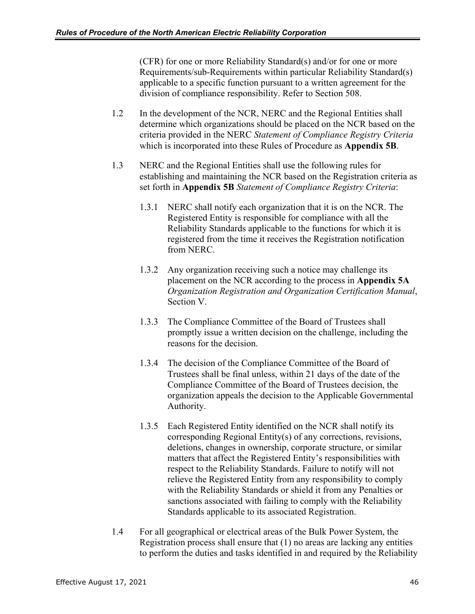(CFR) for one or more Reliability Standard(s) and/or for one or more Requirements/sub-Requirements within particular Reliability Standard(s) applicable to a specific function pursuant to a written agreement for the division of compliance responsibility. Refer to Section 508.

- 1.2 In the development of the NCR, NERC and the Regional Entities shall determine which organizations should be placed on the NCR based on the criteria provided in the NERC *Statement of Compliance Registry Criteria* which is incorporated into these Rules of Procedure as **Appendix 5B**.
- 1.3 NERC and the Regional Entities shall use the following rules for establishing and maintaining the NCR based on the Registration criteria as set forth in **Appendix 5B** *Statement of Compliance Registry Criteria*:
	- 1.3.1 NERC shall notify each organization that it is on the NCR. The Registered Entity is responsible for compliance with all the Reliability Standards applicable to the functions for which it is registered from the time it receives the Registration notification from NERC.
	- 1.3.2 Any organization receiving such a notice may challenge its placement on the NCR according to the process in **Appendix 5A** *Organization Registration and Organization Certification Manual*, Section V.
	- 1.3.3 The Compliance Committee of the Board of Trustees shall promptly issue a written decision on the challenge, including the reasons for the decision.
	- 1.3.4 The decision of the Compliance Committee of the Board of Trustees shall be final unless, within 21 days of the date of the Compliance Committee of the Board of Trustees decision, the organization appeals the decision to the Applicable Governmental Authority.
	- 1.3.5 Each Registered Entity identified on the NCR shall notify its corresponding Regional Entity(s) of any corrections, revisions, deletions, changes in ownership, corporate structure, or similar matters that affect the Registered Entity's responsibilities with respect to the Reliability Standards. Failure to notify will not relieve the Registered Entity from any responsibility to comply with the Reliability Standards or shield it from any Penalties or sanctions associated with failing to comply with the Reliability Standards applicable to its associated Registration.
- 1.4 For all geographical or electrical areas of the Bulk Power System, the Registration process shall ensure that (1) no areas are lacking any entities to perform the duties and tasks identified in and required by the Reliability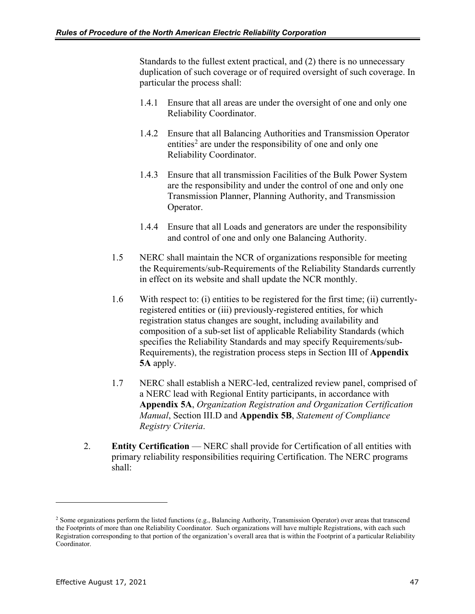Standards to the fullest extent practical, and (2) there is no unnecessary duplication of such coverage or of required oversight of such coverage. In particular the process shall:

- 1.4.1 Ensure that all areas are under the oversight of one and only one Reliability Coordinator.
- 1.4.2 Ensure that all Balancing Authorities and Transmission Operator entities<sup>[2](#page-51-0)</sup> are under the responsibility of one and only one Reliability Coordinator.
- 1.4.3 Ensure that all transmission Facilities of the Bulk Power System are the responsibility and under the control of one and only one Transmission Planner, Planning Authority, and Transmission Operator.
- 1.4.4 Ensure that all Loads and generators are under the responsibility and control of one and only one Balancing Authority.
- 1.5 NERC shall maintain the NCR of organizations responsible for meeting the Requirements/sub-Requirements of the Reliability Standards currently in effect on its website and shall update the NCR monthly.
- 1.6 With respect to: (i) entities to be registered for the first time; (ii) currentlyregistered entities or (iii) previously-registered entities, for which registration status changes are sought, including availability and composition of a sub-set list of applicable Reliability Standards (which specifies the Reliability Standards and may specify Requirements/sub-Requirements), the registration process steps in Section III of **Appendix 5A** apply.
- 1.7 NERC shall establish a NERC-led, centralized review panel, comprised of a NERC lead with Regional Entity participants, in accordance with **Appendix 5A**, *Organization Registration and Organization Certification Manual*, Section III.D and **Appendix 5B**, *Statement of Compliance Registry Criteria*.
- 2. **Entity Certification** NERC shall provide for Certification of all entities with primary reliability responsibilities requiring Certification. The NERC programs shall:

 $\overline{a}$ 

<span id="page-51-0"></span><sup>&</sup>lt;sup>2</sup> Some organizations perform the listed functions (e.g., Balancing Authority, Transmission Operator) over areas that transcend the Footprints of more than one Reliability Coordinator. Such organizations will have multiple Registrations, with each such Registration corresponding to that portion of the organization's overall area that is within the Footprint of a particular Reliability Coordinator.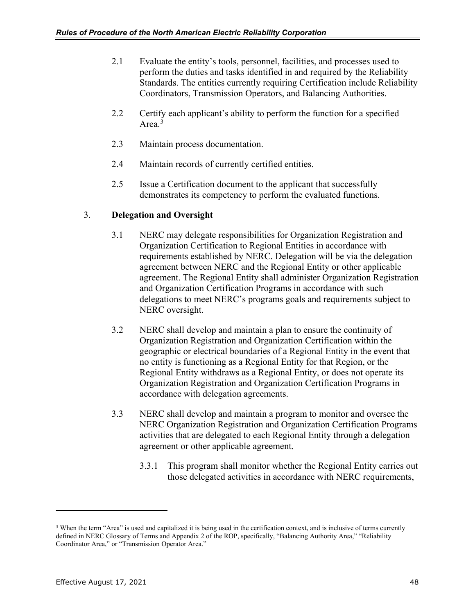- 2.1 Evaluate the entity's tools, personnel, facilities, and processes used to perform the duties and tasks identified in and required by the Reliability Standards. The entities currently requiring Certification include Reliability Coordinators, Transmission Operators, and Balancing Authorities.
- 2.2 Certify each applicant's ability to perform the function for a specified Area.<sup>[3](#page-52-0)</sup>
- 2.3 Maintain process documentation.
- 2.4 Maintain records of currently certified entities.
- 2.5 Issue a Certification document to the applicant that successfully demonstrates its competency to perform the evaluated functions.

## 3. **Delegation and Oversight**

- 3.1 NERC may delegate responsibilities for Organization Registration and Organization Certification to Regional Entities in accordance with requirements established by NERC. Delegation will be via the delegation agreement between NERC and the Regional Entity or other applicable agreement. The Regional Entity shall administer Organization Registration and Organization Certification Programs in accordance with such delegations to meet NERC's programs goals and requirements subject to NERC oversight.
- 3.2 NERC shall develop and maintain a plan to ensure the continuity of Organization Registration and Organization Certification within the geographic or electrical boundaries of a Regional Entity in the event that no entity is functioning as a Regional Entity for that Region, or the Regional Entity withdraws as a Regional Entity, or does not operate its Organization Registration and Organization Certification Programs in accordance with delegation agreements.
- 3.3 NERC shall develop and maintain a program to monitor and oversee the NERC Organization Registration and Organization Certification Programs activities that are delegated to each Regional Entity through a delegation agreement or other applicable agreement.
	- 3.3.1 This program shall monitor whether the Regional Entity carries out those delegated activities in accordance with NERC requirements,

 $\overline{a}$ 

<span id="page-52-0"></span><sup>&</sup>lt;sup>3</sup> When the term "Area" is used and capitalized it is being used in the certification context, and is inclusive of terms currently defined in NERC Glossary of Terms and Appendix 2 of the ROP, specifically, "Balancing Authority Area," "Reliability Coordinator Area," or "Transmission Operator Area."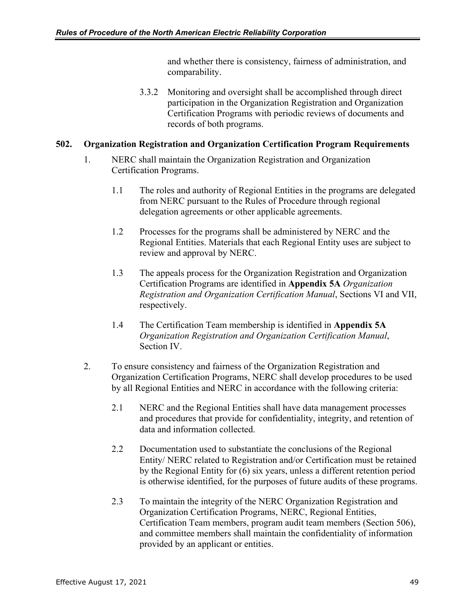and whether there is consistency, fairness of administration, and comparability.

3.3.2 Monitoring and oversight shall be accomplished through direct participation in the Organization Registration and Organization Certification Programs with periodic reviews of documents and records of both programs.

#### **502. Organization Registration and Organization Certification Program Requirements**

- 1. NERC shall maintain the Organization Registration and Organization Certification Programs.
	- 1.1 The roles and authority of Regional Entities in the programs are delegated from NERC pursuant to the Rules of Procedure through regional delegation agreements or other applicable agreements.
	- 1.2 Processes for the programs shall be administered by NERC and the Regional Entities. Materials that each Regional Entity uses are subject to review and approval by NERC.
	- 1.3 The appeals process for the Organization Registration and Organization Certification Programs are identified in **Appendix 5A** *Organization Registration and Organization Certification Manual*, Sections VI and VII, respectively.
	- 1.4 The Certification Team membership is identified in **Appendix 5A** *Organization Registration and Organization Certification Manual*, Section IV.
- 2. To ensure consistency and fairness of the Organization Registration and Organization Certification Programs, NERC shall develop procedures to be used by all Regional Entities and NERC in accordance with the following criteria:
	- 2.1 NERC and the Regional Entities shall have data management processes and procedures that provide for confidentiality, integrity, and retention of data and information collected.
	- 2.2 Documentation used to substantiate the conclusions of the Regional Entity/ NERC related to Registration and/or Certification must be retained by the Regional Entity for (6) six years, unless a different retention period is otherwise identified, for the purposes of future audits of these programs.
	- 2.3 To maintain the integrity of the NERC Organization Registration and Organization Certification Programs, NERC, Regional Entities, Certification Team members, program audit team members (Section 506), and committee members shall maintain the confidentiality of information provided by an applicant or entities.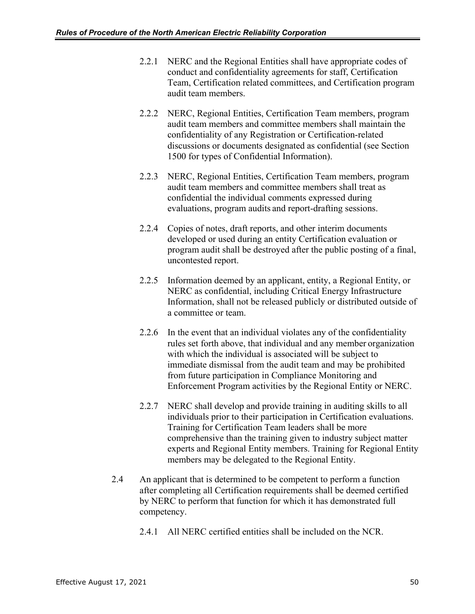- 2.2.1 NERC and the Regional Entities shall have appropriate codes of conduct and confidentiality agreements for staff, Certification Team, Certification related committees, and Certification program audit team members.
- 2.2.2 NERC, Regional Entities, Certification Team members, program audit team members and committee members shall maintain the confidentiality of any Registration or Certification-related discussions or documents designated as confidential (see Section 1500 for types of Confidential Information).
- 2.2.3 NERC, Regional Entities, Certification Team members, program audit team members and committee members shall treat as confidential the individual comments expressed during evaluations, program audits and report-drafting sessions.
- 2.2.4 Copies of notes, draft reports, and other interim documents developed or used during an entity Certification evaluation or program audit shall be destroyed after the public posting of a final, uncontested report.
- 2.2.5 Information deemed by an applicant, entity, a Regional Entity, or NERC as confidential, including Critical Energy Infrastructure Information, shall not be released publicly or distributed outside of a committee or team.
- 2.2.6 In the event that an individual violates any of the confidentiality rules set forth above, that individual and any member organization with which the individual is associated will be subject to immediate dismissal from the audit team and may be prohibited from future participation in Compliance Monitoring and Enforcement Program activities by the Regional Entity or NERC.
- 2.2.7 NERC shall develop and provide training in auditing skills to all individuals prior to their participation in Certification evaluations. Training for Certification Team leaders shall be more comprehensive than the training given to industry subject matter experts and Regional Entity members. Training for Regional Entity members may be delegated to the Regional Entity.
- 2.4 An applicant that is determined to be competent to perform a function after completing all Certification requirements shall be deemed certified by NERC to perform that function for which it has demonstrated full competency.
	- 2.4.1 All NERC certified entities shall be included on the NCR.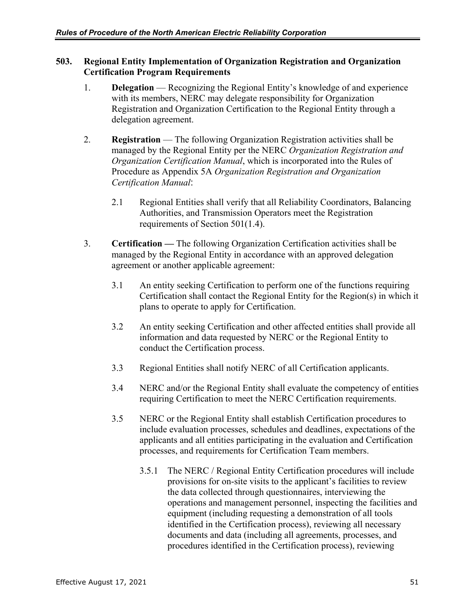#### **503. Regional Entity Implementation of Organization Registration and Organization Certification Program Requirements**

- 1. **Delegation** Recognizing the Regional Entity's knowledge of and experience with its members, NERC may delegate responsibility for Organization Registration and Organization Certification to the Regional Entity through a delegation agreement.
- 2. **Registration** The following Organization Registration activities shall be managed by the Regional Entity per the NERC *Organization Registration and Organization Certification Manual*, which is incorporated into the Rules of Procedure as Appendix 5A *Organization Registration and Organization Certification Manual*:
	- 2.1 Regional Entities shall verify that all Reliability Coordinators, Balancing Authorities, and Transmission Operators meet the Registration requirements of Section 501(1.4).
- 3. **Certification —** The following Organization Certification activities shall be managed by the Regional Entity in accordance with an approved delegation agreement or another applicable agreement:
	- 3.1 An entity seeking Certification to perform one of the functions requiring Certification shall contact the Regional Entity for the Region(s) in which it plans to operate to apply for Certification.
	- 3.2 An entity seeking Certification and other affected entities shall provide all information and data requested by NERC or the Regional Entity to conduct the Certification process.
	- 3.3 Regional Entities shall notify NERC of all Certification applicants.
	- 3.4 NERC and/or the Regional Entity shall evaluate the competency of entities requiring Certification to meet the NERC Certification requirements.
	- 3.5 NERC or the Regional Entity shall establish Certification procedures to include evaluation processes, schedules and deadlines, expectations of the applicants and all entities participating in the evaluation and Certification processes, and requirements for Certification Team members.
		- 3.5.1 The NERC / Regional Entity Certification procedures will include provisions for on-site visits to the applicant's facilities to review the data collected through questionnaires, interviewing the operations and management personnel, inspecting the facilities and equipment (including requesting a demonstration of all tools identified in the Certification process), reviewing all necessary documents and data (including all agreements, processes, and procedures identified in the Certification process), reviewing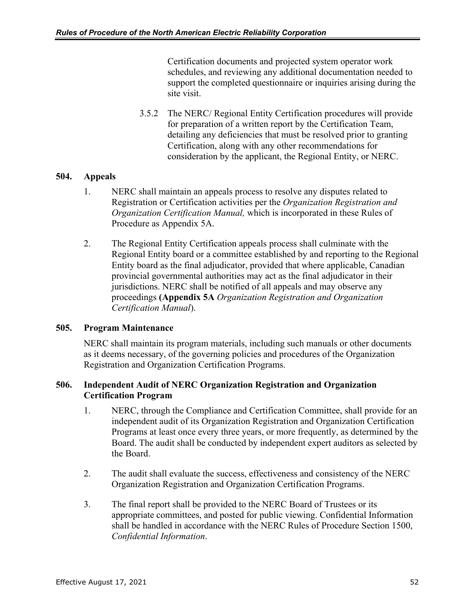Certification documents and projected system operator work schedules, and reviewing any additional documentation needed to support the completed questionnaire or inquiries arising during the site visit.

3.5.2 The NERC/ Regional Entity Certification procedures will provide for preparation of a written report by the Certification Team, detailing any deficiencies that must be resolved prior to granting Certification, along with any other recommendations for consideration by the applicant, the Regional Entity, or NERC.

## **504. Appeals**

- 1. NERC shall maintain an appeals process to resolve any disputes related to Registration or Certification activities per the *Organization Registration and Organization Certification Manual,* which is incorporated in these Rules of Procedure as Appendix 5A.
- 2. The Regional Entity Certification appeals process shall culminate with the Regional Entity board or a committee established by and reporting to the Regional Entity board as the final adjudicator, provided that where applicable, Canadian provincial governmental authorities may act as the final adjudicator in their jurisdictions. NERC shall be notified of all appeals and may observe any proceedings **(Appendix 5A** *Organization Registration and Organization Certification Manual*).

#### **505. Program Maintenance**

NERC shall maintain its program materials, including such manuals or other documents as it deems necessary, of the governing policies and procedures of the Organization Registration and Organization Certification Programs.

#### **506. Independent Audit of NERC Organization Registration and Organization Certification Program**

- 1. NERC, through the Compliance and Certification Committee, shall provide for an independent audit of its Organization Registration and Organization Certification Programs at least once every three years, or more frequently, as determined by the Board. The audit shall be conducted by independent expert auditors as selected by the Board.
- 2. The audit shall evaluate the success, effectiveness and consistency of the NERC Organization Registration and Organization Certification Programs.
- 3. The final report shall be provided to the NERC Board of Trustees or its appropriate committees, and posted for public viewing. Confidential Information shall be handled in accordance with the NERC Rules of Procedure Section 1500, *Confidential Information*.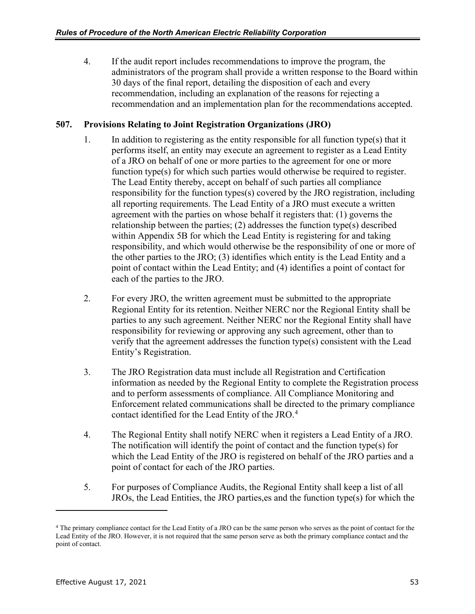4. If the audit report includes recommendations to improve the program, the administrators of the program shall provide a written response to the Board within 30 days of the final report, detailing the disposition of each and every recommendation, including an explanation of the reasons for rejecting a recommendation and an implementation plan for the recommendations accepted.

## **507. Provisions Relating to Joint Registration Organizations (JRO)**

- 1. In addition to registering as the entity responsible for all function type(s) that it performs itself, an entity may execute an agreement to register as a Lead Entity of a JRO on behalf of one or more parties to the agreement for one or more function type(s) for which such parties would otherwise be required to register. The Lead Entity thereby, accept on behalf of such parties all compliance responsibility for the function types(s) covered by the JRO registration, including all reporting requirements. The Lead Entity of a JRO must execute a written agreement with the parties on whose behalf it registers that: (1) governs the relationship between the parties; (2) addresses the function type(s) described within Appendix 5B for which the Lead Entity is registering for and taking responsibility, and which would otherwise be the responsibility of one or more of the other parties to the JRO; (3) identifies which entity is the Lead Entity and a point of contact within the Lead Entity; and (4) identifies a point of contact for each of the parties to the JRO.
- 2. For every JRO, the written agreement must be submitted to the appropriate Regional Entity for its retention. Neither NERC nor the Regional Entity shall be parties to any such agreement. Neither NERC nor the Regional Entity shall have responsibility for reviewing or approving any such agreement, other than to verify that the agreement addresses the function type(s) consistent with the Lead Entity's Registration.
- 3. The JRO Registration data must include all Registration and Certification information as needed by the Regional Entity to complete the Registration process and to perform assessments of compliance. All Compliance Monitoring and Enforcement related communications shall be directed to the primary compliance contact identified for the Lead Entity of the JRO.<sup>[4](#page-57-0)</sup>
- 4. The Regional Entity shall notify NERC when it registers a Lead Entity of a JRO. The notification will identify the point of contact and the function type(s) for which the Lead Entity of the JRO is registered on behalf of the JRO parties and a point of contact for each of the JRO parties.
- 5. For purposes of Compliance Audits, the Regional Entity shall keep a list of all JROs, the Lead Entities, the JRO parties,es and the function type(s) for which the

 $\overline{a}$ 

<span id="page-57-0"></span><sup>4</sup> The primary compliance contact for the Lead Entity of a JRO can be the same person who serves as the point of contact for the Lead Entity of the JRO. However, it is not required that the same person serve as both the primary compliance contact and the point of contact.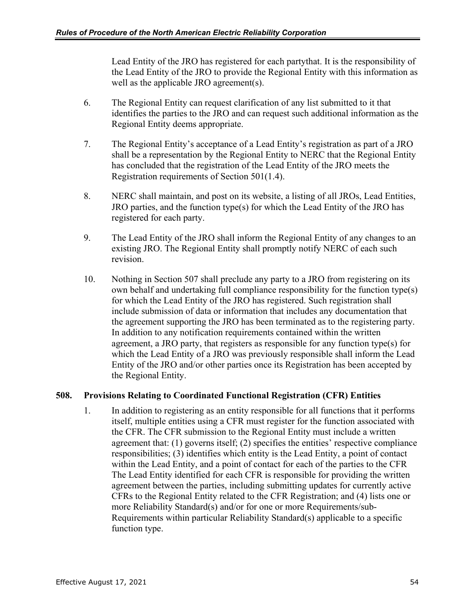Lead Entity of the JRO has registered for each partythat. It is the responsibility of the Lead Entity of the JRO to provide the Regional Entity with this information as well as the applicable JRO agreement(s).

- 6. The Regional Entity can request clarification of any list submitted to it that identifies the parties to the JRO and can request such additional information as the Regional Entity deems appropriate.
- 7. The Regional Entity's acceptance of a Lead Entity's registration as part of a JRO shall be a representation by the Regional Entity to NERC that the Regional Entity has concluded that the registration of the Lead Entity of the JRO meets the Registration requirements of Section 501(1.4).
- 8. NERC shall maintain, and post on its website, a listing of all JROs, Lead Entities, JRO parties, and the function type(s) for which the Lead Entity of the JRO has registered for each party.
- 9. The Lead Entity of the JRO shall inform the Regional Entity of any changes to an existing JRO. The Regional Entity shall promptly notify NERC of each such revision.
- 10. Nothing in Section 507 shall preclude any party to a JRO from registering on its own behalf and undertaking full compliance responsibility for the function type(s) for which the Lead Entity of the JRO has registered. Such registration shall include submission of data or information that includes any documentation that the agreement supporting the JRO has been terminated as to the registering party. In addition to any notification requirements contained within the written agreement, a JRO party, that registers as responsible for any function type(s) for which the Lead Entity of a JRO was previously responsible shall inform the Lead Entity of the JRO and/or other parties once its Registration has been accepted by the Regional Entity.

## **508. Provisions Relating to Coordinated Functional Registration (CFR) Entities**

1. In addition to registering as an entity responsible for all functions that it performs itself, multiple entities using a CFR must register for the function associated with the CFR. The CFR submission to the Regional Entity must include a written agreement that: (1) governs itself; (2) specifies the entities' respective compliance responsibilities; (3) identifies which entity is the Lead Entity, a point of contact within the Lead Entity, and a point of contact for each of the parties to the CFR The Lead Entity identified for each CFR is responsible for providing the written agreement between the parties, including submitting updates for currently active CFRs to the Regional Entity related to the CFR Registration; and (4) lists one or more Reliability Standard(s) and/or for one or more Requirements/sub-Requirements within particular Reliability Standard(s) applicable to a specific function type.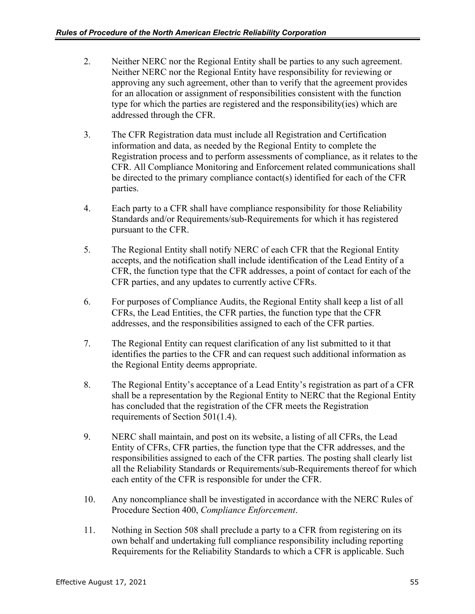- 2. Neither NERC nor the Regional Entity shall be parties to any such agreement. Neither NERC nor the Regional Entity have responsibility for reviewing or approving any such agreement, other than to verify that the agreement provides for an allocation or assignment of responsibilities consistent with the function type for which the parties are registered and the responsibility(ies) which are addressed through the CFR.
- 3. The CFR Registration data must include all Registration and Certification information and data, as needed by the Regional Entity to complete the Registration process and to perform assessments of compliance, as it relates to the CFR. All Compliance Monitoring and Enforcement related communications shall be directed to the primary compliance contact(s) identified for each of the CFR parties.
- 4. Each party to a CFR shall have compliance responsibility for those Reliability Standards and/or Requirements/sub-Requirements for which it has registered pursuant to the CFR.
- 5. The Regional Entity shall notify NERC of each CFR that the Regional Entity accepts, and the notification shall include identification of the Lead Entity of a CFR, the function type that the CFR addresses, a point of contact for each of the CFR parties, and any updates to currently active CFRs.
- 6. For purposes of Compliance Audits, the Regional Entity shall keep a list of all CFRs, the Lead Entities, the CFR parties, the function type that the CFR addresses, and the responsibilities assigned to each of the CFR parties.
- 7. The Regional Entity can request clarification of any list submitted to it that identifies the parties to the CFR and can request such additional information as the Regional Entity deems appropriate.
- 8. The Regional Entity's acceptance of a Lead Entity's registration as part of a CFR shall be a representation by the Regional Entity to NERC that the Regional Entity has concluded that the registration of the CFR meets the Registration requirements of Section 501(1.4).
- 9. NERC shall maintain, and post on its website, a listing of all CFRs, the Lead Entity of CFRs, CFR parties, the function type that the CFR addresses, and the responsibilities assigned to each of the CFR parties. The posting shall clearly list all the Reliability Standards or Requirements/sub-Requirements thereof for which each entity of the CFR is responsible for under the CFR.
- 10. Any noncompliance shall be investigated in accordance with the NERC Rules of Procedure Section 400, *Compliance Enforcement*.
- 11. Nothing in Section 508 shall preclude a party to a CFR from registering on its own behalf and undertaking full compliance responsibility including reporting Requirements for the Reliability Standards to which a CFR is applicable. Such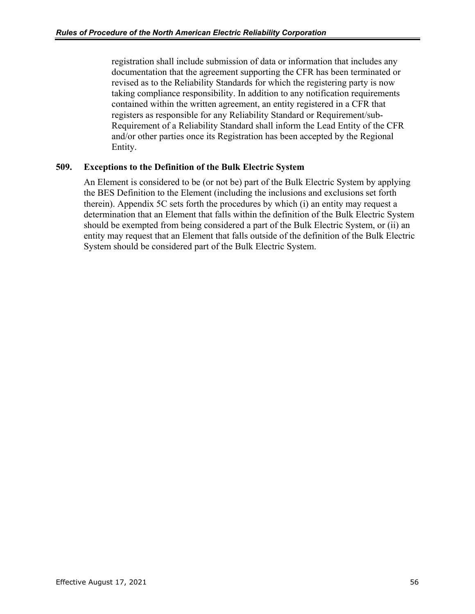registration shall include submission of data or information that includes any documentation that the agreement supporting the CFR has been terminated or revised as to the Reliability Standards for which the registering party is now taking compliance responsibility. In addition to any notification requirements contained within the written agreement, an entity registered in a CFR that registers as responsible for any Reliability Standard or Requirement/sub-Requirement of a Reliability Standard shall inform the Lead Entity of the CFR and/or other parties once its Registration has been accepted by the Regional Entity.

#### **509. Exceptions to the Definition of the Bulk Electric System**

An Element is considered to be (or not be) part of the Bulk Electric System by applying the BES Definition to the Element (including the inclusions and exclusions set forth therein). Appendix 5C sets forth the procedures by which (i) an entity may request a determination that an Element that falls within the definition of the Bulk Electric System should be exempted from being considered a part of the Bulk Electric System, or (ii) an entity may request that an Element that falls outside of the definition of the Bulk Electric System should be considered part of the Bulk Electric System.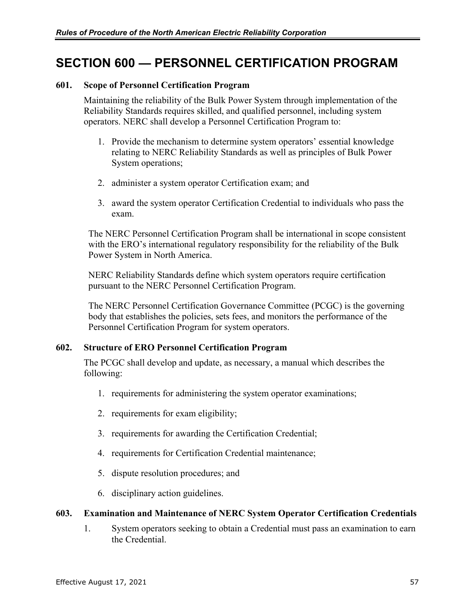## **SECTION 600 — PERSONNEL CERTIFICATION PROGRAM**

#### **601. Scope of Personnel Certification Program**

Maintaining the reliability of the Bulk Power System through implementation of the Reliability Standards requires skilled, and qualified personnel, including system operators. NERC shall develop a Personnel Certification Program to:

- 1. Provide the mechanism to determine system operators' essential knowledge relating to NERC Reliability Standards as well as principles of Bulk Power System operations;
- 2. administer a system operator Certification exam; and
- 3. award the system operator Certification Credential to individuals who pass the exam.

The NERC Personnel Certification Program shall be international in scope consistent with the ERO's international regulatory responsibility for the reliability of the Bulk Power System in North America.

NERC Reliability Standards define which system operators require certification pursuant to the NERC Personnel Certification Program.

The NERC Personnel Certification Governance Committee (PCGC) is the governing body that establishes the policies, sets fees, and monitors the performance of the Personnel Certification Program for system operators.

## **602. Structure of ERO Personnel Certification Program**

The PCGC shall develop and update, as necessary, a manual which describes the following:

- 1. requirements for administering the system operator examinations;
- 2. requirements for exam eligibility;
- 3. requirements for awarding the Certification Credential;
- 4. requirements for Certification Credential maintenance;
- 5. dispute resolution procedures; and
- 6. disciplinary action guidelines.

#### **603. Examination and Maintenance of NERC System Operator Certification Credentials**

1. System operators seeking to obtain a Credential must pass an examination to earn the Credential.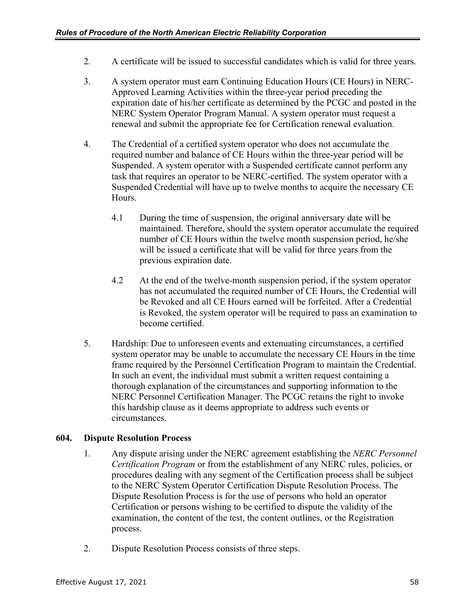- 2. A certificate will be issued to successful candidates which is valid for three years.
- 3. A system operator must earn Continuing Education Hours (CE Hours) in NERC-Approved Learning Activities within the three-year period preceding the expiration date of his/her certificate as determined by the PCGC and posted in the NERC System Operator Program Manual. A system operator must request a renewal and submit the appropriate fee for Certification renewal evaluation.
- 4. The Credential of a certified system operator who does not accumulate the required number and balance of CE Hours within the three-year period will be Suspended. A system operator with a Suspended certificate cannot perform any task that requires an operator to be NERC-certified. The system operator with a Suspended Credential will have up to twelve months to acquire the necessary CE Hours.
	- 4.1 During the time of suspension, the original anniversary date will be maintained. Therefore, should the system operator accumulate the required number of CE Hours within the twelve month suspension period, he/she will be issued a certificate that will be valid for three years from the previous expiration date.
	- 4.2 At the end of the twelve-month suspension period, if the system operator has not accumulated the required number of CE Hours, the Credential will be Revoked and all CE Hours earned will be forfeited. After a Credential is Revoked, the system operator will be required to pass an examination to become certified.
- 5. Hardship: Due to unforeseen events and extenuating circumstances, a certified system operator may be unable to accumulate the necessary CE Hours in the time frame required by the Personnel Certification Program to maintain the Credential. In such an event, the individual must submit a written request containing a thorough explanation of the circumstances and supporting information to the NERC Personnel Certification Manager. The PCGC retains the right to invoke this hardship clause as it deems appropriate to address such events or circumstances.

## **604. Dispute Resolution Process**

- 1. Any dispute arising under the NERC agreement establishing the *NERC Personnel Certification Program* or from the establishment of any NERC rules, policies, or procedures dealing with any segment of the Certification process shall be subject to the NERC System Operator Certification Dispute Resolution Process. The Dispute Resolution Process is for the use of persons who hold an operator Certification or persons wishing to be certified to dispute the validity of the examination, the content of the test, the content outlines, or the Registration process.
- 2. Dispute Resolution Process consists of three steps.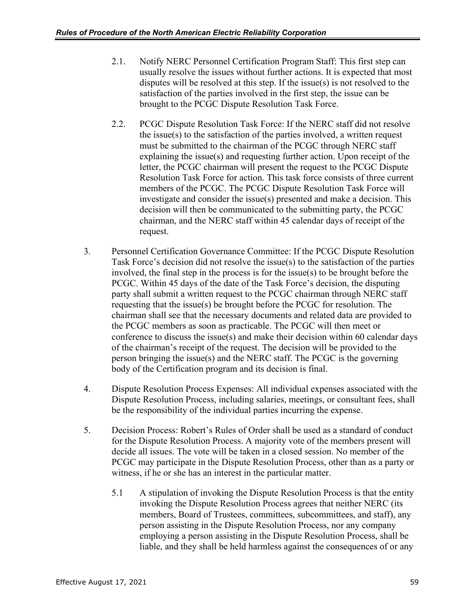- 2.1. Notify NERC Personnel Certification Program Staff: This first step can usually resolve the issues without further actions. It is expected that most disputes will be resolved at this step. If the issue(s) is not resolved to the satisfaction of the parties involved in the first step, the issue can be brought to the PCGC Dispute Resolution Task Force.
- 2.2. PCGC Dispute Resolution Task Force: If the NERC staff did not resolve the issue(s) to the satisfaction of the parties involved, a written request must be submitted to the chairman of the PCGC through NERC staff explaining the issue(s) and requesting further action. Upon receipt of the letter, the PCGC chairman will present the request to the PCGC Dispute Resolution Task Force for action. This task force consists of three current members of the PCGC. The PCGC Dispute Resolution Task Force will investigate and consider the issue(s) presented and make a decision. This decision will then be communicated to the submitting party, the PCGC chairman, and the NERC staff within 45 calendar days of receipt of the request.
- 3. Personnel Certification Governance Committee: If the PCGC Dispute Resolution Task Force's decision did not resolve the issue(s) to the satisfaction of the parties involved, the final step in the process is for the issue(s) to be brought before the PCGC. Within 45 days of the date of the Task Force's decision, the disputing party shall submit a written request to the PCGC chairman through NERC staff requesting that the issue(s) be brought before the PCGC for resolution. The chairman shall see that the necessary documents and related data are provided to the PCGC members as soon as practicable. The PCGC will then meet or conference to discuss the issue(s) and make their decision within 60 calendar days of the chairman's receipt of the request. The decision will be provided to the person bringing the issue(s) and the NERC staff. The PCGC is the governing body of the Certification program and its decision is final.
- 4. Dispute Resolution Process Expenses: All individual expenses associated with the Dispute Resolution Process, including salaries, meetings, or consultant fees, shall be the responsibility of the individual parties incurring the expense.
- 5. Decision Process: Robert's Rules of Order shall be used as a standard of conduct for the Dispute Resolution Process. A majority vote of the members present will decide all issues. The vote will be taken in a closed session. No member of the PCGC may participate in the Dispute Resolution Process, other than as a party or witness, if he or she has an interest in the particular matter.
	- 5.1 A stipulation of invoking the Dispute Resolution Process is that the entity invoking the Dispute Resolution Process agrees that neither NERC (its members, Board of Trustees, committees, subcommittees, and staff), any person assisting in the Dispute Resolution Process, nor any company employing a person assisting in the Dispute Resolution Process, shall be liable, and they shall be held harmless against the consequences of or any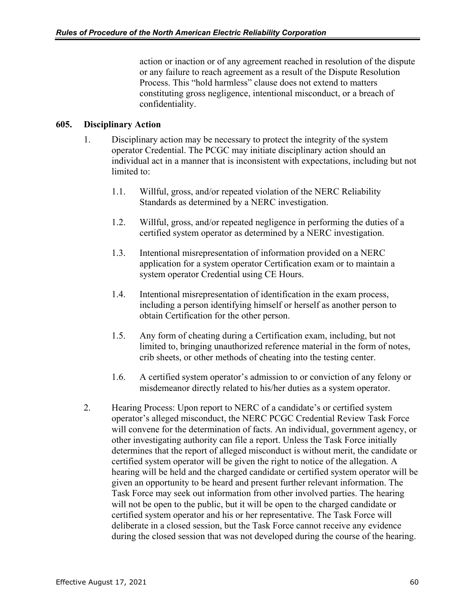action or inaction or of any agreement reached in resolution of the dispute or any failure to reach agreement as a result of the Dispute Resolution Process. This "hold harmless" clause does not extend to matters constituting gross negligence, intentional misconduct, or a breach of confidentiality.

### **605. Disciplinary Action**

- 1. Disciplinary action may be necessary to protect the integrity of the system operator Credential. The PCGC may initiate disciplinary action should an individual act in a manner that is inconsistent with expectations, including but not limited to:
	- 1.1. Willful, gross, and/or repeated violation of the NERC Reliability Standards as determined by a NERC investigation.
	- 1.2. Willful, gross, and/or repeated negligence in performing the duties of a certified system operator as determined by a NERC investigation.
	- 1.3. Intentional misrepresentation of information provided on a NERC application for a system operator Certification exam or to maintain a system operator Credential using CE Hours.
	- 1.4. Intentional misrepresentation of identification in the exam process, including a person identifying himself or herself as another person to obtain Certification for the other person.
	- 1.5. Any form of cheating during a Certification exam, including, but not limited to, bringing unauthorized reference material in the form of notes, crib sheets, or other methods of cheating into the testing center.
	- 1.6. A certified system operator's admission to or conviction of any felony or misdemeanor directly related to his/her duties as a system operator.
- 2. Hearing Process: Upon report to NERC of a candidate's or certified system operator's alleged misconduct, the NERC PCGC Credential Review Task Force will convene for the determination of facts. An individual, government agency, or other investigating authority can file a report. Unless the Task Force initially determines that the report of alleged misconduct is without merit, the candidate or certified system operator will be given the right to notice of the allegation. A hearing will be held and the charged candidate or certified system operator will be given an opportunity to be heard and present further relevant information. The Task Force may seek out information from other involved parties. The hearing will not be open to the public, but it will be open to the charged candidate or certified system operator and his or her representative. The Task Force will deliberate in a closed session, but the Task Force cannot receive any evidence during the closed session that was not developed during the course of the hearing.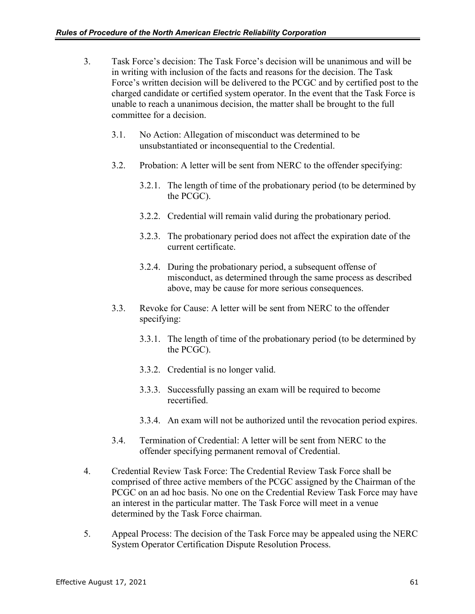- 3. Task Force's decision: The Task Force's decision will be unanimous and will be in writing with inclusion of the facts and reasons for the decision. The Task Force's written decision will be delivered to the PCGC and by certified post to the charged candidate or certified system operator. In the event that the Task Force is unable to reach a unanimous decision, the matter shall be brought to the full committee for a decision.
	- 3.1. No Action: Allegation of misconduct was determined to be unsubstantiated or inconsequential to the Credential.
	- 3.2. Probation: A letter will be sent from NERC to the offender specifying:
		- 3.2.1. The length of time of the probationary period (to be determined by the PCGC).
		- 3.2.2. Credential will remain valid during the probationary period.
		- 3.2.3. The probationary period does not affect the expiration date of the current certificate.
		- 3.2.4. During the probationary period, a subsequent offense of misconduct, as determined through the same process as described above, may be cause for more serious consequences.
	- 3.3. Revoke for Cause: A letter will be sent from NERC to the offender specifying:
		- 3.3.1. The length of time of the probationary period (to be determined by the PCGC).
		- 3.3.2. Credential is no longer valid.
		- 3.3.3. Successfully passing an exam will be required to become recertified.
		- 3.3.4. An exam will not be authorized until the revocation period expires.
	- 3.4. Termination of Credential: A letter will be sent from NERC to the offender specifying permanent removal of Credential.
- 4. Credential Review Task Force: The Credential Review Task Force shall be comprised of three active members of the PCGC assigned by the Chairman of the PCGC on an ad hoc basis. No one on the Credential Review Task Force may have an interest in the particular matter. The Task Force will meet in a venue determined by the Task Force chairman.
- 5. Appeal Process: The decision of the Task Force may be appealed using the NERC System Operator Certification Dispute Resolution Process.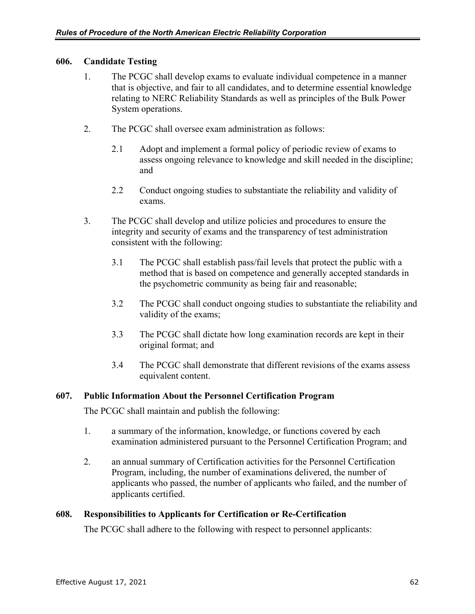#### **606. Candidate Testing**

- 1. The PCGC shall develop exams to evaluate individual competence in a manner that is objective, and fair to all candidates, and to determine essential knowledge relating to NERC Reliability Standards as well as principles of the Bulk Power System operations.
- 2. The PCGC shall oversee exam administration as follows:
	- 2.1 Adopt and implement a formal policy of periodic review of exams to assess ongoing relevance to knowledge and skill needed in the discipline; and
	- 2.2 Conduct ongoing studies to substantiate the reliability and validity of exams.
- 3. The PCGC shall develop and utilize policies and procedures to ensure the integrity and security of exams and the transparency of test administration consistent with the following:
	- 3.1 The PCGC shall establish pass/fail levels that protect the public with a method that is based on competence and generally accepted standards in the psychometric community as being fair and reasonable;
	- 3.2 The PCGC shall conduct ongoing studies to substantiate the reliability and validity of the exams;
	- 3.3 The PCGC shall dictate how long examination records are kept in their original format; and
	- 3.4 The PCGC shall demonstrate that different revisions of the exams assess equivalent content.

#### **607. Public Information About the Personnel Certification Program**

The PCGC shall maintain and publish the following:

- 1. a summary of the information, knowledge, or functions covered by each examination administered pursuant to the Personnel Certification Program; and
- 2. an annual summary of Certification activities for the Personnel Certification Program, including, the number of examinations delivered, the number of applicants who passed, the number of applicants who failed, and the number of applicants certified.

#### **608. Responsibilities to Applicants for Certification or Re-Certification**

The PCGC shall adhere to the following with respect to personnel applicants: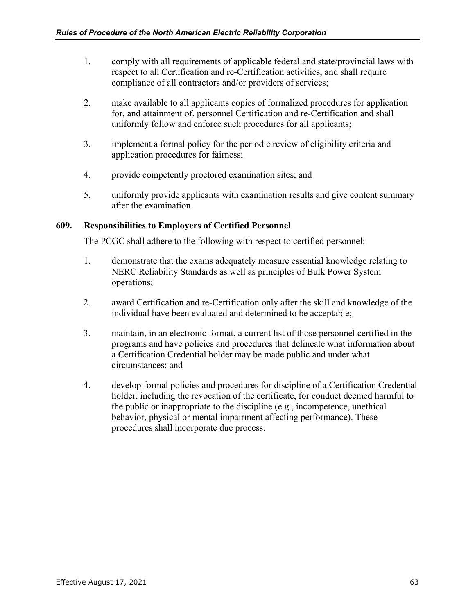- 1. comply with all requirements of applicable federal and state/provincial laws with respect to all Certification and re-Certification activities, and shall require compliance of all contractors and/or providers of services;
- 2. make available to all applicants copies of formalized procedures for application for, and attainment of, personnel Certification and re-Certification and shall uniformly follow and enforce such procedures for all applicants;
- 3. implement a formal policy for the periodic review of eligibility criteria and application procedures for fairness;
- 4. provide competently proctored examination sites; and
- 5. uniformly provide applicants with examination results and give content summary after the examination.

#### **609. Responsibilities to Employers of Certified Personnel**

The PCGC shall adhere to the following with respect to certified personnel:

- 1. demonstrate that the exams adequately measure essential knowledge relating to NERC Reliability Standards as well as principles of Bulk Power System operations;
- 2. award Certification and re-Certification only after the skill and knowledge of the individual have been evaluated and determined to be acceptable;
- 3. maintain, in an electronic format, a current list of those personnel certified in the programs and have policies and procedures that delineate what information about a Certification Credential holder may be made public and under what circumstances; and
- 4. develop formal policies and procedures for discipline of a Certification Credential holder, including the revocation of the certificate, for conduct deemed harmful to the public or inappropriate to the discipline (e.g., incompetence, unethical behavior, physical or mental impairment affecting performance). These procedures shall incorporate due process.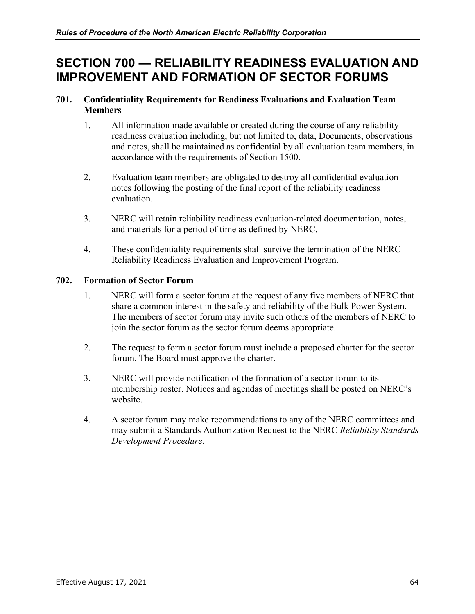## **SECTION 700 — RELIABILITY READINESS EVALUATION AND IMPROVEMENT AND FORMATION OF SECTOR FORUMS**

### **701. Confidentiality Requirements for Readiness Evaluations and Evaluation Team Members**

- 1. All information made available or created during the course of any reliability readiness evaluation including, but not limited to, data, Documents, observations and notes, shall be maintained as confidential by all evaluation team members, in accordance with the requirements of Section 1500.
- 2. Evaluation team members are obligated to destroy all confidential evaluation notes following the posting of the final report of the reliability readiness evaluation.
- 3. NERC will retain reliability readiness evaluation-related documentation, notes, and materials for a period of time as defined by NERC.
- 4. These confidentiality requirements shall survive the termination of the NERC Reliability Readiness Evaluation and Improvement Program.

## **702. Formation of Sector Forum**

- 1. NERC will form a sector forum at the request of any five members of NERC that share a common interest in the safety and reliability of the Bulk Power System. The members of sector forum may invite such others of the members of NERC to join the sector forum as the sector forum deems appropriate.
- 2. The request to form a sector forum must include a proposed charter for the sector forum. The Board must approve the charter.
- 3. NERC will provide notification of the formation of a sector forum to its membership roster. Notices and agendas of meetings shall be posted on NERC's website.
- 4. A sector forum may make recommendations to any of the NERC committees and may submit a Standards Authorization Request to the NERC *Reliability Standards Development Procedure*.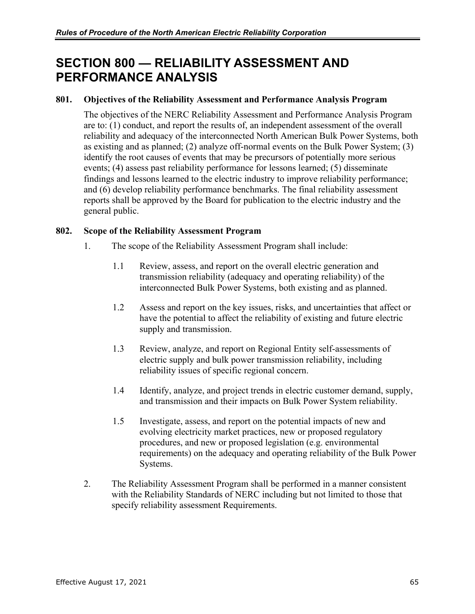# **SECTION 800 — RELIABILITY ASSESSMENT AND PERFORMANCE ANALYSIS**

## **801. Objectives of the Reliability Assessment and Performance Analysis Program**

The objectives of the NERC Reliability Assessment and Performance Analysis Program are to: (1) conduct, and report the results of, an independent assessment of the overall reliability and adequacy of the interconnected North American Bulk Power Systems, both as existing and as planned; (2) analyze off-normal events on the Bulk Power System; (3) identify the root causes of events that may be precursors of potentially more serious events; (4) assess past reliability performance for lessons learned; (5) disseminate findings and lessons learned to the electric industry to improve reliability performance; and (6) develop reliability performance benchmarks. The final reliability assessment reports shall be approved by the Board for publication to the electric industry and the general public.

## **802. Scope of the Reliability Assessment Program**

- 1. The scope of the Reliability Assessment Program shall include:
	- 1.1 Review, assess, and report on the overall electric generation and transmission reliability (adequacy and operating reliability) of the interconnected Bulk Power Systems, both existing and as planned.
	- 1.2 Assess and report on the key issues, risks, and uncertainties that affect or have the potential to affect the reliability of existing and future electric supply and transmission.
	- 1.3 Review, analyze, and report on Regional Entity self-assessments of electric supply and bulk power transmission reliability, including reliability issues of specific regional concern.
	- 1.4 Identify, analyze, and project trends in electric customer demand, supply, and transmission and their impacts on Bulk Power System reliability.
	- 1.5 Investigate, assess, and report on the potential impacts of new and evolving electricity market practices, new or proposed regulatory procedures, and new or proposed legislation (e.g. environmental requirements) on the adequacy and operating reliability of the Bulk Power Systems.
- 2. The Reliability Assessment Program shall be performed in a manner consistent with the Reliability Standards of NERC including but not limited to those that specify reliability assessment Requirements.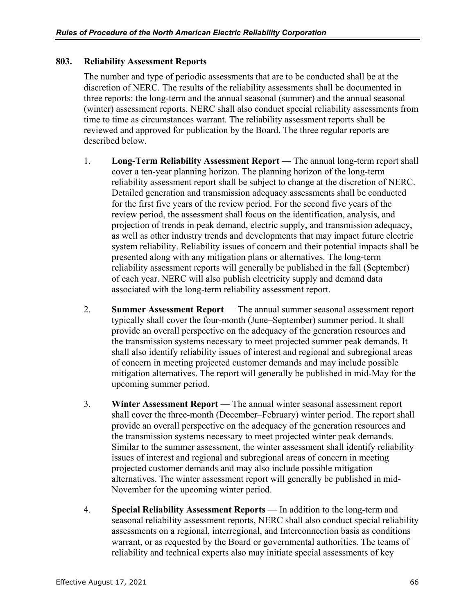## **803. Reliability Assessment Reports**

The number and type of periodic assessments that are to be conducted shall be at the discretion of NERC. The results of the reliability assessments shall be documented in three reports: the long-term and the annual seasonal (summer) and the annual seasonal (winter) assessment reports. NERC shall also conduct special reliability assessments from time to time as circumstances warrant. The reliability assessment reports shall be reviewed and approved for publication by the Board. The three regular reports are described below.

- 1. **Long-Term Reliability Assessment Report** The annual long-term report shall cover a ten-year planning horizon. The planning horizon of the long-term reliability assessment report shall be subject to change at the discretion of NERC. Detailed generation and transmission adequacy assessments shall be conducted for the first five years of the review period. For the second five years of the review period, the assessment shall focus on the identification, analysis, and projection of trends in peak demand, electric supply, and transmission adequacy, as well as other industry trends and developments that may impact future electric system reliability. Reliability issues of concern and their potential impacts shall be presented along with any mitigation plans or alternatives. The long-term reliability assessment reports will generally be published in the fall (September) of each year. NERC will also publish electricity supply and demand data associated with the long-term reliability assessment report.
- 2. **Summer Assessment Report** The annual summer seasonal assessment report typically shall cover the four-month (June–September) summer period. It shall provide an overall perspective on the adequacy of the generation resources and the transmission systems necessary to meet projected summer peak demands. It shall also identify reliability issues of interest and regional and subregional areas of concern in meeting projected customer demands and may include possible mitigation alternatives. The report will generally be published in mid-May for the upcoming summer period.
- 3. **Winter Assessment Report** The annual winter seasonal assessment report shall cover the three-month (December–February) winter period. The report shall provide an overall perspective on the adequacy of the generation resources and the transmission systems necessary to meet projected winter peak demands. Similar to the summer assessment, the winter assessment shall identify reliability issues of interest and regional and subregional areas of concern in meeting projected customer demands and may also include possible mitigation alternatives. The winter assessment report will generally be published in mid-November for the upcoming winter period.
- 4. **Special Reliability Assessment Reports** In addition to the long-term and seasonal reliability assessment reports, NERC shall also conduct special reliability assessments on a regional, interregional, and Interconnection basis as conditions warrant, or as requested by the Board or governmental authorities. The teams of reliability and technical experts also may initiate special assessments of key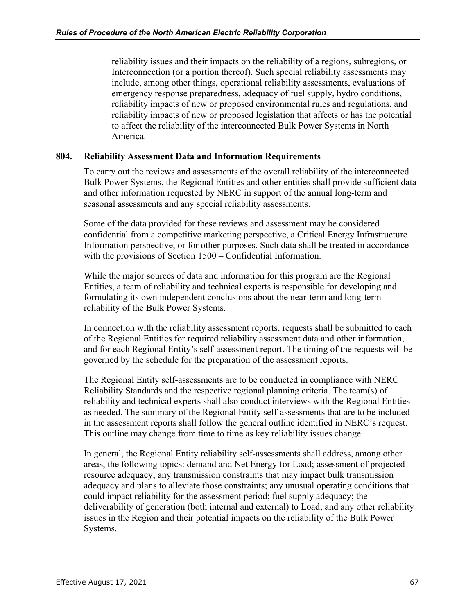reliability issues and their impacts on the reliability of a regions, subregions, or Interconnection (or a portion thereof). Such special reliability assessments may include, among other things, operational reliability assessments, evaluations of emergency response preparedness, adequacy of fuel supply, hydro conditions, reliability impacts of new or proposed environmental rules and regulations, and reliability impacts of new or proposed legislation that affects or has the potential to affect the reliability of the interconnected Bulk Power Systems in North America.

## **804. Reliability Assessment Data and Information Requirements**

To carry out the reviews and assessments of the overall reliability of the interconnected Bulk Power Systems, the Regional Entities and other entities shall provide sufficient data and other information requested by NERC in support of the annual long-term and seasonal assessments and any special reliability assessments.

Some of the data provided for these reviews and assessment may be considered confidential from a competitive marketing perspective, a Critical Energy Infrastructure Information perspective, or for other purposes. Such data shall be treated in accordance with the provisions of Section 1500 – Confidential Information.

While the major sources of data and information for this program are the Regional Entities, a team of reliability and technical experts is responsible for developing and formulating its own independent conclusions about the near-term and long-term reliability of the Bulk Power Systems.

In connection with the reliability assessment reports, requests shall be submitted to each of the Regional Entities for required reliability assessment data and other information, and for each Regional Entity's self-assessment report. The timing of the requests will be governed by the schedule for the preparation of the assessment reports.

The Regional Entity self-assessments are to be conducted in compliance with NERC Reliability Standards and the respective regional planning criteria. The team(s) of reliability and technical experts shall also conduct interviews with the Regional Entities as needed. The summary of the Regional Entity self-assessments that are to be included in the assessment reports shall follow the general outline identified in NERC's request. This outline may change from time to time as key reliability issues change.

In general, the Regional Entity reliability self-assessments shall address, among other areas, the following topics: demand and Net Energy for Load; assessment of projected resource adequacy; any transmission constraints that may impact bulk transmission adequacy and plans to alleviate those constraints; any unusual operating conditions that could impact reliability for the assessment period; fuel supply adequacy; the deliverability of generation (both internal and external) to Load; and any other reliability issues in the Region and their potential impacts on the reliability of the Bulk Power Systems.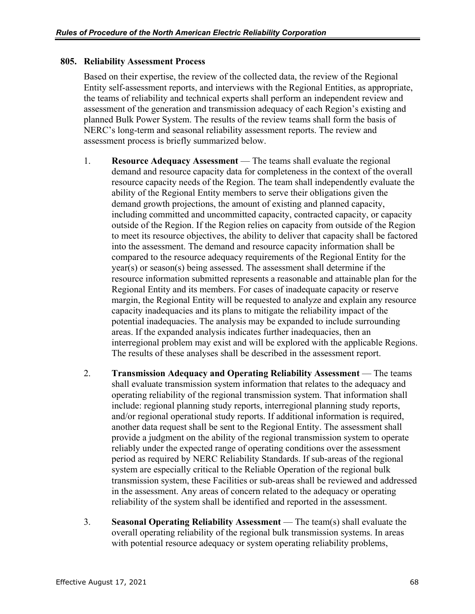### **805. Reliability Assessment Process**

Based on their expertise, the review of the collected data, the review of the Regional Entity self-assessment reports, and interviews with the Regional Entities, as appropriate, the teams of reliability and technical experts shall perform an independent review and assessment of the generation and transmission adequacy of each Region's existing and planned Bulk Power System. The results of the review teams shall form the basis of NERC's long-term and seasonal reliability assessment reports. The review and assessment process is briefly summarized below.

- 1. **Resource Adequacy Assessment** The teams shall evaluate the regional demand and resource capacity data for completeness in the context of the overall resource capacity needs of the Region. The team shall independently evaluate the ability of the Regional Entity members to serve their obligations given the demand growth projections, the amount of existing and planned capacity, including committed and uncommitted capacity, contracted capacity, or capacity outside of the Region. If the Region relies on capacity from outside of the Region to meet its resource objectives, the ability to deliver that capacity shall be factored into the assessment. The demand and resource capacity information shall be compared to the resource adequacy requirements of the Regional Entity for the year(s) or season(s) being assessed. The assessment shall determine if the resource information submitted represents a reasonable and attainable plan for the Regional Entity and its members. For cases of inadequate capacity or reserve margin, the Regional Entity will be requested to analyze and explain any resource capacity inadequacies and its plans to mitigate the reliability impact of the potential inadequacies. The analysis may be expanded to include surrounding areas. If the expanded analysis indicates further inadequacies, then an interregional problem may exist and will be explored with the applicable Regions. The results of these analyses shall be described in the assessment report.
- 2. **Transmission Adequacy and Operating Reliability Assessment** The teams shall evaluate transmission system information that relates to the adequacy and operating reliability of the regional transmission system. That information shall include: regional planning study reports, interregional planning study reports, and/or regional operational study reports. If additional information is required, another data request shall be sent to the Regional Entity. The assessment shall provide a judgment on the ability of the regional transmission system to operate reliably under the expected range of operating conditions over the assessment period as required by NERC Reliability Standards. If sub-areas of the regional system are especially critical to the Reliable Operation of the regional bulk transmission system, these Facilities or sub-areas shall be reviewed and addressed in the assessment. Any areas of concern related to the adequacy or operating reliability of the system shall be identified and reported in the assessment.
- 3. **Seasonal Operating Reliability Assessment** The team(s) shall evaluate the overall operating reliability of the regional bulk transmission systems. In areas with potential resource adequacy or system operating reliability problems,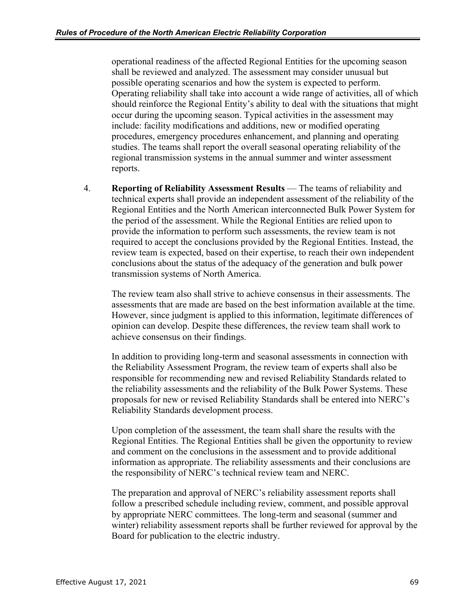operational readiness of the affected Regional Entities for the upcoming season shall be reviewed and analyzed. The assessment may consider unusual but possible operating scenarios and how the system is expected to perform. Operating reliability shall take into account a wide range of activities, all of which should reinforce the Regional Entity's ability to deal with the situations that might occur during the upcoming season. Typical activities in the assessment may include: facility modifications and additions, new or modified operating procedures, emergency procedures enhancement, and planning and operating studies. The teams shall report the overall seasonal operating reliability of the regional transmission systems in the annual summer and winter assessment reports.

4. **Reporting of Reliability Assessment Results** — The teams of reliability and technical experts shall provide an independent assessment of the reliability of the Regional Entities and the North American interconnected Bulk Power System for the period of the assessment. While the Regional Entities are relied upon to provide the information to perform such assessments, the review team is not required to accept the conclusions provided by the Regional Entities. Instead, the review team is expected, based on their expertise, to reach their own independent conclusions about the status of the adequacy of the generation and bulk power transmission systems of North America.

The review team also shall strive to achieve consensus in their assessments. The assessments that are made are based on the best information available at the time. However, since judgment is applied to this information, legitimate differences of opinion can develop. Despite these differences, the review team shall work to achieve consensus on their findings.

In addition to providing long-term and seasonal assessments in connection with the Reliability Assessment Program, the review team of experts shall also be responsible for recommending new and revised Reliability Standards related to the reliability assessments and the reliability of the Bulk Power Systems. These proposals for new or revised Reliability Standards shall be entered into NERC's Reliability Standards development process.

Upon completion of the assessment, the team shall share the results with the Regional Entities. The Regional Entities shall be given the opportunity to review and comment on the conclusions in the assessment and to provide additional information as appropriate. The reliability assessments and their conclusions are the responsibility of NERC's technical review team and NERC.

The preparation and approval of NERC's reliability assessment reports shall follow a prescribed schedule including review, comment, and possible approval by appropriate NERC committees. The long-term and seasonal (summer and winter) reliability assessment reports shall be further reviewed for approval by the Board for publication to the electric industry.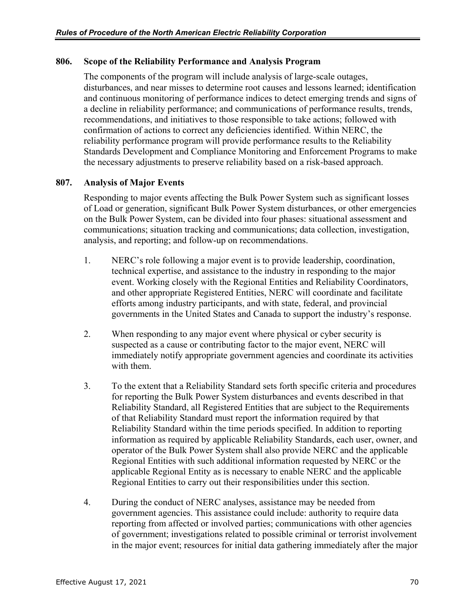### **806. Scope of the Reliability Performance and Analysis Program**

The components of the program will include analysis of large-scale outages, disturbances, and near misses to determine root causes and lessons learned; identification and continuous monitoring of performance indices to detect emerging trends and signs of a decline in reliability performance; and communications of performance results, trends, recommendations, and initiatives to those responsible to take actions; followed with confirmation of actions to correct any deficiencies identified. Within NERC, the reliability performance program will provide performance results to the Reliability Standards Development and Compliance Monitoring and Enforcement Programs to make the necessary adjustments to preserve reliability based on a risk-based approach.

### **807. Analysis of Major Events**

Responding to major events affecting the Bulk Power System such as significant losses of Load or generation, significant Bulk Power System disturbances, or other emergencies on the Bulk Power System, can be divided into four phases: situational assessment and communications; situation tracking and communications; data collection, investigation, analysis, and reporting; and follow-up on recommendations.

- 1. NERC's role following a major event is to provide leadership, coordination, technical expertise, and assistance to the industry in responding to the major event. Working closely with the Regional Entities and Reliability Coordinators, and other appropriate Registered Entities, NERC will coordinate and facilitate efforts among industry participants, and with state, federal, and provincial governments in the United States and Canada to support the industry's response.
- 2. When responding to any major event where physical or cyber security is suspected as a cause or contributing factor to the major event, NERC will immediately notify appropriate government agencies and coordinate its activities with them.
- 3. To the extent that a Reliability Standard sets forth specific criteria and procedures for reporting the Bulk Power System disturbances and events described in that Reliability Standard, all Registered Entities that are subject to the Requirements of that Reliability Standard must report the information required by that Reliability Standard within the time periods specified. In addition to reporting information as required by applicable Reliability Standards, each user, owner, and operator of the Bulk Power System shall also provide NERC and the applicable Regional Entities with such additional information requested by NERC or the applicable Regional Entity as is necessary to enable NERC and the applicable Regional Entities to carry out their responsibilities under this section.
- 4. During the conduct of NERC analyses, assistance may be needed from government agencies. This assistance could include: authority to require data reporting from affected or involved parties; communications with other agencies of government; investigations related to possible criminal or terrorist involvement in the major event; resources for initial data gathering immediately after the major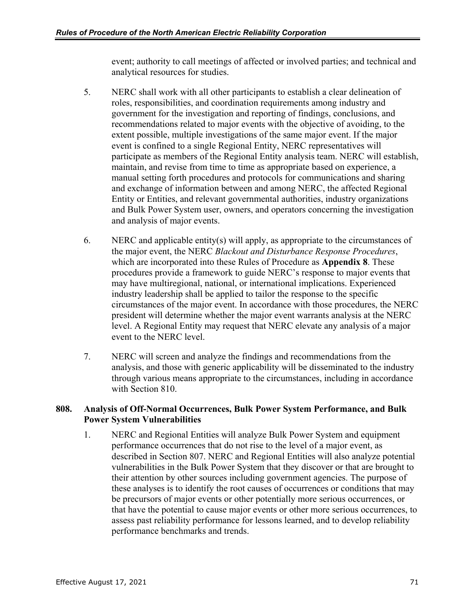event; authority to call meetings of affected or involved parties; and technical and analytical resources for studies.

- 5. NERC shall work with all other participants to establish a clear delineation of roles, responsibilities, and coordination requirements among industry and government for the investigation and reporting of findings, conclusions, and recommendations related to major events with the objective of avoiding, to the extent possible, multiple investigations of the same major event. If the major event is confined to a single Regional Entity, NERC representatives will participate as members of the Regional Entity analysis team. NERC will establish, maintain, and revise from time to time as appropriate based on experience, a manual setting forth procedures and protocols for communications and sharing and exchange of information between and among NERC, the affected Regional Entity or Entities, and relevant governmental authorities, industry organizations and Bulk Power System user, owners, and operators concerning the investigation and analysis of major events.
- 6. NERC and applicable entity(s) will apply, as appropriate to the circumstances of the major event, the NERC *Blackout and Disturbance Response Procedures*, which are incorporated into these Rules of Procedure as **Appendix 8**. These procedures provide a framework to guide NERC's response to major events that may have multiregional, national, or international implications. Experienced industry leadership shall be applied to tailor the response to the specific circumstances of the major event. In accordance with those procedures, the NERC president will determine whether the major event warrants analysis at the NERC level. A Regional Entity may request that NERC elevate any analysis of a major event to the NERC level.
- 7. NERC will screen and analyze the findings and recommendations from the analysis, and those with generic applicability will be disseminated to the industry through various means appropriate to the circumstances, including in accordance with Section 810.

## **808. Analysis of Off-Normal Occurrences, Bulk Power System Performance, and Bulk Power System Vulnerabilities**

1. NERC and Regional Entities will analyze Bulk Power System and equipment performance occurrences that do not rise to the level of a major event, as described in Section 807. NERC and Regional Entities will also analyze potential vulnerabilities in the Bulk Power System that they discover or that are brought to their attention by other sources including government agencies. The purpose of these analyses is to identify the root causes of occurrences or conditions that may be precursors of major events or other potentially more serious occurrences, or that have the potential to cause major events or other more serious occurrences, to assess past reliability performance for lessons learned, and to develop reliability performance benchmarks and trends.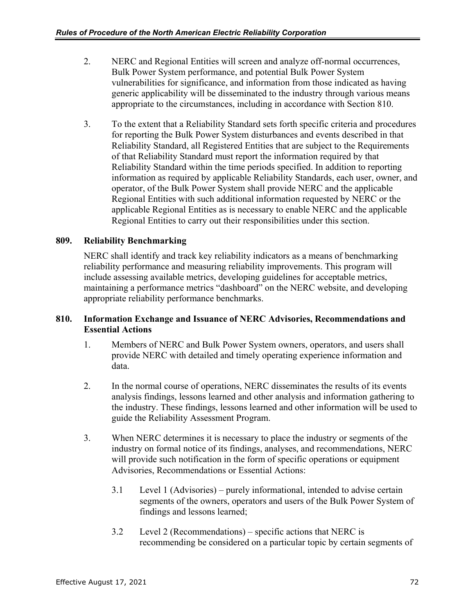- 2. NERC and Regional Entities will screen and analyze off-normal occurrences, Bulk Power System performance, and potential Bulk Power System vulnerabilities for significance, and information from those indicated as having generic applicability will be disseminated to the industry through various means appropriate to the circumstances, including in accordance with Section 810.
- 3. To the extent that a Reliability Standard sets forth specific criteria and procedures for reporting the Bulk Power System disturbances and events described in that Reliability Standard, all Registered Entities that are subject to the Requirements of that Reliability Standard must report the information required by that Reliability Standard within the time periods specified. In addition to reporting information as required by applicable Reliability Standards, each user, owner, and operator, of the Bulk Power System shall provide NERC and the applicable Regional Entities with such additional information requested by NERC or the applicable Regional Entities as is necessary to enable NERC and the applicable Regional Entities to carry out their responsibilities under this section.

## **809. Reliability Benchmarking**

NERC shall identify and track key reliability indicators as a means of benchmarking reliability performance and measuring reliability improvements. This program will include assessing available metrics, developing guidelines for acceptable metrics, maintaining a performance metrics "dashboard" on the NERC website, and developing appropriate reliability performance benchmarks.

## **810. Information Exchange and Issuance of NERC Advisories, Recommendations and Essential Actions**

- 1. Members of NERC and Bulk Power System owners, operators, and users shall provide NERC with detailed and timely operating experience information and data.
- 2. In the normal course of operations, NERC disseminates the results of its events analysis findings, lessons learned and other analysis and information gathering to the industry. These findings, lessons learned and other information will be used to guide the Reliability Assessment Program.
- 3. When NERC determines it is necessary to place the industry or segments of the industry on formal notice of its findings, analyses, and recommendations, NERC will provide such notification in the form of specific operations or equipment Advisories, Recommendations or Essential Actions:
	- 3.1 Level 1 (Advisories) purely informational, intended to advise certain segments of the owners, operators and users of the Bulk Power System of findings and lessons learned;
	- 3.2 Level 2 (Recommendations) specific actions that NERC is recommending be considered on a particular topic by certain segments of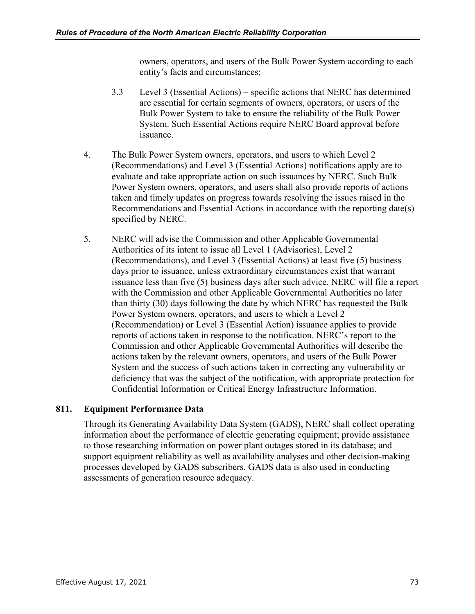owners, operators, and users of the Bulk Power System according to each entity's facts and circumstances;

- 3.3 Level 3 (Essential Actions) specific actions that NERC has determined are essential for certain segments of owners, operators, or users of the Bulk Power System to take to ensure the reliability of the Bulk Power System. Such Essential Actions require NERC Board approval before issuance.
- 4. The Bulk Power System owners, operators, and users to which Level 2 (Recommendations) and Level 3 (Essential Actions) notifications apply are to evaluate and take appropriate action on such issuances by NERC. Such Bulk Power System owners, operators, and users shall also provide reports of actions taken and timely updates on progress towards resolving the issues raised in the Recommendations and Essential Actions in accordance with the reporting date(s) specified by NERC.
- 5. NERC will advise the Commission and other Applicable Governmental Authorities of its intent to issue all Level 1 (Advisories), Level 2 (Recommendations), and Level 3 (Essential Actions) at least five (5) business days prior to issuance, unless extraordinary circumstances exist that warrant issuance less than five (5) business days after such advice. NERC will file a report with the Commission and other Applicable Governmental Authorities no later than thirty (30) days following the date by which NERC has requested the Bulk Power System owners, operators, and users to which a Level 2 (Recommendation) or Level 3 (Essential Action) issuance applies to provide reports of actions taken in response to the notification. NERC's report to the Commission and other Applicable Governmental Authorities will describe the actions taken by the relevant owners, operators, and users of the Bulk Power System and the success of such actions taken in correcting any vulnerability or deficiency that was the subject of the notification, with appropriate protection for Confidential Information or Critical Energy Infrastructure Information.

## **811. Equipment Performance Data**

Through its Generating Availability Data System (GADS), NERC shall collect operating information about the performance of electric generating equipment; provide assistance to those researching information on power plant outages stored in its database; and support equipment reliability as well as availability analyses and other decision-making processes developed by GADS subscribers. GADS data is also used in conducting assessments of generation resource adequacy.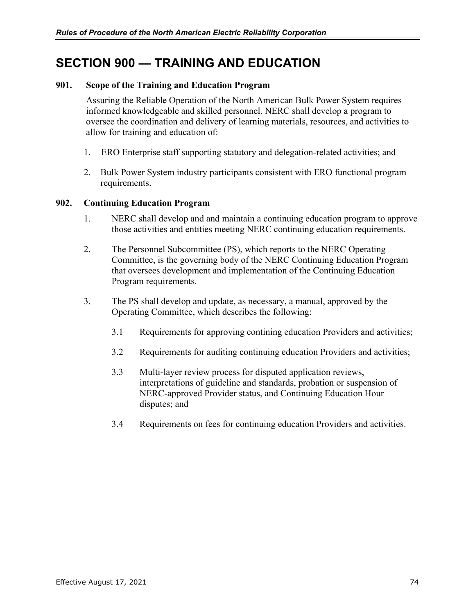# **SECTION 900 — TRAINING AND EDUCATION**

### **901. Scope of the Training and Education Program**

Assuring the Reliable Operation of the North American Bulk Power System requires informed knowledgeable and skilled personnel. NERC shall develop a program to oversee the coordination and delivery of learning materials, resources, and activities to allow for training and education of:

- 1. ERO Enterprise staff supporting statutory and delegation-related activities; and
- 2. Bulk Power System industry participants consistent with ERO functional program requirements.

### **902. Continuing Education Program**

- 1. NERC shall develop and and maintain a continuing education program to approve those activities and entities meeting NERC continuing education requirements.
- 2. The Personnel Subcommittee (PS), which reports to the NERC Operating Committee, is the governing body of the NERC Continuing Education Program that oversees development and implementation of the Continuing Education Program requirements.
- 3. The PS shall develop and update, as necessary, a manual, approved by the Operating Committee, which describes the following:
	- 3.1 Requirements for approving contining education Providers and activities;
	- 3.2 Requirements for auditing continuing education Providers and activities;
	- 3.3 Multi-layer review process for disputed application reviews, interpretations of guideline and standards, probation or suspension of NERC-approved Provider status, and Continuing Education Hour disputes; and
	- 3.4 Requirements on fees for continuing education Providers and activities.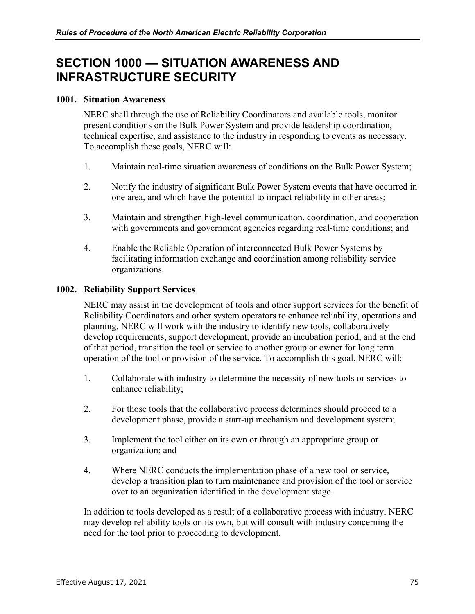# **SECTION 1000 — SITUATION AWARENESS AND INFRASTRUCTURE SECURITY**

### **1001. Situation Awareness**

NERC shall through the use of Reliability Coordinators and available tools, monitor present conditions on the Bulk Power System and provide leadership coordination, technical expertise, and assistance to the industry in responding to events as necessary. To accomplish these goals, NERC will:

- 1. Maintain real-time situation awareness of conditions on the Bulk Power System;
- 2. Notify the industry of significant Bulk Power System events that have occurred in one area, and which have the potential to impact reliability in other areas;
- 3. Maintain and strengthen high-level communication, coordination, and cooperation with governments and government agencies regarding real-time conditions; and
- 4. Enable the Reliable Operation of interconnected Bulk Power Systems by facilitating information exchange and coordination among reliability service organizations.

### **1002. Reliability Support Services**

NERC may assist in the development of tools and other support services for the benefit of Reliability Coordinators and other system operators to enhance reliability, operations and planning. NERC will work with the industry to identify new tools, collaboratively develop requirements, support development, provide an incubation period, and at the end of that period, transition the tool or service to another group or owner for long term operation of the tool or provision of the service. To accomplish this goal, NERC will:

- 1. Collaborate with industry to determine the necessity of new tools or services to enhance reliability;
- 2. For those tools that the collaborative process determines should proceed to a development phase, provide a start-up mechanism and development system;
- 3. Implement the tool either on its own or through an appropriate group or organization; and
- 4. Where NERC conducts the implementation phase of a new tool or service, develop a transition plan to turn maintenance and provision of the tool or service over to an organization identified in the development stage.

In addition to tools developed as a result of a collaborative process with industry, NERC may develop reliability tools on its own, but will consult with industry concerning the need for the tool prior to proceeding to development.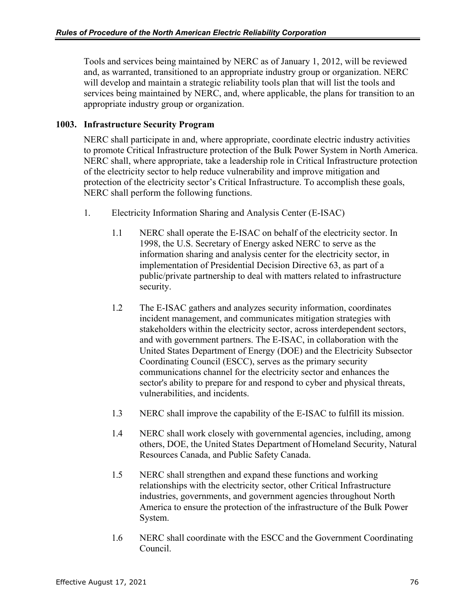Tools and services being maintained by NERC as of January 1, 2012, will be reviewed and, as warranted, transitioned to an appropriate industry group or organization. NERC will develop and maintain a strategic reliability tools plan that will list the tools and services being maintained by NERC, and, where applicable, the plans for transition to an appropriate industry group or organization.

### **1003. Infrastructure Security Program**

NERC shall participate in and, where appropriate, coordinate electric industry activities to promote Critical Infrastructure protection of the Bulk Power System in North America. NERC shall, where appropriate, take a leadership role in Critical Infrastructure protection of the electricity sector to help reduce vulnerability and improve mitigation and protection of the electricity sector's Critical Infrastructure. To accomplish these goals, NERC shall perform the following functions.

- 1. Electricity Information Sharing and Analysis Center (E-ISAC)
	- 1.1 NERC shall operate the E-ISAC on behalf of the electricity sector. In 1998, the U.S. Secretary of Energy asked NERC to serve as the information sharing and analysis center for the electricity sector, in implementation of Presidential Decision Directive 63, as part of a public/private partnership to deal with matters related to infrastructure security.
	- 1.2 The E-ISAC gathers and analyzes security information, coordinates incident management, and communicates mitigation strategies with stakeholders within the electricity sector, across interdependent sectors, and with government partners. The E-ISAC, in collaboration with the United States Department of Energy (DOE) and the Electricity Subsector Coordinating Council (ESCC), serves as the primary security communications channel for the electricity sector and enhances the sector's ability to prepare for and respond to cyber and physical threats, vulnerabilities, and incidents.
	- 1.3 NERC shall improve the capability of the E-ISAC to fulfill its mission.
	- 1.4 NERC shall work closely with governmental agencies, including, among others, DOE, the United States Department of Homeland Security, Natural Resources Canada, and Public Safety Canada.
	- 1.5 NERC shall strengthen and expand these functions and working relationships with the electricity sector, other Critical Infrastructure industries, governments, and government agencies throughout North America to ensure the protection of the infrastructure of the Bulk Power System.
	- 1.6 NERC shall coordinate with the ESCCand the Government Coordinating Council.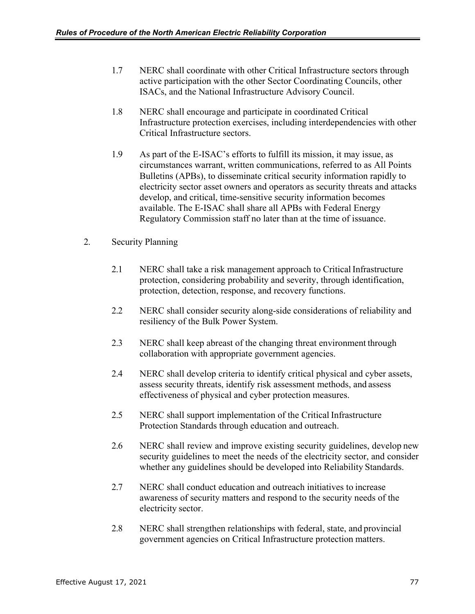- 1.7 NERC shall coordinate with other Critical Infrastructure sectors through active participation with the other Sector Coordinating Councils, other ISACs, and the National Infrastructure Advisory Council.
- 1.8 NERC shall encourage and participate in coordinated Critical Infrastructure protection exercises, including interdependencies with other Critical Infrastructure sectors.
- 1.9 As part of the E-ISAC's efforts to fulfill its mission, it may issue, as circumstances warrant, written communications, referred to as All Points Bulletins (APBs), to disseminate critical security information rapidly to electricity sector asset owners and operators as security threats and attacks develop, and critical, time-sensitive security information becomes available. The E-ISAC shall share all APBs with Federal Energy Regulatory Commission staff no later than at the time of issuance.
- 2. Security Planning
	- 2.1 NERC shall take a risk management approach to Critical Infrastructure protection, considering probability and severity, through identification, protection, detection, response, and recovery functions.
	- 2.2 NERC shall consider security along-side considerations of reliability and resiliency of the Bulk Power System.
	- 2.3 NERC shall keep abreast of the changing threat environment through collaboration with appropriate government agencies.
	- 2.4 NERC shall develop criteria to identify critical physical and cyber assets, assess security threats, identify risk assessment methods, and assess effectiveness of physical and cyber protection measures.
	- 2.5 NERC shall support implementation of the Critical Infrastructure Protection Standards through education and outreach.
	- 2.6 NERC shall review and improve existing security guidelines, develop new security guidelines to meet the needs of the electricity sector, and consider whether any guidelines should be developed into Reliability Standards.
	- 2.7 NERC shall conduct education and outreach initiatives to increase awareness of security matters and respond to the security needs of the electricity sector.
	- 2.8 NERC shall strengthen relationships with federal, state, and provincial government agencies on Critical Infrastructure protection matters.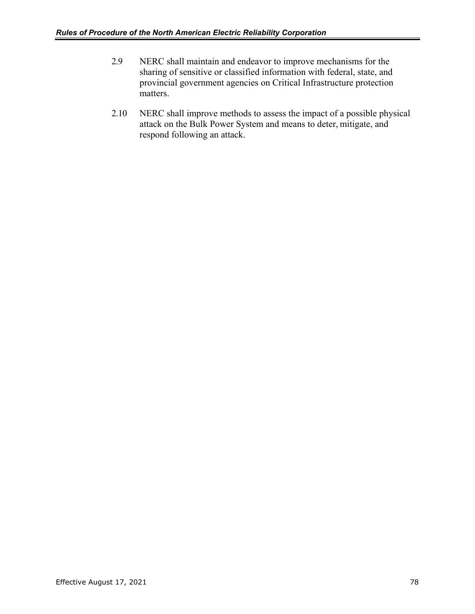- 2.9 NERC shall maintain and endeavor to improve mechanisms for the sharing of sensitive or classified information with federal, state, and provincial government agencies on Critical Infrastructure protection matters.
- 2.10 NERC shall improve methods to assess the impact of a possible physical attack on the Bulk Power System and means to deter, mitigate, and respond following an attack.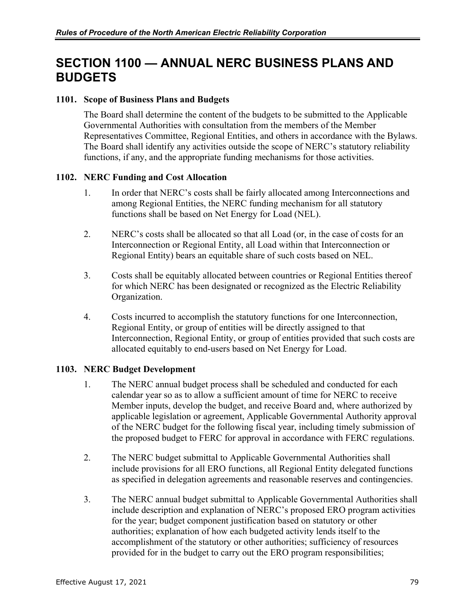# **SECTION 1100 — ANNUAL NERC BUSINESS PLANS AND BUDGETS**

## **1101. Scope of Business Plans and Budgets**

The Board shall determine the content of the budgets to be submitted to the Applicable Governmental Authorities with consultation from the members of the Member Representatives Committee, Regional Entities, and others in accordance with the Bylaws. The Board shall identify any activities outside the scope of NERC's statutory reliability functions, if any, and the appropriate funding mechanisms for those activities.

## **1102. NERC Funding and Cost Allocation**

- 1. In order that NERC's costs shall be fairly allocated among Interconnections and among Regional Entities, the NERC funding mechanism for all statutory functions shall be based on Net Energy for Load (NEL).
- 2. NERC's costs shall be allocated so that all Load (or, in the case of costs for an Interconnection or Regional Entity, all Load within that Interconnection or Regional Entity) bears an equitable share of such costs based on NEL.
- 3. Costs shall be equitably allocated between countries or Regional Entities thereof for which NERC has been designated or recognized as the Electric Reliability Organization.
- 4. Costs incurred to accomplish the statutory functions for one Interconnection, Regional Entity, or group of entities will be directly assigned to that Interconnection, Regional Entity, or group of entities provided that such costs are allocated equitably to end-users based on Net Energy for Load.

## **1103. NERC Budget Development**

- 1. The NERC annual budget process shall be scheduled and conducted for each calendar year so as to allow a sufficient amount of time for NERC to receive Member inputs, develop the budget, and receive Board and, where authorized by applicable legislation or agreement, Applicable Governmental Authority approval of the NERC budget for the following fiscal year, including timely submission of the proposed budget to FERC for approval in accordance with FERC regulations.
- 2. The NERC budget submittal to Applicable Governmental Authorities shall include provisions for all ERO functions, all Regional Entity delegated functions as specified in delegation agreements and reasonable reserves and contingencies.
- 3. The NERC annual budget submittal to Applicable Governmental Authorities shall include description and explanation of NERC's proposed ERO program activities for the year; budget component justification based on statutory or other authorities; explanation of how each budgeted activity lends itself to the accomplishment of the statutory or other authorities; sufficiency of resources provided for in the budget to carry out the ERO program responsibilities;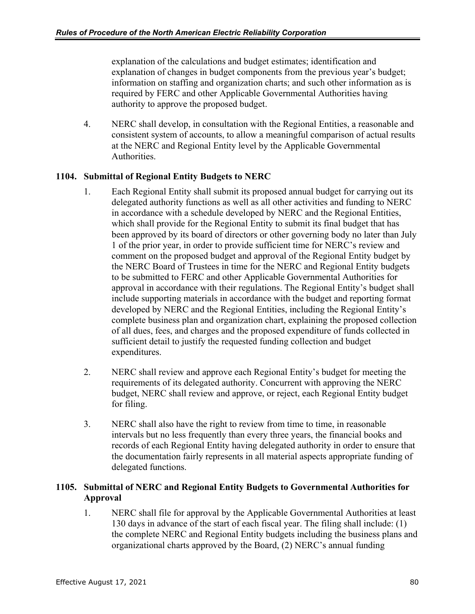explanation of the calculations and budget estimates; identification and explanation of changes in budget components from the previous year's budget; information on staffing and organization charts; and such other information as is required by FERC and other Applicable Governmental Authorities having authority to approve the proposed budget.

4. NERC shall develop, in consultation with the Regional Entities, a reasonable and consistent system of accounts, to allow a meaningful comparison of actual results at the NERC and Regional Entity level by the Applicable Governmental Authorities.

## **1104. Submittal of Regional Entity Budgets to NERC**

- 1. Each Regional Entity shall submit its proposed annual budget for carrying out its delegated authority functions as well as all other activities and funding to NERC in accordance with a schedule developed by NERC and the Regional Entities, which shall provide for the Regional Entity to submit its final budget that has been approved by its board of directors or other governing body no later than July 1 of the prior year, in order to provide sufficient time for NERC's review and comment on the proposed budget and approval of the Regional Entity budget by the NERC Board of Trustees in time for the NERC and Regional Entity budgets to be submitted to FERC and other Applicable Governmental Authorities for approval in accordance with their regulations. The Regional Entity's budget shall include supporting materials in accordance with the budget and reporting format developed by NERC and the Regional Entities, including the Regional Entity's complete business plan and organization chart, explaining the proposed collection of all dues, fees, and charges and the proposed expenditure of funds collected in sufficient detail to justify the requested funding collection and budget expenditures.
- 2. NERC shall review and approve each Regional Entity's budget for meeting the requirements of its delegated authority. Concurrent with approving the NERC budget, NERC shall review and approve, or reject, each Regional Entity budget for filing.
- 3. NERC shall also have the right to review from time to time, in reasonable intervals but no less frequently than every three years, the financial books and records of each Regional Entity having delegated authority in order to ensure that the documentation fairly represents in all material aspects appropriate funding of delegated functions.

## **1105. Submittal of NERC and Regional Entity Budgets to Governmental Authorities for Approval**

1. NERC shall file for approval by the Applicable Governmental Authorities at least 130 days in advance of the start of each fiscal year. The filing shall include: (1) the complete NERC and Regional Entity budgets including the business plans and organizational charts approved by the Board, (2) NERC's annual funding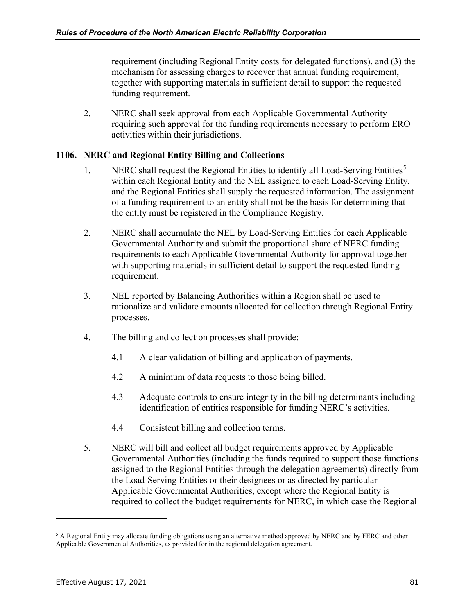requirement (including Regional Entity costs for delegated functions), and (3) the mechanism for assessing charges to recover that annual funding requirement, together with supporting materials in sufficient detail to support the requested funding requirement.

2. NERC shall seek approval from each Applicable Governmental Authority requiring such approval for the funding requirements necessary to perform ERO activities within their jurisdictions.

## **1106. NERC and Regional Entity Billing and Collections**

- 1. NERC shall request the Regional Entities to identify all Load-Serving Entities<sup>[5](#page-85-0)</sup> within each Regional Entity and the NEL assigned to each Load-Serving Entity, and the Regional Entities shall supply the requested information. The assignment of a funding requirement to an entity shall not be the basis for determining that the entity must be registered in the Compliance Registry.
- 2. NERC shall accumulate the NEL by Load-Serving Entities for each Applicable Governmental Authority and submit the proportional share of NERC funding requirements to each Applicable Governmental Authority for approval together with supporting materials in sufficient detail to support the requested funding requirement.
- 3. NEL reported by Balancing Authorities within a Region shall be used to rationalize and validate amounts allocated for collection through Regional Entity processes.
- 4. The billing and collection processes shall provide:
	- 4.1 A clear validation of billing and application of payments.
	- 4.2 A minimum of data requests to those being billed.
	- 4.3 Adequate controls to ensure integrity in the billing determinants including identification of entities responsible for funding NERC's activities.
	- 4.4 Consistent billing and collection terms.
- 5. NERC will bill and collect all budget requirements approved by Applicable Governmental Authorities (including the funds required to support those functions assigned to the Regional Entities through the delegation agreements) directly from the Load-Serving Entities or their designees or as directed by particular Applicable Governmental Authorities, except where the Regional Entity is required to collect the budget requirements for NERC, in which case the Regional

 $\overline{a}$ 

<span id="page-85-0"></span><sup>&</sup>lt;sup>5</sup> A Regional Entity may allocate funding obligations using an alternative method approved by NERC and by FERC and other Applicable Governmental Authorities, as provided for in the regional delegation agreement.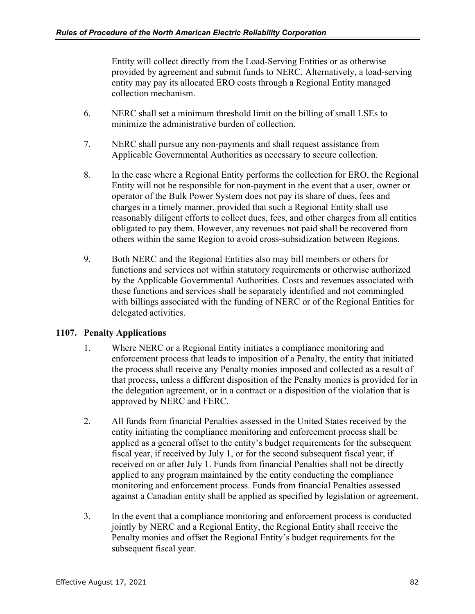Entity will collect directly from the Load-Serving Entities or as otherwise provided by agreement and submit funds to NERC. Alternatively, a load-serving entity may pay its allocated ERO costs through a Regional Entity managed collection mechanism.

- 6. NERC shall set a minimum threshold limit on the billing of small LSEs to minimize the administrative burden of collection.
- 7. NERC shall pursue any non-payments and shall request assistance from Applicable Governmental Authorities as necessary to secure collection.
- 8. In the case where a Regional Entity performs the collection for ERO, the Regional Entity will not be responsible for non-payment in the event that a user, owner or operator of the Bulk Power System does not pay its share of dues, fees and charges in a timely manner, provided that such a Regional Entity shall use reasonably diligent efforts to collect dues, fees, and other charges from all entities obligated to pay them. However, any revenues not paid shall be recovered from others within the same Region to avoid cross-subsidization between Regions.
- 9. Both NERC and the Regional Entities also may bill members or others for functions and services not within statutory requirements or otherwise authorized by the Applicable Governmental Authorities. Costs and revenues associated with these functions and services shall be separately identified and not commingled with billings associated with the funding of NERC or of the Regional Entities for delegated activities.

## **1107. Penalty Applications**

- 1. Where NERC or a Regional Entity initiates a compliance monitoring and enforcement process that leads to imposition of a Penalty, the entity that initiated the process shall receive any Penalty monies imposed and collected as a result of that process, unless a different disposition of the Penalty monies is provided for in the delegation agreement, or in a contract or a disposition of the violation that is approved by NERC and FERC.
- 2. All funds from financial Penalties assessed in the United States received by the entity initiating the compliance monitoring and enforcement process shall be applied as a general offset to the entity's budget requirements for the subsequent fiscal year, if received by July 1, or for the second subsequent fiscal year, if received on or after July 1. Funds from financial Penalties shall not be directly applied to any program maintained by the entity conducting the compliance monitoring and enforcement process. Funds from financial Penalties assessed against a Canadian entity shall be applied as specified by legislation or agreement.
- 3. In the event that a compliance monitoring and enforcement process is conducted jointly by NERC and a Regional Entity, the Regional Entity shall receive the Penalty monies and offset the Regional Entity's budget requirements for the subsequent fiscal year.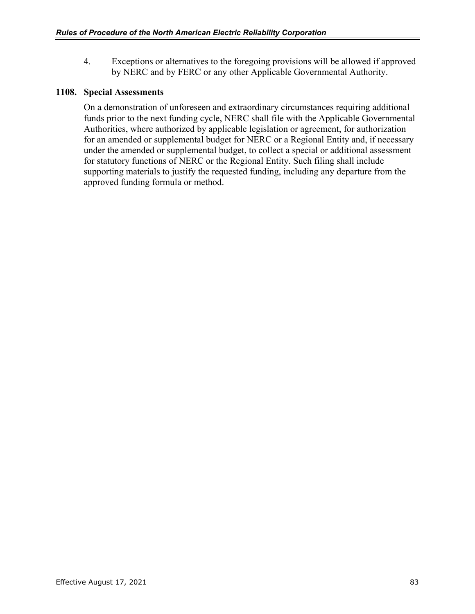4. Exceptions or alternatives to the foregoing provisions will be allowed if approved by NERC and by FERC or any other Applicable Governmental Authority.

### **1108. Special Assessments**

On a demonstration of unforeseen and extraordinary circumstances requiring additional funds prior to the next funding cycle, NERC shall file with the Applicable Governmental Authorities, where authorized by applicable legislation or agreement, for authorization for an amended or supplemental budget for NERC or a Regional Entity and, if necessary under the amended or supplemental budget, to collect a special or additional assessment for statutory functions of NERC or the Regional Entity. Such filing shall include supporting materials to justify the requested funding, including any departure from the approved funding formula or method.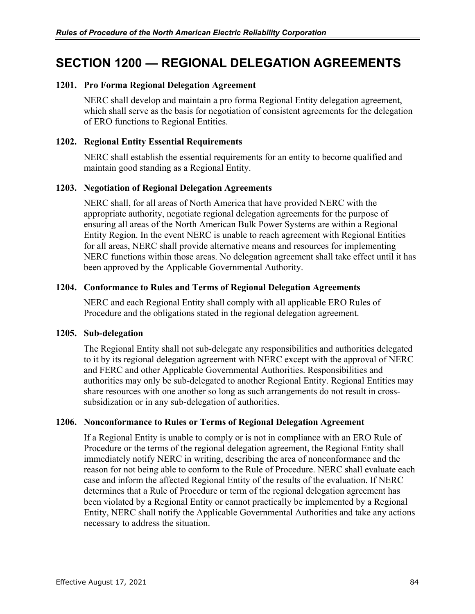## **SECTION 1200 — REGIONAL DELEGATION AGREEMENTS**

#### **1201. Pro Forma Regional Delegation Agreement**

NERC shall develop and maintain a pro forma Regional Entity delegation agreement, which shall serve as the basis for negotiation of consistent agreements for the delegation of ERO functions to Regional Entities.

### **1202. Regional Entity Essential Requirements**

NERC shall establish the essential requirements for an entity to become qualified and maintain good standing as a Regional Entity.

#### **1203. Negotiation of Regional Delegation Agreements**

NERC shall, for all areas of North America that have provided NERC with the appropriate authority, negotiate regional delegation agreements for the purpose of ensuring all areas of the North American Bulk Power Systems are within a Regional Entity Region. In the event NERC is unable to reach agreement with Regional Entities for all areas, NERC shall provide alternative means and resources for implementing NERC functions within those areas. No delegation agreement shall take effect until it has been approved by the Applicable Governmental Authority.

### **1204. Conformance to Rules and Terms of Regional Delegation Agreements**

NERC and each Regional Entity shall comply with all applicable ERO Rules of Procedure and the obligations stated in the regional delegation agreement.

#### **1205. Sub-delegation**

The Regional Entity shall not sub-delegate any responsibilities and authorities delegated to it by its regional delegation agreement with NERC except with the approval of NERC and FERC and other Applicable Governmental Authorities. Responsibilities and authorities may only be sub-delegated to another Regional Entity. Regional Entities may share resources with one another so long as such arrangements do not result in crosssubsidization or in any sub-delegation of authorities.

### **1206. Nonconformance to Rules or Terms of Regional Delegation Agreement**

If a Regional Entity is unable to comply or is not in compliance with an ERO Rule of Procedure or the terms of the regional delegation agreement, the Regional Entity shall immediately notify NERC in writing, describing the area of nonconformance and the reason for not being able to conform to the Rule of Procedure. NERC shall evaluate each case and inform the affected Regional Entity of the results of the evaluation. If NERC determines that a Rule of Procedure or term of the regional delegation agreement has been violated by a Regional Entity or cannot practically be implemented by a Regional Entity, NERC shall notify the Applicable Governmental Authorities and take any actions necessary to address the situation.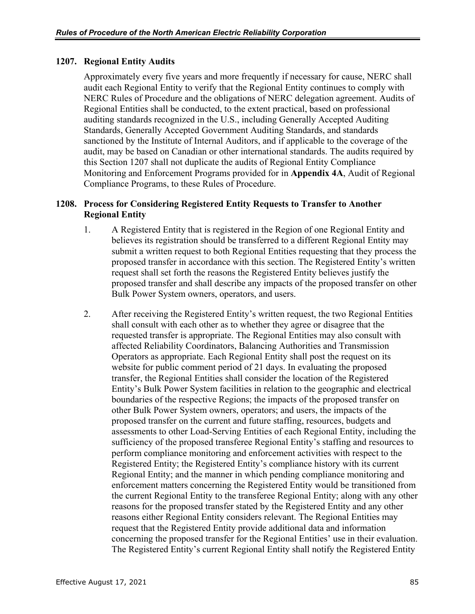## **1207. Regional Entity Audits**

Approximately every five years and more frequently if necessary for cause, NERC shall audit each Regional Entity to verify that the Regional Entity continues to comply with NERC Rules of Procedure and the obligations of NERC delegation agreement. Audits of Regional Entities shall be conducted, to the extent practical, based on professional auditing standards recognized in the U.S., including Generally Accepted Auditing Standards, Generally Accepted Government Auditing Standards, and standards sanctioned by the Institute of Internal Auditors, and if applicable to the coverage of the audit, may be based on Canadian or other international standards. The audits required by this Section 1207 shall not duplicate the audits of Regional Entity Compliance Monitoring and Enforcement Programs provided for in **Appendix 4A**, Audit of Regional Compliance Programs, to these Rules of Procedure.

## **1208. Process for Considering Registered Entity Requests to Transfer to Another Regional Entity**

- 1. A Registered Entity that is registered in the Region of one Regional Entity and believes its registration should be transferred to a different Regional Entity may submit a written request to both Regional Entities requesting that they process the proposed transfer in accordance with this section. The Registered Entity's written request shall set forth the reasons the Registered Entity believes justify the proposed transfer and shall describe any impacts of the proposed transfer on other Bulk Power System owners, operators, and users.
- 2. After receiving the Registered Entity's written request, the two Regional Entities shall consult with each other as to whether they agree or disagree that the requested transfer is appropriate. The Regional Entities may also consult with affected Reliability Coordinators, Balancing Authorities and Transmission Operators as appropriate. Each Regional Entity shall post the request on its website for public comment period of 21 days. In evaluating the proposed transfer, the Regional Entities shall consider the location of the Registered Entity's Bulk Power System facilities in relation to the geographic and electrical boundaries of the respective Regions; the impacts of the proposed transfer on other Bulk Power System owners, operators; and users, the impacts of the proposed transfer on the current and future staffing, resources, budgets and assessments to other Load-Serving Entities of each Regional Entity, including the sufficiency of the proposed transferee Regional Entity's staffing and resources to perform compliance monitoring and enforcement activities with respect to the Registered Entity; the Registered Entity's compliance history with its current Regional Entity; and the manner in which pending compliance monitoring and enforcement matters concerning the Registered Entity would be transitioned from the current Regional Entity to the transferee Regional Entity; along with any other reasons for the proposed transfer stated by the Registered Entity and any other reasons either Regional Entity considers relevant. The Regional Entities may request that the Registered Entity provide additional data and information concerning the proposed transfer for the Regional Entities' use in their evaluation. The Registered Entity's current Regional Entity shall notify the Registered Entity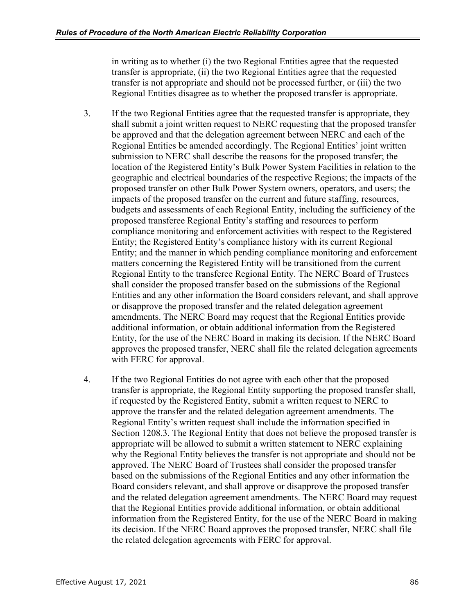in writing as to whether (i) the two Regional Entities agree that the requested transfer is appropriate, (ii) the two Regional Entities agree that the requested transfer is not appropriate and should not be processed further, or (iii) the two Regional Entities disagree as to whether the proposed transfer is appropriate.

- 3. If the two Regional Entities agree that the requested transfer is appropriate, they shall submit a joint written request to NERC requesting that the proposed transfer be approved and that the delegation agreement between NERC and each of the Regional Entities be amended accordingly. The Regional Entities' joint written submission to NERC shall describe the reasons for the proposed transfer; the location of the Registered Entity's Bulk Power System Facilities in relation to the geographic and electrical boundaries of the respective Regions; the impacts of the proposed transfer on other Bulk Power System owners, operators, and users; the impacts of the proposed transfer on the current and future staffing, resources, budgets and assessments of each Regional Entity, including the sufficiency of the proposed transferee Regional Entity's staffing and resources to perform compliance monitoring and enforcement activities with respect to the Registered Entity; the Registered Entity's compliance history with its current Regional Entity; and the manner in which pending compliance monitoring and enforcement matters concerning the Registered Entity will be transitioned from the current Regional Entity to the transferee Regional Entity. The NERC Board of Trustees shall consider the proposed transfer based on the submissions of the Regional Entities and any other information the Board considers relevant, and shall approve or disapprove the proposed transfer and the related delegation agreement amendments. The NERC Board may request that the Regional Entities provide additional information, or obtain additional information from the Registered Entity, for the use of the NERC Board in making its decision. If the NERC Board approves the proposed transfer, NERC shall file the related delegation agreements with FERC for approval.
- 4. If the two Regional Entities do not agree with each other that the proposed transfer is appropriate, the Regional Entity supporting the proposed transfer shall, if requested by the Registered Entity, submit a written request to NERC to approve the transfer and the related delegation agreement amendments. The Regional Entity's written request shall include the information specified in Section 1208.3. The Regional Entity that does not believe the proposed transfer is appropriate will be allowed to submit a written statement to NERC explaining why the Regional Entity believes the transfer is not appropriate and should not be approved. The NERC Board of Trustees shall consider the proposed transfer based on the submissions of the Regional Entities and any other information the Board considers relevant, and shall approve or disapprove the proposed transfer and the related delegation agreement amendments. The NERC Board may request that the Regional Entities provide additional information, or obtain additional information from the Registered Entity, for the use of the NERC Board in making its decision. If the NERC Board approves the proposed transfer, NERC shall file the related delegation agreements with FERC for approval.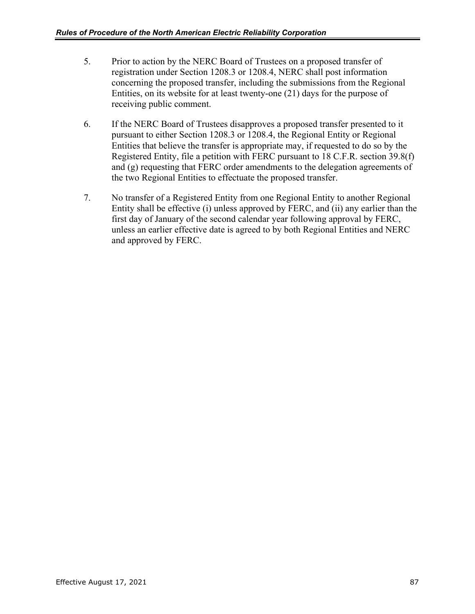- 5. Prior to action by the NERC Board of Trustees on a proposed transfer of registration under Section 1208.3 or 1208.4, NERC shall post information concerning the proposed transfer, including the submissions from the Regional Entities, on its website for at least twenty-one (21) days for the purpose of receiving public comment.
- 6. If the NERC Board of Trustees disapproves a proposed transfer presented to it pursuant to either Section 1208.3 or 1208.4, the Regional Entity or Regional Entities that believe the transfer is appropriate may, if requested to do so by the Registered Entity, file a petition with FERC pursuant to 18 C.F.R. section 39.8(f) and (g) requesting that FERC order amendments to the delegation agreements of the two Regional Entities to effectuate the proposed transfer.
- 7. No transfer of a Registered Entity from one Regional Entity to another Regional Entity shall be effective (i) unless approved by FERC, and (ii) any earlier than the first day of January of the second calendar year following approval by FERC, unless an earlier effective date is agreed to by both Regional Entities and NERC and approved by FERC.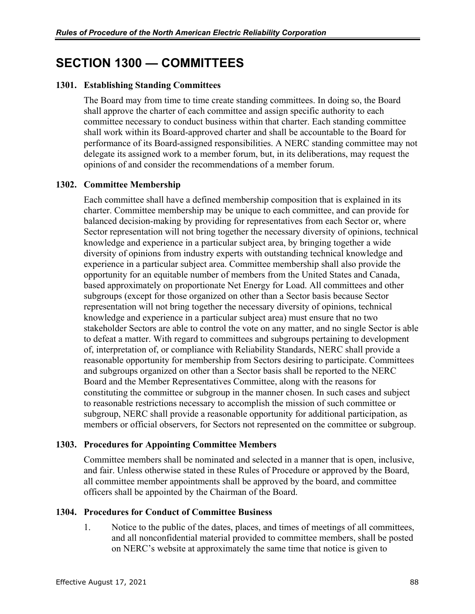## **SECTION 1300 — COMMITTEES**

### **1301. Establishing Standing Committees**

The Board may from time to time create standing committees. In doing so, the Board shall approve the charter of each committee and assign specific authority to each committee necessary to conduct business within that charter. Each standing committee shall work within its Board-approved charter and shall be accountable to the Board for performance of its Board-assigned responsibilities. A NERC standing committee may not delegate its assigned work to a member forum, but, in its deliberations, may request the opinions of and consider the recommendations of a member forum.

### **1302. Committee Membership**

Each committee shall have a defined membership composition that is explained in its charter. Committee membership may be unique to each committee, and can provide for balanced decision-making by providing for representatives from each Sector or, where Sector representation will not bring together the necessary diversity of opinions, technical knowledge and experience in a particular subject area, by bringing together a wide diversity of opinions from industry experts with outstanding technical knowledge and experience in a particular subject area. Committee membership shall also provide the opportunity for an equitable number of members from the United States and Canada, based approximately on proportionate Net Energy for Load. All committees and other subgroups (except for those organized on other than a Sector basis because Sector representation will not bring together the necessary diversity of opinions, technical knowledge and experience in a particular subject area) must ensure that no two stakeholder Sectors are able to control the vote on any matter, and no single Sector is able to defeat a matter. With regard to committees and subgroups pertaining to development of, interpretation of, or compliance with Reliability Standards, NERC shall provide a reasonable opportunity for membership from Sectors desiring to participate. Committees and subgroups organized on other than a Sector basis shall be reported to the NERC Board and the Member Representatives Committee, along with the reasons for constituting the committee or subgroup in the manner chosen. In such cases and subject to reasonable restrictions necessary to accomplish the mission of such committee or subgroup, NERC shall provide a reasonable opportunity for additional participation, as members or official observers, for Sectors not represented on the committee or subgroup.

### **1303. Procedures for Appointing Committee Members**

Committee members shall be nominated and selected in a manner that is open, inclusive, and fair. Unless otherwise stated in these Rules of Procedure or approved by the Board, all committee member appointments shall be approved by the board, and committee officers shall be appointed by the Chairman of the Board.

### **1304. Procedures for Conduct of Committee Business**

1. Notice to the public of the dates, places, and times of meetings of all committees, and all nonconfidential material provided to committee members, shall be posted on NERC's website at approximately the same time that notice is given to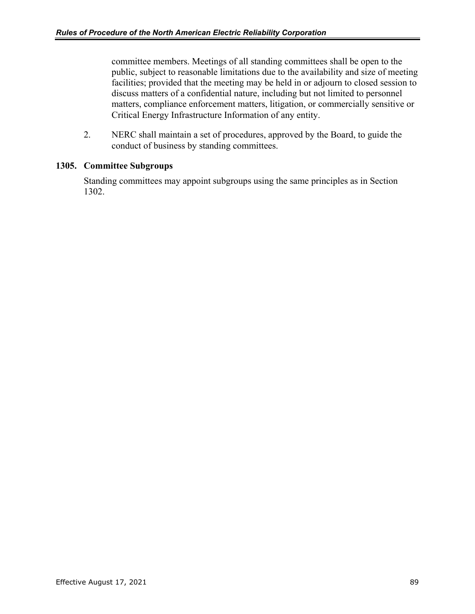committee members. Meetings of all standing committees shall be open to the public, subject to reasonable limitations due to the availability and size of meeting facilities; provided that the meeting may be held in or adjourn to closed session to discuss matters of a confidential nature, including but not limited to personnel matters, compliance enforcement matters, litigation, or commercially sensitive or Critical Energy Infrastructure Information of any entity.

2. NERC shall maintain a set of procedures, approved by the Board, to guide the conduct of business by standing committees.

## **1305. Committee Subgroups**

Standing committees may appoint subgroups using the same principles as in Section 1302.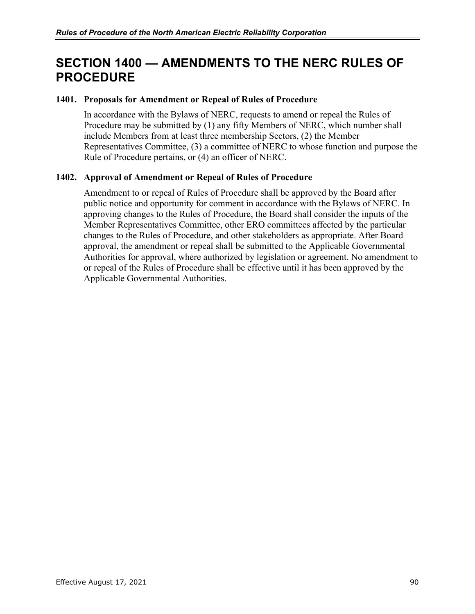# **SECTION 1400 — AMENDMENTS TO THE NERC RULES OF PROCEDURE**

## **1401. Proposals for Amendment or Repeal of Rules of Procedure**

In accordance with the Bylaws of NERC, requests to amend or repeal the Rules of Procedure may be submitted by (1) any fifty Members of NERC, which number shall include Members from at least three membership Sectors, (2) the Member Representatives Committee, (3) a committee of NERC to whose function and purpose the Rule of Procedure pertains, or (4) an officer of NERC.

## **1402. Approval of Amendment or Repeal of Rules of Procedure**

Amendment to or repeal of Rules of Procedure shall be approved by the Board after public notice and opportunity for comment in accordance with the Bylaws of NERC. In approving changes to the Rules of Procedure, the Board shall consider the inputs of the Member Representatives Committee, other ERO committees affected by the particular changes to the Rules of Procedure, and other stakeholders as appropriate. After Board approval, the amendment or repeal shall be submitted to the Applicable Governmental Authorities for approval, where authorized by legislation or agreement. No amendment to or repeal of the Rules of Procedure shall be effective until it has been approved by the Applicable Governmental Authorities.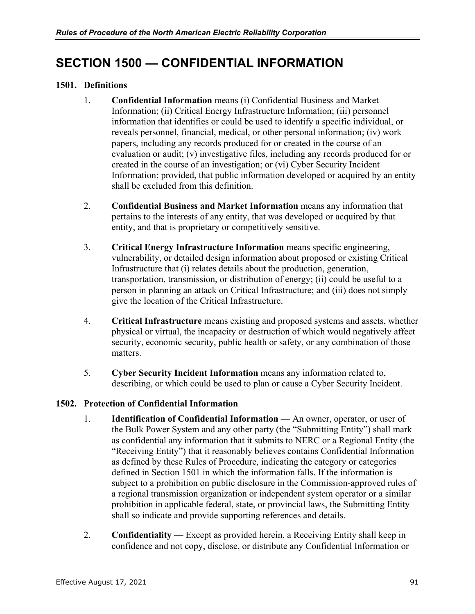# **SECTION 1500 — CONFIDENTIAL INFORMATION**

### **1501. Definitions**

- 1. **Confidential Information** means (i) Confidential Business and Market Information; (ii) Critical Energy Infrastructure Information; (iii) personnel information that identifies or could be used to identify a specific individual, or reveals personnel, financial, medical, or other personal information; (iv) work papers, including any records produced for or created in the course of an evaluation or audit; (v) investigative files, including any records produced for or created in the course of an investigation; or (vi) Cyber Security Incident Information; provided, that public information developed or acquired by an entity shall be excluded from this definition.
- 2. **Confidential Business and Market Information** means any information that pertains to the interests of any entity, that was developed or acquired by that entity, and that is proprietary or competitively sensitive.
- 3. **Critical Energy Infrastructure Information** means specific engineering, vulnerability, or detailed design information about proposed or existing Critical Infrastructure that (i) relates details about the production, generation, transportation, transmission, or distribution of energy; (ii) could be useful to a person in planning an attack on Critical Infrastructure; and (iii) does not simply give the location of the Critical Infrastructure.
- 4. **Critical Infrastructure** means existing and proposed systems and assets, whether physical or virtual, the incapacity or destruction of which would negatively affect security, economic security, public health or safety, or any combination of those matters.
- 5. **Cyber Security Incident Information** means any information related to, describing, or which could be used to plan or cause a Cyber Security Incident.

## **1502. Protection of Confidential Information**

- 1. **Identification of Confidential Information** An owner, operator, or user of the Bulk Power System and any other party (the "Submitting Entity") shall mark as confidential any information that it submits to NERC or a Regional Entity (the "Receiving Entity") that it reasonably believes contains Confidential Information as defined by these Rules of Procedure, indicating the category or categories defined in Section 1501 in which the information falls. If the information is subject to a prohibition on public disclosure in the Commission-approved rules of a regional transmission organization or independent system operator or a similar prohibition in applicable federal, state, or provincial laws, the Submitting Entity shall so indicate and provide supporting references and details.
- 2. **Confidentiality** Except as provided herein, a Receiving Entity shall keep in confidence and not copy, disclose, or distribute any Confidential Information or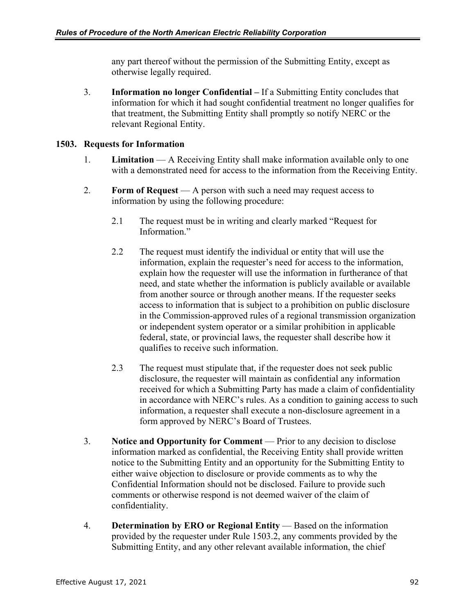any part thereof without the permission of the Submitting Entity, except as otherwise legally required.

3. **Information no longer Confidential –** If a Submitting Entity concludes that information for which it had sought confidential treatment no longer qualifies for that treatment, the Submitting Entity shall promptly so notify NERC or the relevant Regional Entity.

### **1503. Requests for Information**

- 1. **Limitation**  A Receiving Entity shall make information available only to one with a demonstrated need for access to the information from the Receiving Entity.
- 2. **Form of Request** A person with such a need may request access to information by using the following procedure:
	- 2.1 The request must be in writing and clearly marked "Request for Information."
	- 2.2 The request must identify the individual or entity that will use the information, explain the requester's need for access to the information, explain how the requester will use the information in furtherance of that need, and state whether the information is publicly available or available from another source or through another means. If the requester seeks access to information that is subject to a prohibition on public disclosure in the Commission-approved rules of a regional transmission organization or independent system operator or a similar prohibition in applicable federal, state, or provincial laws, the requester shall describe how it qualifies to receive such information.
	- 2.3 The request must stipulate that, if the requester does not seek public disclosure, the requester will maintain as confidential any information received for which a Submitting Party has made a claim of confidentiality in accordance with NERC's rules. As a condition to gaining access to such information, a requester shall execute a non-disclosure agreement in a form approved by NERC's Board of Trustees.
- 3. **Notice and Opportunity for Comment** Prior to any decision to disclose information marked as confidential, the Receiving Entity shall provide written notice to the Submitting Entity and an opportunity for the Submitting Entity to either waive objection to disclosure or provide comments as to why the Confidential Information should not be disclosed. Failure to provide such comments or otherwise respond is not deemed waiver of the claim of confidentiality.
- 4. **Determination by ERO or Regional Entity** Based on the information provided by the requester under Rule 1503.2, any comments provided by the Submitting Entity, and any other relevant available information, the chief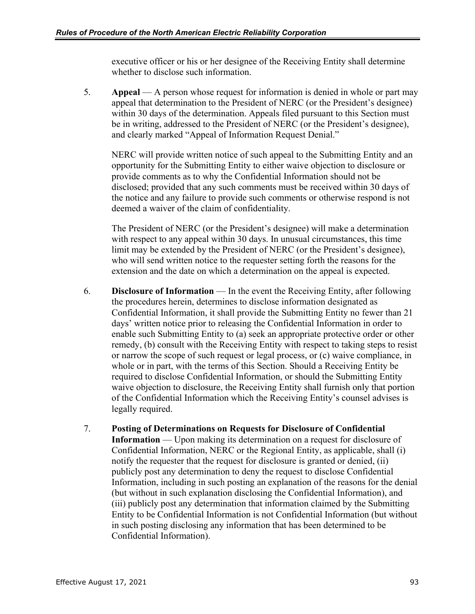executive officer or his or her designee of the Receiving Entity shall determine whether to disclose such information.

5. **Appeal** — A person whose request for information is denied in whole or part may appeal that determination to the President of NERC (or the President's designee) within 30 days of the determination. Appeals filed pursuant to this Section must be in writing, addressed to the President of NERC (or the President's designee), and clearly marked "Appeal of Information Request Denial."

NERC will provide written notice of such appeal to the Submitting Entity and an opportunity for the Submitting Entity to either waive objection to disclosure or provide comments as to why the Confidential Information should not be disclosed; provided that any such comments must be received within 30 days of the notice and any failure to provide such comments or otherwise respond is not deemed a waiver of the claim of confidentiality.

The President of NERC (or the President's designee) will make a determination with respect to any appeal within 30 days. In unusual circumstances, this time limit may be extended by the President of NERC (or the President's designee), who will send written notice to the requester setting forth the reasons for the extension and the date on which a determination on the appeal is expected.

- 6. **Disclosure of Information** In the event the Receiving Entity, after following the procedures herein, determines to disclose information designated as Confidential Information, it shall provide the Submitting Entity no fewer than 21 days' written notice prior to releasing the Confidential Information in order to enable such Submitting Entity to (a) seek an appropriate protective order or other remedy, (b) consult with the Receiving Entity with respect to taking steps to resist or narrow the scope of such request or legal process, or (c) waive compliance, in whole or in part, with the terms of this Section. Should a Receiving Entity be required to disclose Confidential Information, or should the Submitting Entity waive objection to disclosure, the Receiving Entity shall furnish only that portion of the Confidential Information which the Receiving Entity's counsel advises is legally required.
- 7. **Posting of Determinations on Requests for Disclosure of Confidential Information** — Upon making its determination on a request for disclosure of Confidential Information, NERC or the Regional Entity, as applicable, shall (i) notify the requester that the request for disclosure is granted or denied, (ii) publicly post any determination to deny the request to disclose Confidential Information, including in such posting an explanation of the reasons for the denial (but without in such explanation disclosing the Confidential Information), and (iii) publicly post any determination that information claimed by the Submitting Entity to be Confidential Information is not Confidential Information (but without in such posting disclosing any information that has been determined to be Confidential Information).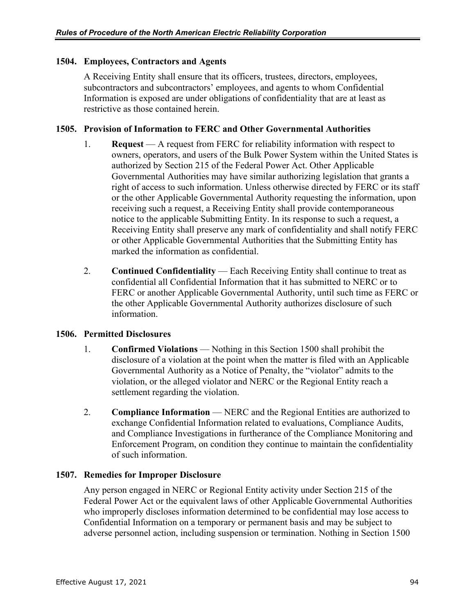### **1504. Employees, Contractors and Agents**

A Receiving Entity shall ensure that its officers, trustees, directors, employees, subcontractors and subcontractors' employees, and agents to whom Confidential Information is exposed are under obligations of confidentiality that are at least as restrictive as those contained herein.

### **1505. Provision of Information to FERC and Other Governmental Authorities**

- 1. **Request**  A request from FERC for reliability information with respect to owners, operators, and users of the Bulk Power System within the United States is authorized by Section 215 of the Federal Power Act. Other Applicable Governmental Authorities may have similar authorizing legislation that grants a right of access to such information. Unless otherwise directed by FERC or its staff or the other Applicable Governmental Authority requesting the information, upon receiving such a request, a Receiving Entity shall provide contemporaneous notice to the applicable Submitting Entity. In its response to such a request, a Receiving Entity shall preserve any mark of confidentiality and shall notify FERC or other Applicable Governmental Authorities that the Submitting Entity has marked the information as confidential.
- 2. **Continued Confidentiality** Each Receiving Entity shall continue to treat as confidential all Confidential Information that it has submitted to NERC or to FERC or another Applicable Governmental Authority, until such time as FERC or the other Applicable Governmental Authority authorizes disclosure of such information.

## **1506. Permitted Disclosures**

- 1. **Confirmed Violations**  Nothing in this Section 1500 shall prohibit the disclosure of a violation at the point when the matter is filed with an Applicable Governmental Authority as a Notice of Penalty, the "violator" admits to the violation, or the alleged violator and NERC or the Regional Entity reach a settlement regarding the violation.
- 2. **Compliance Information** NERC and the Regional Entities are authorized to exchange Confidential Information related to evaluations, Compliance Audits, and Compliance Investigations in furtherance of the Compliance Monitoring and Enforcement Program, on condition they continue to maintain the confidentiality of such information.

## **1507. Remedies for Improper Disclosure**

Any person engaged in NERC or Regional Entity activity under Section 215 of the Federal Power Act or the equivalent laws of other Applicable Governmental Authorities who improperly discloses information determined to be confidential may lose access to Confidential Information on a temporary or permanent basis and may be subject to adverse personnel action, including suspension or termination. Nothing in Section 1500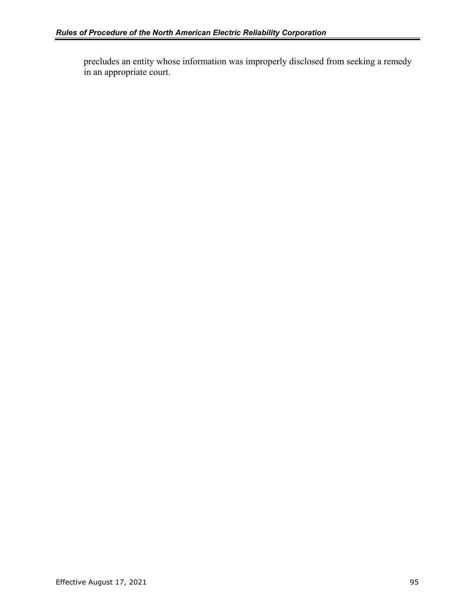precludes an entity whose information was improperly disclosed from seeking a remedy in an appropriate court.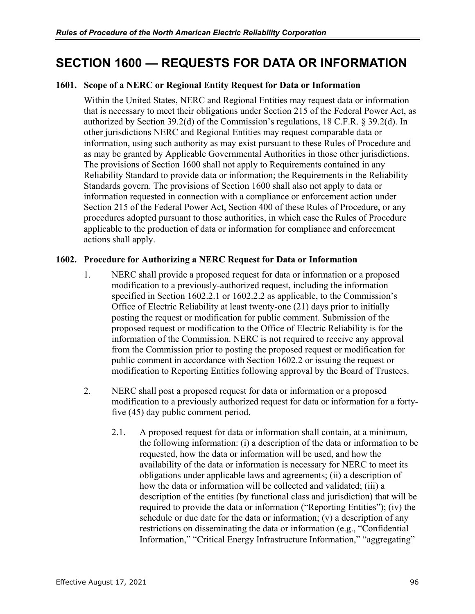## **SECTION 1600 — REQUESTS FOR DATA OR INFORMATION**

### **1601. Scope of a NERC or Regional Entity Request for Data or Information**

Within the United States, NERC and Regional Entities may request data or information that is necessary to meet their obligations under Section 215 of the Federal Power Act, as authorized by Section 39.2(d) of the Commission's regulations, 18 C.F.R. § 39.2(d). In other jurisdictions NERC and Regional Entities may request comparable data or information, using such authority as may exist pursuant to these Rules of Procedure and as may be granted by Applicable Governmental Authorities in those other jurisdictions. The provisions of Section 1600 shall not apply to Requirements contained in any Reliability Standard to provide data or information; the Requirements in the Reliability Standards govern. The provisions of Section 1600 shall also not apply to data or information requested in connection with a compliance or enforcement action under Section 215 of the Federal Power Act, Section 400 of these Rules of Procedure, or any procedures adopted pursuant to those authorities, in which case the Rules of Procedure applicable to the production of data or information for compliance and enforcement actions shall apply.

### **1602. Procedure for Authorizing a NERC Request for Data or Information**

- 1. NERC shall provide a proposed request for data or information or a proposed modification to a previously-authorized request, including the information specified in Section 1602.2.1 or 1602.2.2 as applicable, to the Commission's Office of Electric Reliability at least twenty-one (21) days prior to initially posting the request or modification for public comment. Submission of the proposed request or modification to the Office of Electric Reliability is for the information of the Commission. NERC is not required to receive any approval from the Commission prior to posting the proposed request or modification for public comment in accordance with Section 1602.2 or issuing the request or modification to Reporting Entities following approval by the Board of Trustees.
- 2. NERC shall post a proposed request for data or information or a proposed modification to a previously authorized request for data or information for a fortyfive (45) day public comment period.
	- 2.1. A proposed request for data or information shall contain, at a minimum, the following information: (i) a description of the data or information to be requested, how the data or information will be used, and how the availability of the data or information is necessary for NERC to meet its obligations under applicable laws and agreements; (ii) a description of how the data or information will be collected and validated; (iii) a description of the entities (by functional class and jurisdiction) that will be required to provide the data or information ("Reporting Entities"); (iv) the schedule or due date for the data or information; (v) a description of any restrictions on disseminating the data or information (e.g., "Confidential Information," "Critical Energy Infrastructure Information," "aggregating"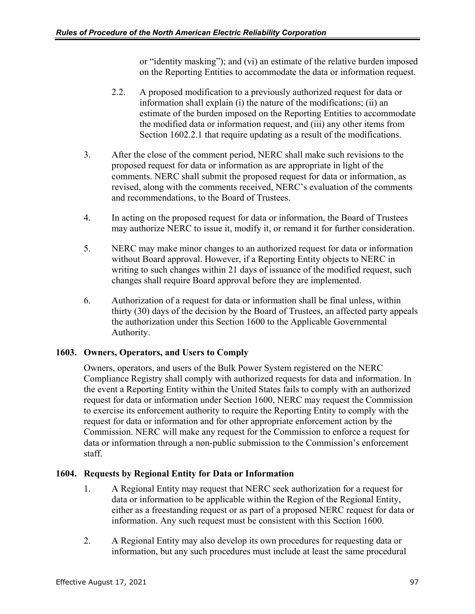or "identity masking"); and (vi) an estimate of the relative burden imposed on the Reporting Entities to accommodate the data or information request.

- 2.2. A proposed modification to a previously authorized request for data or information shall explain (i) the nature of the modifications; (ii) an estimate of the burden imposed on the Reporting Entities to accommodate the modified data or information request, and (iii) any other items from Section 1602.2.1 that require updating as a result of the modifications.
- 3. After the close of the comment period, NERC shall make such revisions to the proposed request for data or information as are appropriate in light of the comments. NERC shall submit the proposed request for data or information, as revised, along with the comments received, NERC's evaluation of the comments and recommendations, to the Board of Trustees.
- 4. In acting on the proposed request for data or information, the Board of Trustees may authorize NERC to issue it, modify it, or remand it for further consideration.
- 5. NERC may make minor changes to an authorized request for data or information without Board approval. However, if a Reporting Entity objects to NERC in writing to such changes within 21 days of issuance of the modified request, such changes shall require Board approval before they are implemented.
- 6. Authorization of a request for data or information shall be final unless, within thirty (30) days of the decision by the Board of Trustees, an affected party appeals the authorization under this Section 1600 to the Applicable Governmental Authority.

## **1603. Owners, Operators, and Users to Comply**

Owners, operators, and users of the Bulk Power System registered on the NERC Compliance Registry shall comply with authorized requests for data and information. In the event a Reporting Entity within the United States fails to comply with an authorized request for data or information under Section 1600, NERC may request the Commission to exercise its enforcement authority to require the Reporting Entity to comply with the request for data or information and for other appropriate enforcement action by the Commission. NERC will make any request for the Commission to enforce a request for data or information through a non-public submission to the Commission's enforcement staff.

## **1604. Requests by Regional Entity for Data or Information**

- 1. A Regional Entity may request that NERC seek authorization for a request for data or information to be applicable within the Region of the Regional Entity, either as a freestanding request or as part of a proposed NERC request for data or information. Any such request must be consistent with this Section 1600.
- 2. A Regional Entity may also develop its own procedures for requesting data or information, but any such procedures must include at least the same procedural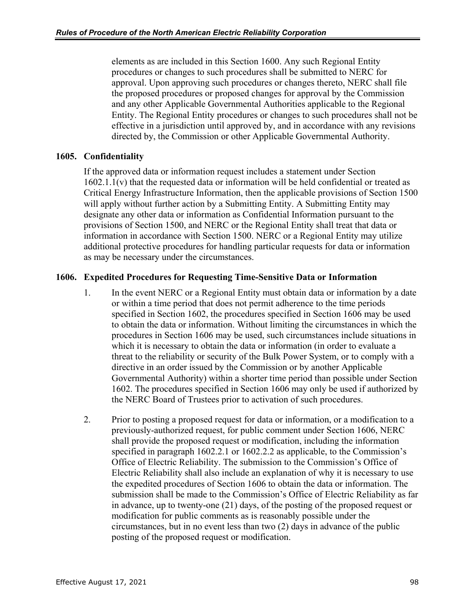elements as are included in this Section 1600. Any such Regional Entity procedures or changes to such procedures shall be submitted to NERC for approval. Upon approving such procedures or changes thereto, NERC shall file the proposed procedures or proposed changes for approval by the Commission and any other Applicable Governmental Authorities applicable to the Regional Entity. The Regional Entity procedures or changes to such procedures shall not be effective in a jurisdiction until approved by, and in accordance with any revisions directed by, the Commission or other Applicable Governmental Authority.

## **1605. Confidentiality**

If the approved data or information request includes a statement under Section  $1602.1.1(v)$  that the requested data or information will be held confidential or treated as Critical Energy Infrastructure Information, then the applicable provisions of Section 1500 will apply without further action by a Submitting Entity. A Submitting Entity may designate any other data or information as Confidential Information pursuant to the provisions of Section 1500, and NERC or the Regional Entity shall treat that data or information in accordance with Section 1500. NERC or a Regional Entity may utilize additional protective procedures for handling particular requests for data or information as may be necessary under the circumstances.

## **1606. Expedited Procedures for Requesting Time-Sensitive Data or Information**

- 1. In the event NERC or a Regional Entity must obtain data or information by a date or within a time period that does not permit adherence to the time periods specified in Section 1602, the procedures specified in Section 1606 may be used to obtain the data or information. Without limiting the circumstances in which the procedures in Section 1606 may be used, such circumstances include situations in which it is necessary to obtain the data or information (in order to evaluate a threat to the reliability or security of the Bulk Power System, or to comply with a directive in an order issued by the Commission or by another Applicable Governmental Authority) within a shorter time period than possible under Section 1602. The procedures specified in Section 1606 may only be used if authorized by the NERC Board of Trustees prior to activation of such procedures.
- 2. Prior to posting a proposed request for data or information, or a modification to a previously-authorized request, for public comment under Section 1606, NERC shall provide the proposed request or modification, including the information specified in paragraph 1602.2.1 or 1602.2.2 as applicable, to the Commission's Office of Electric Reliability. The submission to the Commission's Office of Electric Reliability shall also include an explanation of why it is necessary to use the expedited procedures of Section 1606 to obtain the data or information. The submission shall be made to the Commission's Office of Electric Reliability as far in advance, up to twenty-one (21) days, of the posting of the proposed request or modification for public comments as is reasonably possible under the circumstances, but in no event less than two (2) days in advance of the public posting of the proposed request or modification.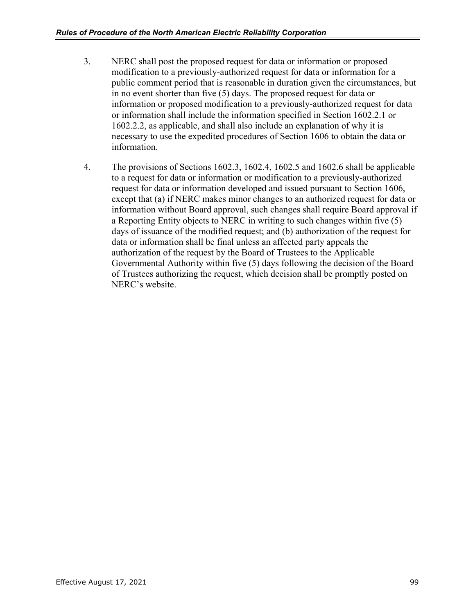- 3. NERC shall post the proposed request for data or information or proposed modification to a previously-authorized request for data or information for a public comment period that is reasonable in duration given the circumstances, but in no event shorter than five (5) days. The proposed request for data or information or proposed modification to a previously-authorized request for data or information shall include the information specified in Section 1602.2.1 or 1602.2.2, as applicable, and shall also include an explanation of why it is necessary to use the expedited procedures of Section 1606 to obtain the data or information.
- 4. The provisions of Sections 1602.3, 1602.4, 1602.5 and 1602.6 shall be applicable to a request for data or information or modification to a previously-authorized request for data or information developed and issued pursuant to Section 1606, except that (a) if NERC makes minor changes to an authorized request for data or information without Board approval, such changes shall require Board approval if a Reporting Entity objects to NERC in writing to such changes within five (5) days of issuance of the modified request; and (b) authorization of the request for data or information shall be final unless an affected party appeals the authorization of the request by the Board of Trustees to the Applicable Governmental Authority within five (5) days following the decision of the Board of Trustees authorizing the request, which decision shall be promptly posted on NERC's website.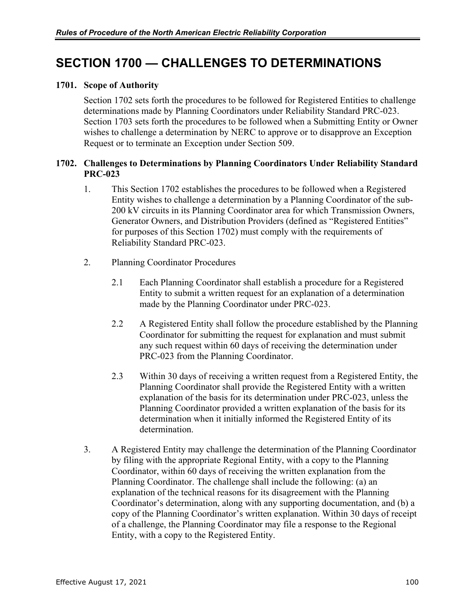# **SECTION 1700 — CHALLENGES TO DETERMINATIONS**

### **1701. Scope of Authority**

Section 1702 sets forth the procedures to be followed for Registered Entities to challenge determinations made by Planning Coordinators under Reliability Standard PRC-023. Section 1703 sets forth the procedures to be followed when a Submitting Entity or Owner wishes to challenge a determination by NERC to approve or to disapprove an Exception Request or to terminate an Exception under Section 509.

### **1702. Challenges to Determinations by Planning Coordinators Under Reliability Standard PRC-023**

- 1. This Section 1702 establishes the procedures to be followed when a Registered Entity wishes to challenge a determination by a Planning Coordinator of the sub-200 kV circuits in its Planning Coordinator area for which Transmission Owners, Generator Owners, and Distribution Providers (defined as "Registered Entities" for purposes of this Section 1702) must comply with the requirements of Reliability Standard PRC-023.
- 2. Planning Coordinator Procedures
	- 2.1 Each Planning Coordinator shall establish a procedure for a Registered Entity to submit a written request for an explanation of a determination made by the Planning Coordinator under PRC-023.
	- 2.2 A Registered Entity shall follow the procedure established by the Planning Coordinator for submitting the request for explanation and must submit any such request within 60 days of receiving the determination under PRC-023 from the Planning Coordinator.
	- 2.3 Within 30 days of receiving a written request from a Registered Entity, the Planning Coordinator shall provide the Registered Entity with a written explanation of the basis for its determination under PRC-023, unless the Planning Coordinator provided a written explanation of the basis for its determination when it initially informed the Registered Entity of its determination.
- 3. A Registered Entity may challenge the determination of the Planning Coordinator by filing with the appropriate Regional Entity, with a copy to the Planning Coordinator, within 60 days of receiving the written explanation from the Planning Coordinator. The challenge shall include the following: (a) an explanation of the technical reasons for its disagreement with the Planning Coordinator's determination, along with any supporting documentation, and (b) a copy of the Planning Coordinator's written explanation. Within 30 days of receipt of a challenge, the Planning Coordinator may file a response to the Regional Entity, with a copy to the Registered Entity.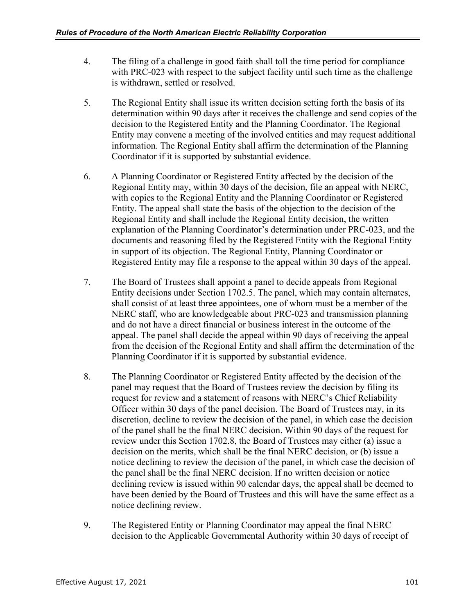- 4. The filing of a challenge in good faith shall toll the time period for compliance with PRC-023 with respect to the subject facility until such time as the challenge is withdrawn, settled or resolved.
- 5. The Regional Entity shall issue its written decision setting forth the basis of its determination within 90 days after it receives the challenge and send copies of the decision to the Registered Entity and the Planning Coordinator. The Regional Entity may convene a meeting of the involved entities and may request additional information. The Regional Entity shall affirm the determination of the Planning Coordinator if it is supported by substantial evidence.
- 6. A Planning Coordinator or Registered Entity affected by the decision of the Regional Entity may, within 30 days of the decision, file an appeal with NERC, with copies to the Regional Entity and the Planning Coordinator or Registered Entity. The appeal shall state the basis of the objection to the decision of the Regional Entity and shall include the Regional Entity decision, the written explanation of the Planning Coordinator's determination under PRC-023, and the documents and reasoning filed by the Registered Entity with the Regional Entity in support of its objection. The Regional Entity, Planning Coordinator or Registered Entity may file a response to the appeal within 30 days of the appeal.
- 7. The Board of Trustees shall appoint a panel to decide appeals from Regional Entity decisions under Section 1702.5. The panel, which may contain alternates, shall consist of at least three appointees, one of whom must be a member of the NERC staff, who are knowledgeable about PRC-023 and transmission planning and do not have a direct financial or business interest in the outcome of the appeal. The panel shall decide the appeal within 90 days of receiving the appeal from the decision of the Regional Entity and shall affirm the determination of the Planning Coordinator if it is supported by substantial evidence.
- 8. The Planning Coordinator or Registered Entity affected by the decision of the panel may request that the Board of Trustees review the decision by filing its request for review and a statement of reasons with NERC's Chief Reliability Officer within 30 days of the panel decision. The Board of Trustees may, in its discretion, decline to review the decision of the panel, in which case the decision of the panel shall be the final NERC decision. Within 90 days of the request for review under this Section 1702.8, the Board of Trustees may either (a) issue a decision on the merits, which shall be the final NERC decision, or (b) issue a notice declining to review the decision of the panel, in which case the decision of the panel shall be the final NERC decision. If no written decision or notice declining review is issued within 90 calendar days, the appeal shall be deemed to have been denied by the Board of Trustees and this will have the same effect as a notice declining review.
- 9. The Registered Entity or Planning Coordinator may appeal the final NERC decision to the Applicable Governmental Authority within 30 days of receipt of